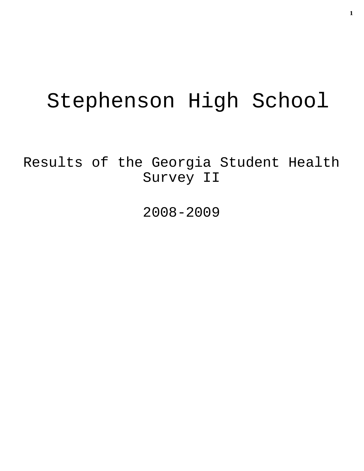# Stephenson High School

Results of the Georgia Student Health Survey II

2008-2009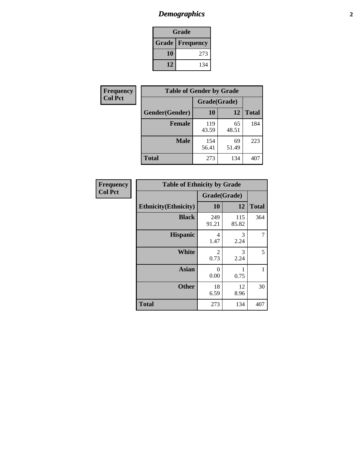# *Demographics* **2**

| Grade                    |     |  |  |  |
|--------------------------|-----|--|--|--|
| <b>Grade   Frequency</b> |     |  |  |  |
| 10                       | 273 |  |  |  |
| 12                       | 134 |  |  |  |

| <b>Frequency</b> | <b>Table of Gender by Grade</b> |              |             |              |  |  |
|------------------|---------------------------------|--------------|-------------|--------------|--|--|
| <b>Col Pct</b>   |                                 | Grade(Grade) |             |              |  |  |
|                  | Gender(Gender)                  | 10           | 12          | <b>Total</b> |  |  |
|                  | <b>Female</b>                   | 119<br>43.59 | 65<br>48.51 | 184          |  |  |
|                  | <b>Male</b>                     | 154<br>56.41 | 69<br>51.49 | 223          |  |  |
|                  | <b>Total</b>                    | 273          | 134         | 407          |  |  |

| Frequency<br>Col Pct |
|----------------------|

| <b>Table of Ethnicity by Grade</b> |              |              |              |  |  |  |
|------------------------------------|--------------|--------------|--------------|--|--|--|
|                                    | Grade(Grade) |              |              |  |  |  |
| <b>Ethnicity</b> (Ethnicity)       | 10           | 12           | <b>Total</b> |  |  |  |
| <b>Black</b>                       | 249<br>91.21 | 115<br>85.82 | 364          |  |  |  |
| <b>Hispanic</b>                    | 4<br>1.47    | 3<br>2.24    | 7            |  |  |  |
| White                              | 2<br>0.73    | 3<br>2.24    | 5            |  |  |  |
| <b>Asian</b>                       | 0<br>0.00    | 0.75         | 1            |  |  |  |
| <b>Other</b>                       | 18<br>6.59   | 12<br>8.96   | 30           |  |  |  |
| <b>Total</b>                       | 273          | 134          | 407          |  |  |  |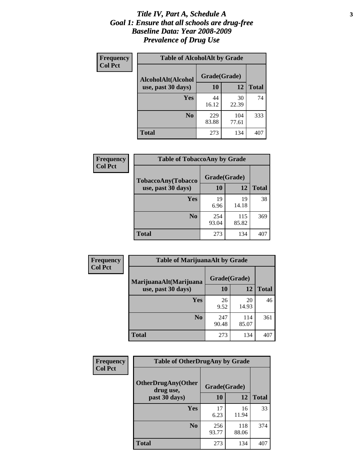#### *Title IV, Part A, Schedule A* **3** *Goal 1: Ensure that all schools are drug-free Baseline Data: Year 2008-2009 Prevalence of Drug Use*

| Frequency<br><b>Col Pct</b> | <b>Table of AlcoholAlt by Grade</b> |              |              |              |  |  |
|-----------------------------|-------------------------------------|--------------|--------------|--------------|--|--|
|                             | AlcoholAlt(Alcohol                  | Grade(Grade) |              |              |  |  |
|                             | use, past 30 days)                  | <b>10</b>    | 12           | <b>Total</b> |  |  |
|                             | <b>Yes</b>                          | 44<br>16.12  | 30<br>22.39  | 74           |  |  |
|                             | N <sub>0</sub>                      | 229<br>83.88 | 104<br>77.61 | 333          |  |  |
|                             | Total                               | 273          | 134          | 407          |  |  |

| Frequency      | <b>Table of TobaccoAny by Grade</b> |              |              |              |  |  |
|----------------|-------------------------------------|--------------|--------------|--------------|--|--|
| <b>Col Pct</b> | <b>TobaccoAny(Tobacco</b>           | Grade(Grade) |              |              |  |  |
|                | use, past 30 days)                  | <b>10</b>    | 12           | <b>Total</b> |  |  |
|                | Yes                                 | 19<br>6.96   | 19<br>14.18  | 38           |  |  |
|                | N <sub>0</sub>                      | 254<br>93.04 | 115<br>85.82 | 369          |  |  |
|                | Total                               | 273          | 134          | 407          |  |  |

| Frequency<br><b>Col Pct</b> | <b>Table of MarijuanaAlt by Grade</b> |              |              |              |  |  |
|-----------------------------|---------------------------------------|--------------|--------------|--------------|--|--|
|                             | MarijuanaAlt(Marijuana                | Grade(Grade) |              |              |  |  |
|                             | use, past 30 days)                    | 10           | 12           | <b>Total</b> |  |  |
|                             | <b>Yes</b>                            | 26<br>9.52   | 20<br>14.93  | 46           |  |  |
|                             | N <sub>0</sub>                        | 247<br>90.48 | 114<br>85.07 | 361          |  |  |
|                             | <b>Total</b>                          | 273          | 134          | 407          |  |  |

| <b>Frequency</b> | <b>Table of OtherDrugAny by Grade</b>  |              |              |              |  |
|------------------|----------------------------------------|--------------|--------------|--------------|--|
| <b>Col Pct</b>   | <b>OtherDrugAny(Other</b><br>drug use, | Grade(Grade) |              |              |  |
|                  | past 30 days)                          | 10           | 12           | <b>Total</b> |  |
|                  | Yes                                    | 17<br>6.23   | 16<br>11.94  | 33           |  |
|                  | N <sub>0</sub>                         | 256<br>93.77 | 118<br>88.06 | 374          |  |
|                  | <b>Total</b>                           | 273          | 134          | 407          |  |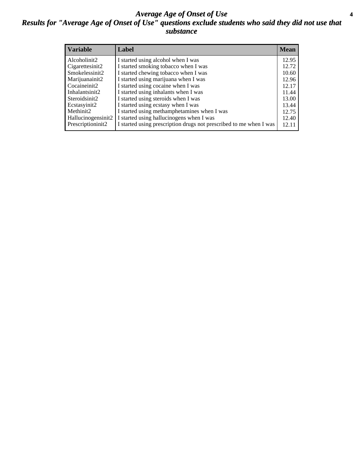#### *Average Age of Onset of Use* **4** *Results for "Average Age of Onset of Use" questions exclude students who said they did not use that substance*

| <b>Variable</b>    | Label                                                              | <b>Mean</b> |
|--------------------|--------------------------------------------------------------------|-------------|
| Alcoholinit2       | I started using alcohol when I was                                 | 12.95       |
| Cigarettesinit2    | I started smoking tobacco when I was                               | 12.72       |
| Smokelessinit2     | I started chewing tobacco when I was                               | 10.60       |
| Marijuanainit2     | I started using marijuana when I was                               | 12.96       |
| Cocaineinit2       | I started using cocaine when I was                                 | 12.17       |
| Inhalantsinit2     | I started using inhalants when I was                               | 11.44       |
| Steroidsinit2      | I started using steroids when I was                                | 13.00       |
| Ecstasyinit2       | I started using ecstasy when I was                                 | 13.44       |
| Methinit2          | I started using methamphetamines when I was                        | 12.75       |
| Hallucinogensinit2 | I started using hallucinogens when I was                           | 12.40       |
| Prescriptioninit2  | I started using prescription drugs not prescribed to me when I was | 12.11       |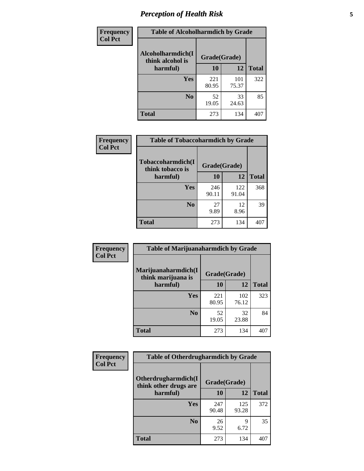# *Perception of Health Risk* **5**

| <b>Frequency</b> | <b>Table of Alcoholharmdich by Grade</b> |              |              |              |  |
|------------------|------------------------------------------|--------------|--------------|--------------|--|
| <b>Col Pct</b>   | Alcoholharmdich(I<br>think alcohol is    | Grade(Grade) |              |              |  |
|                  | harmful)                                 | 10           | 12           | <b>Total</b> |  |
|                  | <b>Yes</b>                               | 221<br>80.95 | 101<br>75.37 | 322          |  |
|                  | N <sub>0</sub>                           | 52<br>19.05  | 33<br>24.63  | 85           |  |
|                  | <b>Total</b>                             | 273          | 134          | 407          |  |

| Frequency      | <b>Table of Tobaccoharmdich by Grade</b> |              |              |              |  |
|----------------|------------------------------------------|--------------|--------------|--------------|--|
| <b>Col Pct</b> | Tobaccoharmdich(I<br>think tobacco is    | Grade(Grade) |              |              |  |
|                | harmful)                                 | 10           | 12           | <b>Total</b> |  |
|                | Yes                                      | 246<br>90.11 | 122<br>91.04 | 368          |  |
|                | N <sub>0</sub>                           | 27<br>9.89   | 12<br>8.96   | 39           |  |
|                | <b>Total</b>                             | 273          | 134          | 407          |  |

| <b>Frequency</b> | <b>Table of Marijuanaharmdich by Grade</b> |              |              |              |  |  |
|------------------|--------------------------------------------|--------------|--------------|--------------|--|--|
| <b>Col Pct</b>   | Marijuanaharmdich(I<br>think marijuana is  | Grade(Grade) |              |              |  |  |
|                  | harmful)                                   | 10           | 12           | <b>Total</b> |  |  |
|                  | Yes                                        | 221<br>80.95 | 102<br>76.12 | 323          |  |  |
|                  | N <sub>0</sub>                             | 52<br>19.05  | 32<br>23.88  | 84           |  |  |
|                  | <b>Total</b>                               | 273          | 134          | 407          |  |  |

| <b>Frequency</b> | <b>Table of Otherdrugharmdich by Grade</b>                   |              |              |              |  |  |  |  |
|------------------|--------------------------------------------------------------|--------------|--------------|--------------|--|--|--|--|
| <b>Col Pct</b>   | Otherdrugharmdich(I<br>Grade(Grade)<br>think other drugs are |              |              |              |  |  |  |  |
|                  | harmful)                                                     | 10           | 12           | <b>Total</b> |  |  |  |  |
|                  | Yes                                                          | 247<br>90.48 | 125<br>93.28 | 372          |  |  |  |  |
|                  | N <sub>0</sub>                                               | 26<br>9.52   | 9<br>6.72    | 35           |  |  |  |  |
|                  | <b>Total</b>                                                 | 273          | 134          | 407          |  |  |  |  |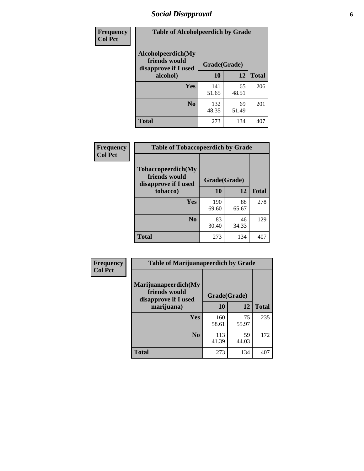# *Social Disapproval* **6**

| Frequency      | <b>Table of Alcoholpeerdich by Grade</b>                    |              |              |     |
|----------------|-------------------------------------------------------------|--------------|--------------|-----|
| <b>Col Pct</b> | Alcoholpeerdich(My<br>friends would<br>disapprove if I used | Grade(Grade) |              |     |
|                | alcohol)                                                    | 10           | <b>Total</b> |     |
|                | <b>Yes</b>                                                  | 141<br>51.65 | 65<br>48.51  | 206 |
|                | N <sub>0</sub>                                              | 132<br>48.35 | 69<br>51.49  | 201 |
|                | <b>Total</b>                                                | 273          | 134          | 407 |

| <b>Frequency</b> |
|------------------|
| <b>Col Pct</b>   |

| <b>Table of Tobaccopeerdich by Grade</b>                            |              |             |              |  |  |  |  |
|---------------------------------------------------------------------|--------------|-------------|--------------|--|--|--|--|
| <b>Tobaccopeerdich</b> (My<br>friends would<br>disapprove if I used | Grade(Grade) |             |              |  |  |  |  |
| tobacco)                                                            | 10           | 12          | <b>Total</b> |  |  |  |  |
| Yes                                                                 | 190<br>69.60 | 88<br>65.67 | 278          |  |  |  |  |
| N <sub>0</sub>                                                      | 83<br>30.40  | 46<br>34.33 | 129          |  |  |  |  |
| <b>Total</b>                                                        | 273          | 134         |              |  |  |  |  |

| Frequency      | <b>Table of Marijuanapeerdich by Grade</b>                    |              |             |              |  |  |  |  |
|----------------|---------------------------------------------------------------|--------------|-------------|--------------|--|--|--|--|
| <b>Col Pct</b> | Marijuanapeerdich(My<br>friends would<br>disapprove if I used | Grade(Grade) |             |              |  |  |  |  |
|                | marijuana)                                                    | 10           | 12          | <b>Total</b> |  |  |  |  |
|                | <b>Yes</b>                                                    | 160<br>58.61 | 75<br>55.97 | 235          |  |  |  |  |
|                | N <sub>0</sub>                                                | 113<br>41.39 | 59<br>44.03 | 172          |  |  |  |  |
|                | <b>Total</b>                                                  | 273          | 134         | 407          |  |  |  |  |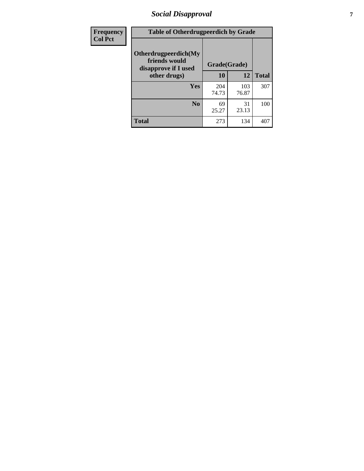# *Social Disapproval* **7**

| Frequency      | <b>Table of Otherdrugpeerdich by Grade</b>                    |              |              |              |  |  |  |  |
|----------------|---------------------------------------------------------------|--------------|--------------|--------------|--|--|--|--|
| <b>Col Pct</b> | Otherdrugpeerdich(My<br>friends would<br>disapprove if I used | Grade(Grade) |              |              |  |  |  |  |
|                | other drugs)                                                  | 10           | 12           | <b>Total</b> |  |  |  |  |
|                | <b>Yes</b>                                                    | 204<br>74.73 | 103<br>76.87 | 307          |  |  |  |  |
|                | N <sub>0</sub>                                                | 69<br>25.27  | 31<br>23.13  | 100          |  |  |  |  |
|                | <b>Total</b>                                                  | 273          | 134          | 407          |  |  |  |  |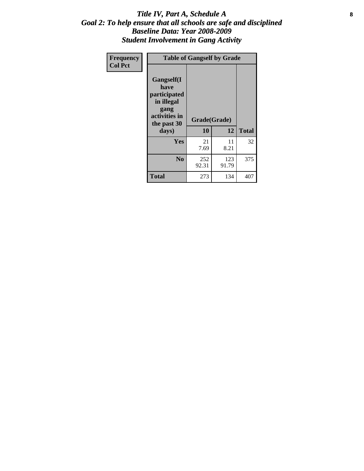### Title IV, Part A, Schedule A **8** *Goal 2: To help ensure that all schools are safe and disciplined Baseline Data: Year 2008-2009 Student Involvement in Gang Activity*

| Frequency      | <b>Table of Gangself by Grade</b>                                                                         |                    |              |              |
|----------------|-----------------------------------------------------------------------------------------------------------|--------------------|--------------|--------------|
| <b>Col Pct</b> | <b>Gangself</b> (I<br>have<br>participated<br>in illegal<br>gang<br>activities in<br>the past 30<br>days) | Grade(Grade)<br>10 | 12           | <b>Total</b> |
|                | Yes                                                                                                       | 21<br>7.69         | 11<br>8.21   | 32           |
|                | N <sub>0</sub>                                                                                            | 252<br>92.31       | 123<br>91.79 | 375          |
|                | <b>Total</b>                                                                                              | 273                | 134          | 407          |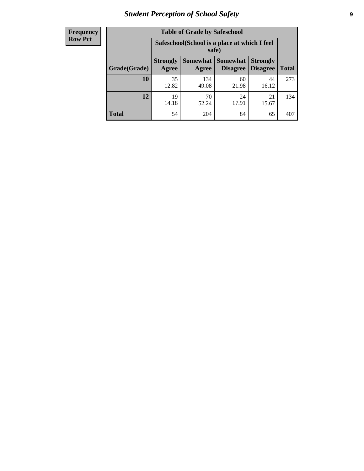# *Student Perception of School Safety* **9**

| <b>Frequency</b><br>Row Pct |
|-----------------------------|
|                             |

| <b>Table of Grade by Safeschool</b> |                                                                                                                                                  |                                                        |             |             |     |  |  |  |
|-------------------------------------|--------------------------------------------------------------------------------------------------------------------------------------------------|--------------------------------------------------------|-------------|-------------|-----|--|--|--|
|                                     |                                                                                                                                                  | Safeschool (School is a place at which I feel<br>safe) |             |             |     |  |  |  |
| Grade(Grade)                        | <b>Somewhat</b><br><b>Somewhat</b><br><b>Strongly</b><br><b>Strongly</b><br><b>Disagree</b><br>Agree<br><b>Disagree</b><br><b>Total</b><br>Agree |                                                        |             |             |     |  |  |  |
| <b>10</b>                           | 35<br>12.82                                                                                                                                      | 134<br>49.08                                           | 60<br>21.98 | 44<br>16.12 | 273 |  |  |  |
| 12                                  | 19<br>14.18                                                                                                                                      | 70<br>52.24                                            | 24<br>17.91 | 21<br>15.67 | 134 |  |  |  |
| <b>Total</b>                        | 54                                                                                                                                               | 204                                                    | 84          | 65          | 407 |  |  |  |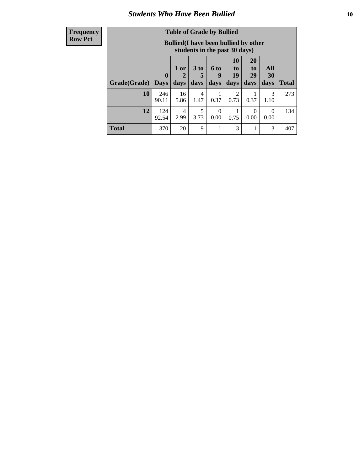### *Students Who Have Been Bullied* **10**

| <b>Frequency</b> |
|------------------|
| Row Pct          |

| <b>Table of Grade by Bullied</b> |                            |                                                                               |                              |                   |                               |                               |                          |              |
|----------------------------------|----------------------------|-------------------------------------------------------------------------------|------------------------------|-------------------|-------------------------------|-------------------------------|--------------------------|--------------|
|                                  |                            | <b>Bullied</b> (I have been bullied by other<br>students in the past 30 days) |                              |                   |                               |                               |                          |              |
| Grade(Grade)                     | $\mathbf 0$<br><b>Days</b> | 1 or<br>2<br>days                                                             | 3 <sub>to</sub><br>5<br>days | 6 to<br>9<br>days | <b>10</b><br>to<br>19<br>days | <b>20</b><br>to<br>29<br>days | <b>All</b><br>30<br>days | <b>Total</b> |
| 10                               | 246<br>90.11               | 16<br>5.86                                                                    | 4<br>1.47                    | 0.37              | 2<br>0.73                     | 0.37                          | 3<br>1.10                | 273          |
| 12                               | 124<br>92.54               | 4<br>2.99                                                                     | 5<br>3.73                    | $\theta$<br>0.00  | 0.75                          | $\Omega$<br>0.00              | 0<br>0.00                | 134          |
| <b>Total</b>                     | 370                        | 20                                                                            | 9                            |                   | 3                             |                               | 3                        | 407          |

 $\blacksquare$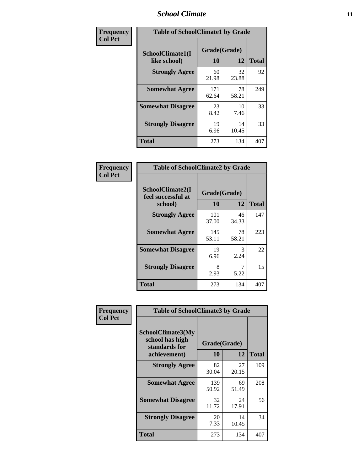### *School Climate* **11**

| Frequency      | <b>Table of SchoolClimate1 by Grade</b> |                    |             |              |  |  |  |
|----------------|-----------------------------------------|--------------------|-------------|--------------|--|--|--|
| <b>Col Pct</b> | SchoolClimate1(I<br>like school)        | Grade(Grade)<br>10 | 12          | <b>Total</b> |  |  |  |
|                | <b>Strongly Agree</b>                   | 60<br>21.98        | 32<br>23.88 | 92           |  |  |  |
|                | <b>Somewhat Agree</b>                   | 171<br>62.64       | 78<br>58.21 | 249          |  |  |  |
|                | <b>Somewhat Disagree</b>                | 23<br>8.42         | 10<br>7.46  | 33           |  |  |  |
|                | <b>Strongly Disagree</b>                | 19<br>6.96         | 14<br>10.45 | 33           |  |  |  |
|                | <b>Total</b>                            | 273                | 134         | 407          |  |  |  |

| <b>Frequency</b> |  |
|------------------|--|
| <b>Col Pct</b>   |  |

| <b>Table of SchoolClimate2 by Grade</b>           |                    |             |              |  |
|---------------------------------------------------|--------------------|-------------|--------------|--|
| SchoolClimate2(I<br>feel successful at<br>school) | Grade(Grade)<br>10 | 12          | <b>Total</b> |  |
| <b>Strongly Agree</b>                             | 101<br>37.00       | 46<br>34.33 | 147          |  |
| <b>Somewhat Agree</b>                             | 145<br>53.11       | 78<br>58.21 | 223          |  |
| <b>Somewhat Disagree</b>                          | 19<br>6.96         | 3<br>2.24   | 22           |  |
| <b>Strongly Disagree</b>                          | 8<br>2.93          | 5.22        | 15           |  |
| Total                                             | 273                | 134         | 407          |  |

| Frequency      | <b>Table of SchoolClimate3 by Grade</b>                      |              |             |              |  |  |
|----------------|--------------------------------------------------------------|--------------|-------------|--------------|--|--|
| <b>Col Pct</b> | <b>SchoolClimate3(My</b><br>school has high<br>standards for | Grade(Grade) |             |              |  |  |
|                | achievement)                                                 | <b>10</b>    | 12          | <b>Total</b> |  |  |
|                | <b>Strongly Agree</b>                                        | 82<br>30.04  | 27<br>20.15 | 109          |  |  |
|                | <b>Somewhat Agree</b>                                        | 139<br>50.92 | 69<br>51.49 | 208          |  |  |
|                | <b>Somewhat Disagree</b>                                     | 32<br>11.72  | 24<br>17.91 | 56           |  |  |
|                | <b>Strongly Disagree</b>                                     | 20<br>7.33   | 14<br>10.45 | 34           |  |  |
|                | Total                                                        | 273          | 134         | 407          |  |  |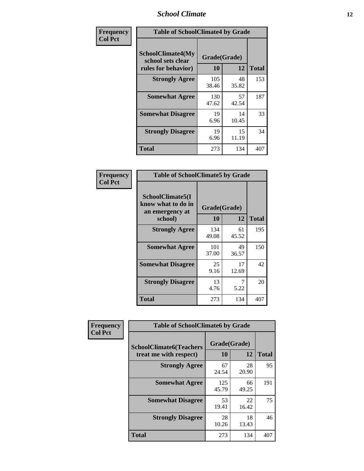### *School Climate* **12**

| Frequency      | <b>Table of SchoolClimate4 by Grade</b>                              |                    |             |              |
|----------------|----------------------------------------------------------------------|--------------------|-------------|--------------|
| <b>Col Pct</b> | <b>SchoolClimate4(My</b><br>school sets clear<br>rules for behavior) | Grade(Grade)<br>10 | 12          | <b>Total</b> |
|                | <b>Strongly Agree</b>                                                | 105<br>38.46       | 48<br>35.82 | 153          |
|                | <b>Somewhat Agree</b>                                                | 130<br>47.62       | 57<br>42.54 | 187          |
|                | <b>Somewhat Disagree</b>                                             | 19<br>6.96         | 14<br>10.45 | 33           |
|                | <b>Strongly Disagree</b>                                             | 19<br>6.96         | 15<br>11.19 | 34           |
|                | <b>Total</b>                                                         | 273                | 134         | 407          |

| <b>Table of SchoolClimate5 by Grade</b>                              |                    |             |              |  |  |
|----------------------------------------------------------------------|--------------------|-------------|--------------|--|--|
| SchoolClimate5(I<br>know what to do in<br>an emergency at<br>school) | Grade(Grade)<br>10 | 12          | <b>Total</b> |  |  |
|                                                                      |                    |             |              |  |  |
| <b>Strongly Agree</b>                                                | 134<br>49.08       | 61<br>45.52 | 195          |  |  |
| <b>Somewhat Agree</b>                                                | 101<br>37.00       | 49<br>36.57 | 150          |  |  |
| <b>Somewhat Disagree</b>                                             | 25<br>9.16         | 17<br>12.69 | 42           |  |  |
| <b>Strongly Disagree</b>                                             | 13<br>4.76         | 5.22        | 20           |  |  |
| Total                                                                | 273                | 134         | 407          |  |  |

| Frequency      | <b>Table of SchoolClimate6 by Grade</b>                  |                    |             |              |  |
|----------------|----------------------------------------------------------|--------------------|-------------|--------------|--|
| <b>Col Pct</b> | <b>SchoolClimate6(Teachers</b><br>treat me with respect) | Grade(Grade)<br>10 | 12          | <b>Total</b> |  |
|                | <b>Strongly Agree</b>                                    | 67<br>24.54        | 28<br>20.90 | 95           |  |
|                | <b>Somewhat Agree</b>                                    | 125<br>45.79       | 66<br>49.25 | 191          |  |
|                | <b>Somewhat Disagree</b>                                 | 53<br>19.41        | 22<br>16.42 | 75           |  |
|                | <b>Strongly Disagree</b>                                 | 28<br>10.26        | 18<br>13.43 | 46           |  |
|                | <b>Total</b>                                             | 273                | 134         | 407          |  |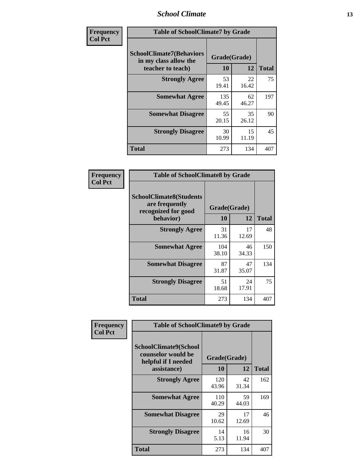### *School Climate* **13**

| Frequency      | <b>Table of SchoolClimate7 by Grade</b>                                       |                           |             |              |
|----------------|-------------------------------------------------------------------------------|---------------------------|-------------|--------------|
| <b>Col Pct</b> | <b>SchoolClimate7(Behaviors</b><br>in my class allow the<br>teacher to teach) | Grade(Grade)<br><b>10</b> | 12          | <b>Total</b> |
|                | <b>Strongly Agree</b>                                                         | 53<br>19.41               | 22<br>16.42 | 75           |
|                | <b>Somewhat Agree</b>                                                         | 135<br>49.45              | 62<br>46.27 | 197          |
|                | <b>Somewhat Disagree</b>                                                      | 55<br>20.15               | 35<br>26.12 | 90           |
|                | <b>Strongly Disagree</b>                                                      | 30<br>10.99               | 15<br>11.19 | 45           |
|                | <b>Total</b>                                                                  | 273                       | 134         | 407          |

| Frequency      | <b>Table of SchoolClimate8 by Grade</b>                                              |                    |             |              |  |
|----------------|--------------------------------------------------------------------------------------|--------------------|-------------|--------------|--|
| <b>Col Pct</b> | <b>SchoolClimate8(Students</b><br>are frequently<br>recognized for good<br>behavior) | Grade(Grade)<br>10 | 12          | <b>Total</b> |  |
|                | <b>Strongly Agree</b>                                                                | 31<br>11.36        | 17<br>12.69 | 48           |  |
|                | <b>Somewhat Agree</b>                                                                | 104<br>38.10       | 46<br>34.33 | 150          |  |
|                | <b>Somewhat Disagree</b>                                                             | 87<br>31.87        | 47<br>35.07 | 134          |  |
|                | <b>Strongly Disagree</b>                                                             | 51<br>18.68        | 24<br>17.91 | 75           |  |
|                | <b>Total</b>                                                                         | 273                | 134         | 407          |  |

| Frequency      | <b>Table of SchoolClimate9 by Grade</b>                                                  |                    |             |              |  |
|----------------|------------------------------------------------------------------------------------------|--------------------|-------------|--------------|--|
| <b>Col Pct</b> | <b>SchoolClimate9(School</b><br>counselor would be<br>helpful if I needed<br>assistance) | Grade(Grade)<br>10 | 12          | <b>Total</b> |  |
|                | <b>Strongly Agree</b>                                                                    | 120<br>43.96       | 42<br>31.34 | 162          |  |
|                | <b>Somewhat Agree</b>                                                                    | 110<br>40.29       | 59<br>44.03 | 169          |  |
|                | <b>Somewhat Disagree</b>                                                                 | 29<br>10.62        | 17<br>12.69 | 46           |  |
|                | <b>Strongly Disagree</b>                                                                 | 14<br>5.13         | 16<br>11.94 | 30           |  |
|                | <b>Total</b>                                                                             | 273                | 134         | 407          |  |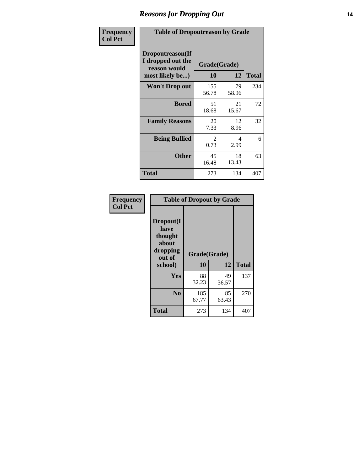### *Reasons for Dropping Out* **14**

| <b>Frequency</b> | <b>Table of Dropoutreason by Grade</b>                                   |                    |             |              |
|------------------|--------------------------------------------------------------------------|--------------------|-------------|--------------|
| <b>Col Pct</b>   | Dropoutreason(If<br>I dropped out the<br>reason would<br>most likely be) | Grade(Grade)<br>10 | 12          | <b>Total</b> |
|                  | <b>Won't Drop out</b>                                                    | 155<br>56.78       | 79<br>58.96 | 234          |
|                  | <b>Bored</b>                                                             | 51<br>18.68        | 21<br>15.67 | 72           |
|                  | <b>Family Reasons</b>                                                    | 20<br>7.33         | 12<br>8.96  | 32           |
|                  | <b>Being Bullied</b>                                                     | 2<br>0.73          | 4<br>2.99   | 6            |
|                  | <b>Other</b>                                                             | 45<br>16.48        | 18<br>13.43 | 63           |
|                  | Total                                                                    | 273                | 134         | 407          |

| Frequency<br><b>Col Pct</b> | <b>Table of Dropout by Grade</b>                                       |                    |             |              |  |  |
|-----------------------------|------------------------------------------------------------------------|--------------------|-------------|--------------|--|--|
|                             | Dropout(I<br>have<br>thought<br>about<br>dropping<br>out of<br>school) | Grade(Grade)<br>10 | 12          | <b>Total</b> |  |  |
|                             |                                                                        |                    |             |              |  |  |
|                             | Yes                                                                    | 88<br>32.23        | 49<br>36.57 | 137          |  |  |
|                             | N <sub>0</sub>                                                         | 185<br>67.77       | 85<br>63.43 | 270          |  |  |
|                             | <b>Total</b>                                                           | 273                | 134         | 407          |  |  |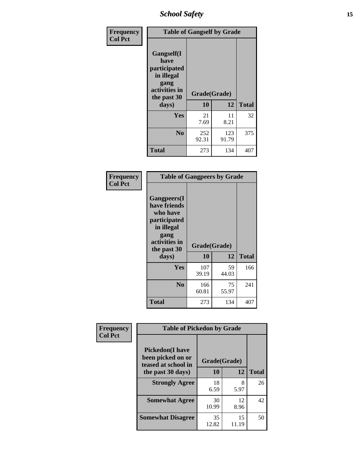*School Safety* **15**

| Frequency      | <b>Table of Gangself by Grade</b>                                                                 |                    |              |              |
|----------------|---------------------------------------------------------------------------------------------------|--------------------|--------------|--------------|
| <b>Col Pct</b> | Gangself(I<br>have<br>participated<br>in illegal<br>gang<br>activities in<br>the past 30<br>days) | Grade(Grade)<br>10 | 12           | <b>Total</b> |
|                | Yes                                                                                               | 21<br>7.69         | 11<br>8.21   | 32           |
|                | N <sub>0</sub>                                                                                    | 252<br>92.31       | 123<br>91.79 | 375          |
|                | <b>Total</b>                                                                                      | 273                | 134          | 407          |

| Frequency<br><b>Col Pct</b> | <b>Table of Gangpeers by Grade</b>                                                                                             |                    |             |              |  |  |  |  |  |
|-----------------------------|--------------------------------------------------------------------------------------------------------------------------------|--------------------|-------------|--------------|--|--|--|--|--|
|                             | <b>Gangpeers</b> (I<br>have friends<br>who have<br>participated<br>in illegal<br>gang<br>activities in<br>the past 30<br>days) | Grade(Grade)<br>10 | 12          | <b>Total</b> |  |  |  |  |  |
|                             | <b>Yes</b>                                                                                                                     | 107<br>39.19       | 59<br>44.03 | 166          |  |  |  |  |  |
|                             | N <sub>0</sub>                                                                                                                 | 166<br>60.81       | 75<br>55.97 | 241          |  |  |  |  |  |
|                             | <b>Total</b>                                                                                                                   | 273                | 134         | 407          |  |  |  |  |  |

| Frequency      | <b>Table of Pickedon by Grade</b>                                   |              |             |              |  |  |  |  |  |  |
|----------------|---------------------------------------------------------------------|--------------|-------------|--------------|--|--|--|--|--|--|
| <b>Col Pct</b> | <b>Pickedon</b> (I have<br>been picked on or<br>teased at school in | Grade(Grade) |             |              |  |  |  |  |  |  |
|                | the past 30 days)                                                   | 10           | 12          | <b>Total</b> |  |  |  |  |  |  |
|                | <b>Strongly Agree</b>                                               | 18<br>6.59   | 8<br>5.97   | 26           |  |  |  |  |  |  |
|                | <b>Somewhat Agree</b>                                               | 30<br>10.99  | 12<br>8.96  | 42           |  |  |  |  |  |  |
|                | <b>Somewhat Disagree</b>                                            | 35<br>12.82  | 15<br>11.19 | 50           |  |  |  |  |  |  |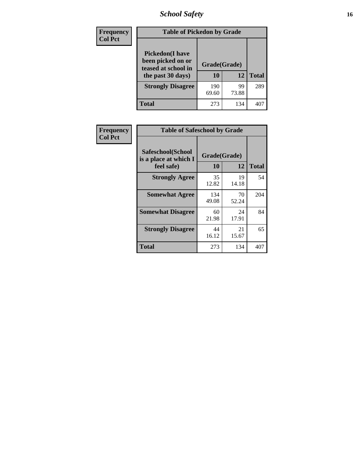# *School Safety* **16**

| Frequency      |                                                                                          | <b>Table of Pickedon by Grade</b> |             |              |  |  |  |  |  |  |
|----------------|------------------------------------------------------------------------------------------|-----------------------------------|-------------|--------------|--|--|--|--|--|--|
| <b>Col Pct</b> | <b>Pickedon</b> (I have<br>been picked on or<br>teased at school in<br>the past 30 days) | Grade(Grade)<br>10                | 12          | <b>Total</b> |  |  |  |  |  |  |
|                | <b>Strongly Disagree</b>                                                                 | 190<br>69.60                      | 99<br>73.88 | 289          |  |  |  |  |  |  |
|                | Total                                                                                    | 273                               | 134         | 40           |  |  |  |  |  |  |

| Frequency      | <b>Table of Safeschool by Grade</b>                      |                    |              |     |
|----------------|----------------------------------------------------------|--------------------|--------------|-----|
| <b>Col Pct</b> | Safeschool(School<br>is a place at which I<br>feel safe) | Grade(Grade)<br>10 | <b>Total</b> |     |
|                | <b>Strongly Agree</b>                                    | 35<br>12.82        | 19<br>14.18  | 54  |
|                | <b>Somewhat Agree</b>                                    | 134<br>49.08       | 70<br>52.24  | 204 |
|                | <b>Somewhat Disagree</b>                                 | 60<br>21.98        | 24<br>17.91  | 84  |
|                | <b>Strongly Disagree</b>                                 | 44<br>16.12        | 21<br>15.67  | 65  |
|                | <b>Total</b>                                             | 273                | 134          | 407 |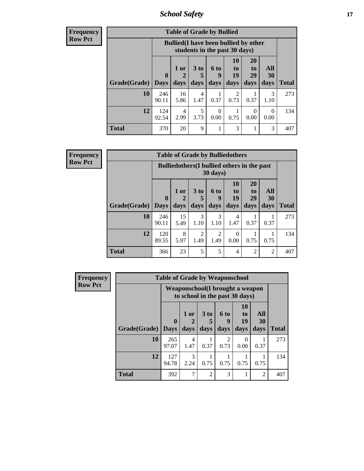*School Safety* **17**

| <b>Frequency</b> |
|------------------|
| Row Pct          |

|              | <b>Table of Grade by Bullied</b> |                      |                                              |                      |                               |                |                  |                   |              |  |  |  |
|--------------|----------------------------------|----------------------|----------------------------------------------|----------------------|-------------------------------|----------------|------------------|-------------------|--------------|--|--|--|
|              |                                  |                      | <b>Bullied</b> (I have been bullied by other |                      | students in the past 30 days) |                |                  |                   |              |  |  |  |
| Grade(Grade) |                                  | $\mathbf{0}$         | $1$ or<br>$\mathcal{D}_{\cdot}$              | 3 <sub>to</sub><br>5 | <b>6 to</b><br>9              | 10<br>to<br>19 | 20<br>to<br>29   | All<br>30         | <b>Total</b> |  |  |  |
|              | 10                               | Days<br>246<br>90.11 | days<br>16<br>5.86                           | days<br>4<br>1.47    | days<br>0.37                  | days<br>0.73   | days<br>0.37     | days<br>3<br>1.10 | 273          |  |  |  |
|              | 12                               | 124<br>92.54         | 4<br>2.99                                    | 5<br>3.73            | $\Omega$<br>0.00              | 0.75           | $\Omega$<br>0.00 | 0<br>0.00         | 134          |  |  |  |
| Total        |                                  | 370                  | 20                                           | 9                    |                               | 3              | 1                | 3                 | 407          |  |  |  |

| Frequency      | <b>Table of Grade by Bulliedothers</b> |                             |                                                         |                              |                          |                        |                               |                   |              |  |  |
|----------------|----------------------------------------|-----------------------------|---------------------------------------------------------|------------------------------|--------------------------|------------------------|-------------------------------|-------------------|--------------|--|--|
| <b>Row Pct</b> |                                        |                             | Bulliedothers (I bullied others in the past<br>30 days) |                              |                          |                        |                               |                   |              |  |  |
|                | Grade(Grade)                           | $\mathbf{0}$<br><b>Days</b> | 1 or<br>days                                            | 3 <sub>to</sub><br>5<br>days | <b>6 to</b><br>9<br>days | 10<br>to<br>19<br>days | <b>20</b><br>to<br>29<br>days | All<br>30<br>days | <b>Total</b> |  |  |
|                | 10                                     | 246<br>90.11                | 15<br>5.49                                              | 3<br>1.10                    | 3<br>1.10                | 4<br>1.47              | 0.37                          | 0.37              | 273          |  |  |
|                | 12                                     | 120<br>89.55                | 8<br>5.97                                               | $\mathfrak{D}$<br>1.49       | $\mathfrak{D}$<br>1.49   | $\Omega$<br>0.00       | 0.75                          | 0.75              | 134          |  |  |
|                | <b>Total</b>                           | 366                         | 23                                                      | 5                            | 5                        | 4                      | $\mathfrak{D}$                | $\mathfrak{D}$    | 407          |  |  |

| <b>Frequency</b> |              | <b>Table of Grade by Weaponschool</b> |                                                                    |                         |                          |                                    |                   |              |  |
|------------------|--------------|---------------------------------------|--------------------------------------------------------------------|-------------------------|--------------------------|------------------------------------|-------------------|--------------|--|
| <b>Row Pct</b>   |              |                                       | Weaponschool (I brought a weapon<br>to school in the past 30 days) |                         |                          |                                    |                   |              |  |
|                  | Grade(Grade) | $\mathbf 0$<br><b>Days</b>            | 1 or<br>days                                                       | 3 <sub>to</sub><br>days | <b>6 to</b><br>9<br>days | 10<br>t <sub>0</sub><br>19<br>days | All<br>30<br>days | <b>Total</b> |  |
|                  | 10           | 265<br>97.07                          | $\overline{4}$<br>1.47                                             | 0.37                    | $\mathfrak{D}$<br>0.73   | 0<br>0.00                          | 0.37              | 273          |  |
|                  | 12           | 127<br>94.78                          | 3<br>2.24                                                          | 0.75                    | 0.75                     | 0.75                               | 0.75              | 134          |  |
|                  | <b>Total</b> | 392                                   | $\mathcal{I}$                                                      | $\overline{2}$          | 3                        |                                    | 2                 | 407          |  |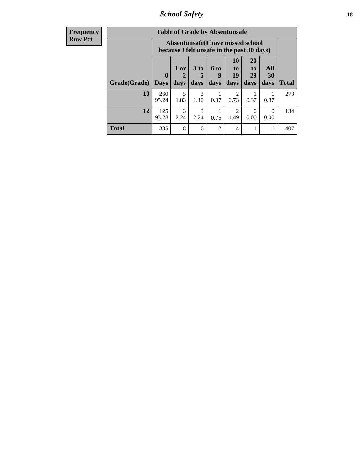*School Safety* **18**

| <b>Frequency</b> |              | <b>Table of Grade by Absentunsafe</b> |           |                      |                                                                                 |                        |                       |                  |              |
|------------------|--------------|---------------------------------------|-----------|----------------------|---------------------------------------------------------------------------------|------------------------|-----------------------|------------------|--------------|
| <b>Row Pct</b>   |              |                                       |           |                      | Absentunsafe(I have missed school<br>because I felt unsafe in the past 30 days) |                        |                       |                  |              |
|                  |              | $\mathbf{0}$                          | 1 or<br>2 | 3 <sub>to</sub><br>5 | 6 to<br>y                                                                       | <b>10</b><br>to<br>19  | <b>20</b><br>to<br>29 | All<br>30        |              |
|                  | Grade(Grade) | <b>Days</b>                           | days      | days                 | days                                                                            | days                   | days                  | days             | <b>Total</b> |
|                  | 10           | 260<br>95.24                          | 5<br>1.83 | 3<br>1.10            | 0.37                                                                            | $\mathfrak{D}$<br>0.73 | 0.37                  | 0.37             | 273          |
|                  | 12           | 125<br>93.28                          | 3<br>2.24 | 3<br>2.24            | 0.75                                                                            | $\mathfrak{D}$<br>1.49 | $\Omega$<br>0.00      | $\Omega$<br>0.00 | 134          |
|                  | <b>Total</b> | 385                                   | 8         | 6                    | $\overline{2}$                                                                  | 4                      |                       |                  | 407          |
|                  |              |                                       |           |                      |                                                                                 |                        |                       |                  |              |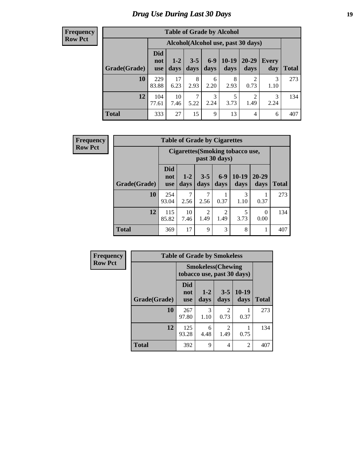# *Drug Use During Last 30 Days* **19**

| <b>Table of Grade by Alcohol</b> |                                 |                                    |                 |               |                 |                        |              |              |  |  |
|----------------------------------|---------------------------------|------------------------------------|-----------------|---------------|-----------------|------------------------|--------------|--------------|--|--|
|                                  |                                 | Alcohol(Alcohol use, past 30 days) |                 |               |                 |                        |              |              |  |  |
| Grade(Grade)                     | <b>Did</b><br>not<br><b>use</b> | $1-2$<br>days                      | $3 - 5$<br>days | $6-9$<br>days | $10-19$<br>days | 20-29<br>days          | Every<br>day | <b>Total</b> |  |  |
| 10                               | 229<br>83.88                    | 17<br>6.23                         | 8<br>2.93       | 6<br>2.20     | 8<br>2.93       | $\overline{2}$<br>0.73 | 3<br>1.10    | 273          |  |  |
| 12                               | 104<br>77.61                    | 10<br>7.46                         | 7<br>5.22       | 3<br>2.24     | 5<br>3.73       | $\overline{c}$<br>1.49 | 3<br>2.24    | 134          |  |  |
| <b>Total</b>                     | 333                             | 27                                 | 15              | 9             | 13              | 4                      | 6            | 407          |  |  |

| <b>Frequency</b> |              | <b>Table of Grade by Cigarettes</b> |                                                   |                        |                        |                 |                   |              |  |  |
|------------------|--------------|-------------------------------------|---------------------------------------------------|------------------------|------------------------|-----------------|-------------------|--------------|--|--|
| <b>Row Pct</b>   |              |                                     | Cigarettes (Smoking tobacco use,<br>past 30 days) |                        |                        |                 |                   |              |  |  |
|                  | Grade(Grade) | <b>Did</b><br>not<br><b>use</b>     | $1 - 2$<br>days                                   | $3 - 5$<br>days        | $6-9$<br>days          | $10-19$<br>days | $20 - 29$<br>days | <b>Total</b> |  |  |
|                  | 10           | 254<br>93.04                        | 7<br>2.56                                         | 7<br>2.56              | 0.37                   | 3<br>1.10       | 0.37              | 273          |  |  |
|                  | 12           | 115<br>85.82                        | 10<br>7.46                                        | $\overline{2}$<br>1.49 | $\mathfrak{D}$<br>1.49 | 5<br>3.73       | $\Omega$<br>0.00  | 134          |  |  |
|                  | <b>Total</b> | 369                                 | 17                                                | 9                      | 3                      | 8               | 1                 | 407          |  |  |

| Frequency      | <b>Table of Grade by Smokeless</b> |                                                         |                 |                        |                 |              |  |  |  |  |
|----------------|------------------------------------|---------------------------------------------------------|-----------------|------------------------|-----------------|--------------|--|--|--|--|
| <b>Row Pct</b> |                                    | <b>Smokeless</b> (Chewing<br>tobacco use, past 30 days) |                 |                        |                 |              |  |  |  |  |
|                | Grade(Grade)                       | <b>Did</b><br>not<br><b>use</b>                         | $1 - 2$<br>days | $3 - 5$<br>days        | $10-19$<br>days | <b>Total</b> |  |  |  |  |
|                | 10                                 | 267<br>97.80                                            | 3<br>1.10       | 2<br>0.73              | 0.37            | 273          |  |  |  |  |
|                | 12                                 | 125<br>93.28                                            | 6<br>4.48       | $\mathfrak{D}$<br>1.49 | 0.75            | 134          |  |  |  |  |
|                | <b>Total</b>                       | 392                                                     | 9               | $\overline{4}$         | $\overline{c}$  | 407          |  |  |  |  |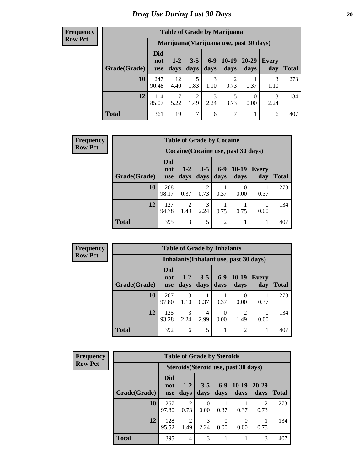| <b>Table of Grade by Marijuana</b> |                          |                 |                        |                 |                 |                                         |              |              |  |  |
|------------------------------------|--------------------------|-----------------|------------------------|-----------------|-----------------|-----------------------------------------|--------------|--------------|--|--|
|                                    |                          |                 |                        |                 |                 | Marijuana (Marijuana use, past 30 days) |              |              |  |  |
| Grade(Grade)                       | Did<br>not<br><b>use</b> | $1 - 2$<br>days | $3 - 5$<br>days        | $6 - 9$<br>days | $10-19$<br>days | $20 - 29$<br>days                       | Every<br>day | <b>Total</b> |  |  |
| 10                                 | 247<br>90.48             | 12<br>4.40      | 5<br>1.83              | 3<br>1.10       | 2<br>0.73       | 0.37                                    | 3<br>1.10    | 273          |  |  |
| 12                                 | 114<br>85.07             | 5.22            | $\overline{2}$<br>1.49 | 3<br>2.24       | 5<br>3.73       | 0<br>0.00                               | 3<br>2.24    | 134          |  |  |
| <b>Total</b>                       | 361                      | 19              | 7                      | 6               | 7               |                                         | 6            | 407          |  |  |

| <b>Frequency</b> |              | <b>Table of Grade by Cocaine</b> |               |                 |                 |                                     |                     |              |
|------------------|--------------|----------------------------------|---------------|-----------------|-----------------|-------------------------------------|---------------------|--------------|
| <b>Row Pct</b>   |              |                                  |               |                 |                 | Cocaine (Cocaine use, past 30 days) |                     |              |
|                  | Grade(Grade) | <b>Did</b><br>not<br><b>use</b>  | $1-2$<br>days | $3 - 5$<br>days | $6 - 9$<br>days | $10-19$<br>days                     | <b>Every</b><br>day | <b>Total</b> |
|                  | 10           | 268<br>98.17                     | 0.37          | 2<br>0.73       | 0.37            | $\Omega$<br>0.00                    | 0.37                | 273          |
|                  | 12           | 127<br>94.78                     | 2<br>1.49     | 3<br>2.24       | 0.75            | 0.75                                | $\theta$<br>0.00    | 134          |
|                  | <b>Total</b> | 395                              | 3             | 5               | 2               |                                     | 1                   | 407          |

| Frequency      |              | <b>Table of Grade by Inhalants</b> |                       |                 |               |                                        |              |              |
|----------------|--------------|------------------------------------|-----------------------|-----------------|---------------|----------------------------------------|--------------|--------------|
| <b>Row Pct</b> |              |                                    |                       |                 |               | Inhalants (Inhalant use, past 30 days) |              |              |
|                | Grade(Grade) | <b>Did</b><br>not<br><b>use</b>    | $1-2$<br>days         | $3 - 5$<br>days | $6-9$<br>days | $10-19$<br>days                        | Every<br>day | <b>Total</b> |
|                | 10           | 267<br>97.80                       | 3<br>1.10             | 0.37            | 0.37          | $\left( \right)$<br>0.00               | 0.37         | 273          |
|                | 12           | 125<br>93.28                       | $\mathcal{R}$<br>2.24 | 4<br>2.99       | 0<br>0.00     | $\mathfrak{D}$<br>1.49                 | 0<br>0.00    | 134          |
|                | <b>Total</b> | 392                                | 6                     | 5               |               | $\mathfrak{D}$                         |              | 407          |

| Frequency      | <b>Table of Grade by Steroids</b> |                                      |                        |                 |               |                 |                                                                                                                                                                         |              |
|----------------|-----------------------------------|--------------------------------------|------------------------|-----------------|---------------|-----------------|-------------------------------------------------------------------------------------------------------------------------------------------------------------------------|--------------|
| <b>Row Pct</b> |                                   | Steroids (Steroid use, past 30 days) |                        |                 |               |                 |                                                                                                                                                                         |              |
|                | Grade(Grade)                      | <b>Did</b><br>not<br>use             | $1 - 2$<br>days        | $3 - 5$<br>days | $6-9$<br>days | $10-19$<br>days | $20 - 29$<br>days                                                                                                                                                       | <b>Total</b> |
|                | 10                                | 267<br>97.80                         | $\mathfrak{D}$<br>0.73 | 0<br>0.00       | 0.37          | 0.37            | $\mathcal{D}_{\mathcal{A}}^{\mathcal{A}}(\mathcal{A})=\mathcal{D}_{\mathcal{A}}^{\mathcal{A}}(\mathcal{A})\mathcal{D}_{\mathcal{A}}^{\mathcal{A}}(\mathcal{A})$<br>0.73 | 273          |
|                | 12                                | 128<br>95.52                         | $\mathfrak{D}$<br>1.49 | 3<br>2.24       | 0<br>0.00     | 0.00            | 0.75                                                                                                                                                                    | 134          |
|                | <b>Total</b>                      | 395                                  | 4                      | 3               |               |                 | 3                                                                                                                                                                       | 407          |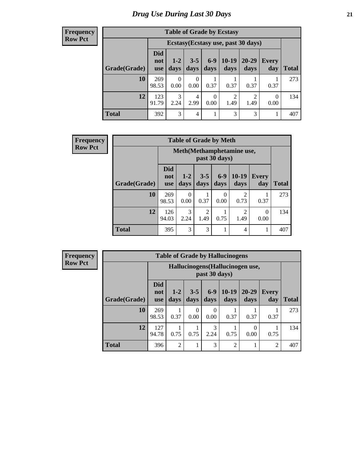#### **Frequency Row Pct**

| <b>Table of Grade by Ecstasy</b> |                                 |                                     |                 |                  |                 |                        |                  |              |  |  |
|----------------------------------|---------------------------------|-------------------------------------|-----------------|------------------|-----------------|------------------------|------------------|--------------|--|--|
|                                  |                                 | Ecstasy (Ecstasy use, past 30 days) |                 |                  |                 |                        |                  |              |  |  |
| Grade(Grade)                     | <b>Did</b><br>not<br><b>use</b> | $1-2$<br>days                       | $3 - 5$<br>days | $6 - 9$<br>days  | $10-19$<br>days | 20-29<br>days          | Every<br>day     | <b>Total</b> |  |  |
| 10                               | 269<br>98.53                    | $\theta$<br>0.00                    | 0<br>0.00       | 0.37             | 0.37            | 0.37                   | 0.37             | 273          |  |  |
| 12                               | 123<br>91.79                    | 3<br>2.24                           | 4<br>2.99       | $\theta$<br>0.00 | 2<br>1.49       | $\overline{c}$<br>1.49 | $\Omega$<br>0.00 | 134          |  |  |
| <b>Total</b>                     | 392                             | 3                                   | 4               |                  | 3               | 3                      | 1                | 407          |  |  |

| <b>Frequency</b> | <b>Table of Grade by Meth</b> |                                 |                  |                        |                  |                        |                     |              |
|------------------|-------------------------------|---------------------------------|------------------|------------------------|------------------|------------------------|---------------------|--------------|
| Row Pct          |                               | Meth (Methamphetamine use,      |                  |                        |                  |                        |                     |              |
|                  | Grade(Grade)                  | <b>Did</b><br>not<br><b>use</b> | $1 - 2$<br>days  | $3 - 5$<br>days        | $6-9$<br>days    | $10-19$<br>days        | <b>Every</b><br>day | <b>Total</b> |
|                  | 10                            | 269<br>98.53                    | $\theta$<br>0.00 | 0.37                   | $\Omega$<br>0.00 | $\overline{2}$<br>0.73 | 0.37                | 273          |
|                  | 12                            | 126<br>94.03                    | 3<br>2.24        | $\overline{2}$<br>1.49 | 0.75             | $\overline{2}$<br>1.49 | $\Omega$<br>0.00    | 134          |
|                  | <b>Total</b>                  | 395                             | 3                | 3                      | 1                | 4                      |                     | 407          |

| <b>Table of Grade by Hallucinogens</b> |                                 |                                                   |                 |                  |                 |                   |              |              |  |  |
|----------------------------------------|---------------------------------|---------------------------------------------------|-----------------|------------------|-----------------|-------------------|--------------|--------------|--|--|
|                                        |                                 | Hallucinogens (Hallucinogen use,<br>past 30 days) |                 |                  |                 |                   |              |              |  |  |
| Grade(Grade)                           | <b>Did</b><br>not<br><b>use</b> | $1-2$<br>days                                     | $3 - 5$<br>days | $6-9$<br>days    | $10-19$<br>days | $20 - 29$<br>days | Every<br>day | <b>Total</b> |  |  |
| 10                                     | 269<br>98.53                    | 0.37                                              | 0<br>0.00       | $\Omega$<br>0.00 | 0.37            | 0.37              | 0.37         | 273          |  |  |
| 12                                     | 127<br>94.78                    | 0.75                                              | 0.75            | 3<br>2.24        | 0.75            | 0<br>0.00         | 0.75         | 134          |  |  |
| <b>Total</b>                           | 396                             | $\overline{2}$                                    |                 | 3                | $\overline{c}$  |                   | 2            | 407          |  |  |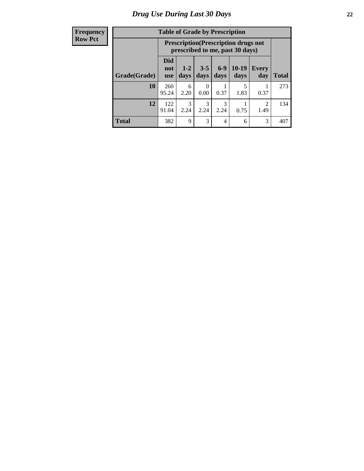| <b>Table of Grade by Prescription</b> |                                 |                                                                                |                 |                       |                 |                        |              |  |  |
|---------------------------------------|---------------------------------|--------------------------------------------------------------------------------|-----------------|-----------------------|-----------------|------------------------|--------------|--|--|
|                                       |                                 | <b>Prescription</b> (Prescription drugs not<br>prescribed to me, past 30 days) |                 |                       |                 |                        |              |  |  |
| Grade(Grade)                          | <b>Did</b><br>not<br><b>use</b> | $1 - 2$<br>days                                                                | $3 - 5$<br>days | $6-9$<br>days         | $10-19$<br>days | Every<br>day           | <b>Total</b> |  |  |
| 10                                    | 260<br>95.24                    | 6<br>2.20                                                                      | 0.00            | 0.37                  | 5<br>1.83       | 0.37                   | 273          |  |  |
| 12                                    | 122<br>91.04                    | 3<br>2.24                                                                      | 3<br>2.24       | $\mathcal{R}$<br>2.24 | 0.75            | $\mathfrak{D}$<br>1.49 | 134          |  |  |
| <b>Total</b>                          | 382                             | 9                                                                              | 3               | 4                     | 6               | 3                      | 407          |  |  |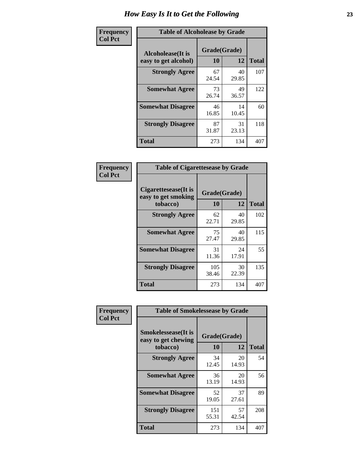| Frequency      | <b>Table of Alcoholease by Grade</b>              |                    |              |     |  |  |  |  |
|----------------|---------------------------------------------------|--------------------|--------------|-----|--|--|--|--|
| <b>Col Pct</b> | <b>Alcoholease</b> (It is<br>easy to get alcohol) | Grade(Grade)<br>10 | <b>Total</b> |     |  |  |  |  |
|                | <b>Strongly Agree</b>                             | 67<br>24.54        | 40<br>29.85  | 107 |  |  |  |  |
|                | <b>Somewhat Agree</b>                             | 73<br>26.74        | 49<br>36.57  | 122 |  |  |  |  |
|                | <b>Somewhat Disagree</b>                          | 46<br>16.85        | 14<br>10.45  | 60  |  |  |  |  |
|                | <b>Strongly Disagree</b>                          | 87<br>31.87        | 31<br>23.13  | 118 |  |  |  |  |
|                | <b>Total</b>                                      | 273                | 134          | 407 |  |  |  |  |

| Frequency      | <b>Table of Cigarettesease by Grade</b>                 |                    |             |              |  |  |  |
|----------------|---------------------------------------------------------|--------------------|-------------|--------------|--|--|--|
| <b>Col Pct</b> | Cigarettesease(It is<br>easy to get smoking<br>tobacco) | Grade(Grade)<br>10 | 12          | <b>Total</b> |  |  |  |
|                | <b>Strongly Agree</b>                                   | 62<br>22.71        | 40<br>29.85 | 102          |  |  |  |
|                | <b>Somewhat Agree</b>                                   | 75<br>27.47        | 40<br>29.85 | 115          |  |  |  |
|                | <b>Somewhat Disagree</b>                                | 31<br>11.36        | 24<br>17.91 | 55           |  |  |  |
|                | <b>Strongly Disagree</b>                                | 105<br>38.46       | 30<br>22.39 | 135          |  |  |  |
|                | <b>Total</b>                                            | 273                | 134         | 407          |  |  |  |

| Frequency      | <b>Table of Smokelessease by Grade</b>                         |                    |             |              |
|----------------|----------------------------------------------------------------|--------------------|-------------|--------------|
| <b>Col Pct</b> | <b>Smokelessease</b> (It is<br>easy to get chewing<br>tobacco) | Grade(Grade)<br>10 | 12          | <b>Total</b> |
|                | <b>Strongly Agree</b>                                          | 34<br>12.45        | 20<br>14.93 | 54           |
|                | <b>Somewhat Agree</b>                                          | 36<br>13.19        | 20<br>14.93 | 56           |
|                | <b>Somewhat Disagree</b>                                       | 52<br>19.05        | 37<br>27.61 | 89           |
|                | <b>Strongly Disagree</b>                                       | 151<br>55.31       | 57<br>42.54 | 208          |
|                | <b>Total</b>                                                   | 273                | 134         | 407          |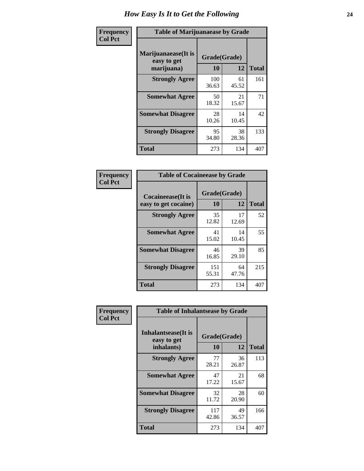| Frequency      | <b>Table of Marijuanaease by Grade</b>           |                    |             |              |  |  |  |  |
|----------------|--------------------------------------------------|--------------------|-------------|--------------|--|--|--|--|
| <b>Col Pct</b> | Marijuanaease(It is<br>easy to get<br>marijuana) | Grade(Grade)<br>10 | 12          | <b>Total</b> |  |  |  |  |
|                | <b>Strongly Agree</b>                            | 100<br>36.63       | 61<br>45.52 | 161          |  |  |  |  |
|                | <b>Somewhat Agree</b>                            | 50<br>18.32        | 21<br>15.67 | 71           |  |  |  |  |
|                | <b>Somewhat Disagree</b>                         | 28<br>10.26        | 14<br>10.45 | 42           |  |  |  |  |
|                | <b>Strongly Disagree</b>                         | 95<br>34.80        | 38<br>28.36 | 133          |  |  |  |  |
|                | <b>Total</b>                                     | 273                | 134         | 407          |  |  |  |  |

| <b>Table of Cocaineease by Grade</b>              |              |                    |     |  |  |  |  |  |  |  |
|---------------------------------------------------|--------------|--------------------|-----|--|--|--|--|--|--|--|
| <b>Cocaineease</b> (It is<br>easy to get cocaine) | 10           | Grade(Grade)<br>12 |     |  |  |  |  |  |  |  |
| <b>Strongly Agree</b>                             | 35<br>12.82  | 17<br>12.69        | 52  |  |  |  |  |  |  |  |
| <b>Somewhat Agree</b>                             | 41<br>15.02  | 14<br>10.45        | 55  |  |  |  |  |  |  |  |
| <b>Somewhat Disagree</b>                          | 46<br>16.85  | 39<br>29.10        | 85  |  |  |  |  |  |  |  |
| <b>Strongly Disagree</b>                          | 151<br>55.31 | 64<br>47.76        | 215 |  |  |  |  |  |  |  |
| <b>Total</b>                                      | 273          | 134                | 407 |  |  |  |  |  |  |  |

| Frequency      | <b>Table of Inhalantsease by Grade</b>           |                    |              |     |
|----------------|--------------------------------------------------|--------------------|--------------|-----|
| <b>Col Pct</b> | Inhalantsease(It is<br>easy to get<br>inhalants) | Grade(Grade)<br>10 | <b>Total</b> |     |
|                | <b>Strongly Agree</b>                            | 77                 | 12<br>36     | 113 |
|                |                                                  | 28.21              | 26.87        |     |
|                | <b>Somewhat Agree</b>                            | 47<br>17.22        | 21<br>15.67  | 68  |
|                | <b>Somewhat Disagree</b>                         | 32<br>11.72        | 28<br>20.90  | 60  |
|                | <b>Strongly Disagree</b>                         | 117<br>42.86       | 49<br>36.57  | 166 |
|                | <b>Total</b>                                     | 273                | 134          | 407 |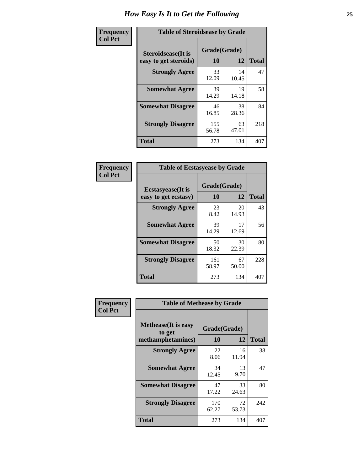| Frequency      | <b>Table of Steroidsease by Grade</b>               |                    |              |     |  |  |  |  |  |  |
|----------------|-----------------------------------------------------|--------------------|--------------|-----|--|--|--|--|--|--|
| <b>Col Pct</b> | <b>Steroidsease</b> (It is<br>easy to get steroids) | Grade(Grade)<br>10 | <b>Total</b> |     |  |  |  |  |  |  |
|                | <b>Strongly Agree</b>                               | 33<br>12.09        | 14<br>10.45  | 47  |  |  |  |  |  |  |
|                | <b>Somewhat Agree</b>                               | 39<br>14.29        | 19<br>14.18  | 58  |  |  |  |  |  |  |
|                | <b>Somewhat Disagree</b>                            | 46<br>16.85        | 38<br>28.36  | 84  |  |  |  |  |  |  |
|                | <b>Strongly Disagree</b>                            | 155<br>56.78       | 63<br>47.01  | 218 |  |  |  |  |  |  |
|                | Total                                               | 273                | 134          | 407 |  |  |  |  |  |  |

| Frequency      | <b>Table of Ecstasyease by Grade</b>              |                    |              |     |  |  |  |  |  |  |  |
|----------------|---------------------------------------------------|--------------------|--------------|-----|--|--|--|--|--|--|--|
| <b>Col Pct</b> | <b>Ecstasyease</b> (It is<br>easy to get ecstasy) | Grade(Grade)<br>10 | <b>Total</b> |     |  |  |  |  |  |  |  |
|                | <b>Strongly Agree</b>                             | 23<br>8.42         | 20<br>14.93  | 43  |  |  |  |  |  |  |  |
|                | <b>Somewhat Agree</b>                             | 39<br>14.29        | 17<br>12.69  | 56  |  |  |  |  |  |  |  |
|                | <b>Somewhat Disagree</b>                          | 50<br>18.32        | 30<br>22.39  | 80  |  |  |  |  |  |  |  |
|                | <b>Strongly Disagree</b>                          | 161<br>58.97       | 67<br>50.00  | 228 |  |  |  |  |  |  |  |
|                | <b>Total</b>                                      | 273                | 134          | 407 |  |  |  |  |  |  |  |

| Frequency      | <b>Table of Methease by Grade</b>                          |                    |             |              |
|----------------|------------------------------------------------------------|--------------------|-------------|--------------|
| <b>Col Pct</b> | <b>Methease</b> (It is easy<br>to get<br>methamphetamines) | Grade(Grade)<br>10 | 12          | <b>Total</b> |
|                | <b>Strongly Agree</b>                                      | 22<br>8.06         | 16<br>11.94 | 38           |
|                | <b>Somewhat Agree</b>                                      | 34<br>12.45        | 13<br>9.70  | 47           |
|                | <b>Somewhat Disagree</b>                                   | 47<br>17.22        | 33<br>24.63 | 80           |
|                | <b>Strongly Disagree</b>                                   | 170<br>62.27       | 72<br>53.73 | 242          |
|                | Total                                                      | 273                | 134         | 407          |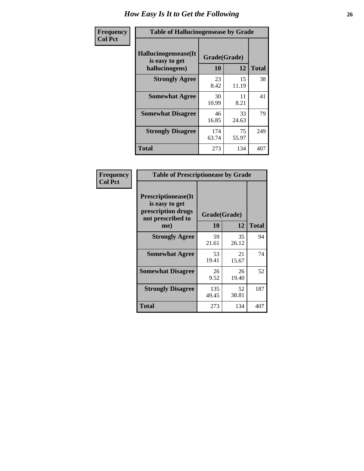| <b>Frequency</b> | <b>Table of Hallucinogensease by Grade</b>               |                    |             |              |  |  |  |  |  |  |
|------------------|----------------------------------------------------------|--------------------|-------------|--------------|--|--|--|--|--|--|
| <b>Col Pct</b>   | Hallucinogensease(It<br>is easy to get<br>hallucinogens) | Grade(Grade)<br>10 | 12          | <b>Total</b> |  |  |  |  |  |  |
|                  | <b>Strongly Agree</b>                                    | 23<br>8.42         | 15<br>11.19 | 38           |  |  |  |  |  |  |
|                  | <b>Somewhat Agree</b>                                    | 30<br>10.99        | 11<br>8.21  | 41           |  |  |  |  |  |  |
|                  | <b>Somewhat Disagree</b>                                 | 46<br>16.85        | 33<br>24.63 | 79           |  |  |  |  |  |  |
|                  | <b>Strongly Disagree</b>                                 | 174<br>63.74       | 75<br>55.97 | 249          |  |  |  |  |  |  |
|                  | <b>Total</b>                                             | 273                | 134         | 407          |  |  |  |  |  |  |

| Frequency<br>  Col Pct |
|------------------------|

| <b>Table of Prescriptionease by Grade</b>                                                |              |             |              |  |  |  |  |  |  |  |
|------------------------------------------------------------------------------------------|--------------|-------------|--------------|--|--|--|--|--|--|--|
| <b>Prescriptionease</b> (It<br>is easy to get<br>prescription drugs<br>not prescribed to | Grade(Grade) |             |              |  |  |  |  |  |  |  |
| me)                                                                                      | 10           | 12          | <b>Total</b> |  |  |  |  |  |  |  |
| <b>Strongly Agree</b>                                                                    | 59<br>21.61  | 35<br>26.12 | 94           |  |  |  |  |  |  |  |
| <b>Somewhat Agree</b>                                                                    | 53<br>19.41  | 21<br>15.67 | 74           |  |  |  |  |  |  |  |
| <b>Somewhat Disagree</b>                                                                 | 26<br>9.52   | 26<br>19.40 | 52           |  |  |  |  |  |  |  |
| <b>Strongly Disagree</b>                                                                 | 135<br>49.45 | 52<br>38.81 | 187          |  |  |  |  |  |  |  |
| Total                                                                                    | 273          | 134         | 407          |  |  |  |  |  |  |  |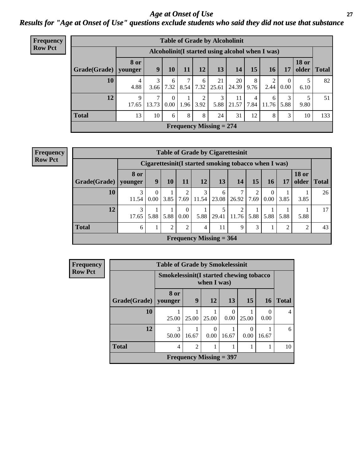### *Age at Onset of Use* **27** *Results for "Age at Onset of Use" questions exclude students who said they did not use that substance*

| <b>Frequency</b> | <b>Table of Grade by Alcoholinit</b> |                        |                                                  |                      |           |           |                           |             |                        |            |                        |                       |              |
|------------------|--------------------------------------|------------------------|--------------------------------------------------|----------------------|-----------|-----------|---------------------------|-------------|------------------------|------------|------------------------|-----------------------|--------------|
| <b>Row Pct</b>   |                                      |                        | Alcoholinit (I started using alcohol when I was) |                      |           |           |                           |             |                        |            |                        |                       |              |
|                  | Grade(Grade)                         | <b>8 or</b><br>younger | 9                                                | 10                   | 11        | 12        | 13                        | 14          | 15                     | 16         | 17                     | <b>18 or</b><br>older | <b>Total</b> |
|                  | 10                                   | 4<br>4.88              | 3<br>3.66                                        | 6<br>7.32            | 7<br>8.54 | 6<br>7.32 | 21<br>25.61               | 20<br>24.39 | 8<br>9.76              | ∍<br>2.44  | $\overline{0}$<br>0.00 | 6.10                  | 82           |
|                  | 12                                   | 9<br>17.65             | 7<br>13.73                                       | $\theta$<br>$0.00\,$ | 1.96      | 2<br>3.92 | 3<br>5.88                 | 11<br>21.57 | $\overline{4}$<br>7.84 | 6<br>11.76 | 3<br>5.88              | 5<br>9.80             | 51           |
|                  | <b>Total</b>                         | 13                     | 10                                               | 6                    | 8         | 8         | 24                        | 31          | 12                     | 8          | 3                      | 10                    | 133          |
|                  |                                      |                        |                                                  |                      |           |           | Frequency Missing $= 274$ |             |                        |            |                        |                       |              |

| <b>Frequency</b> |  |
|------------------|--|
| <b>Row Pct</b>   |  |

| <b>Table of Grade by Cigarettesinit</b> |                                                      |                  |                |                         |                                |                             |                 |           |           |                |                       |              |
|-----------------------------------------|------------------------------------------------------|------------------|----------------|-------------------------|--------------------------------|-----------------------------|-----------------|-----------|-----------|----------------|-----------------------|--------------|
|                                         | Cigarettesinit(I started smoking tobacco when I was) |                  |                |                         |                                |                             |                 |           |           |                |                       |              |
| Grade(Grade)                            | 8 or<br>younger                                      | 9                | 10             | 11                      | 12                             | 13 <sup>1</sup>             | 14              | 15        | 16        | 17             | <b>18 or</b><br>older | <b>Total</b> |
| 10                                      | 3<br>11.54                                           | $\Omega$<br>0.00 | 3.85           | $\overline{2}$<br>7.69  | 3                              | 6<br>$11.54$   23.08        | $\tau$<br>26.92 | 2<br>7.69 | 0<br>0.00 | 3.85           | 3.85                  | 26           |
| 12                                      | 3<br>17.65                                           | 5.88             | 5.88           | $\Omega$<br>$0.00\vert$ |                                | 5<br>$5.88$   29.41   11.76 | 2               | 5.88      | 5.88      | 5.88           | 5.88                  | 17           |
| <b>Total</b>                            | 6                                                    |                  | $\mathfrak{D}$ | $\mathfrak{D}$          | $\overline{4}$                 | 11                          | 9               | 3         |           | $\overline{2}$ | $\mathfrak{D}$        | 43           |
|                                         |                                                      |                  |                |                         | <b>Frequency Missing = 364</b> |                             |                 |           |           |                |                       |              |

| Frequency      |                        | <b>Table of Grade by Smokelessinit</b>                  |                |                           |                  |                 |                  |                |  |  |  |  |  |  |  |
|----------------|------------------------|---------------------------------------------------------|----------------|---------------------------|------------------|-----------------|------------------|----------------|--|--|--|--|--|--|--|
| <b>Row Pct</b> |                        | Smokelessinit (I started chewing tobacco<br>when I was) |                |                           |                  |                 |                  |                |  |  |  |  |  |  |  |
|                | Grade(Grade)   younger | 8 or                                                    | 9              | 12                        | 13 <sup>1</sup>  | 15 <sup>1</sup> | 16               | <b>Total</b>   |  |  |  |  |  |  |  |
|                | 10                     | 25.00                                                   | 25.00          | 25.00                     | $\Omega$<br>0.00 | 25.00           | $\Omega$<br>0.00 | $\overline{4}$ |  |  |  |  |  |  |  |
|                | 12                     | 3<br>50.00                                              | 16.67          | 0<br>0.00                 | 16.67            | 0.00            | 16.67            | 6              |  |  |  |  |  |  |  |
|                | <b>Total</b>           | 4                                                       | $\mathfrak{D}$ |                           |                  |                 |                  | 10             |  |  |  |  |  |  |  |
|                |                        |                                                         |                | Frequency Missing $=$ 397 |                  |                 |                  |                |  |  |  |  |  |  |  |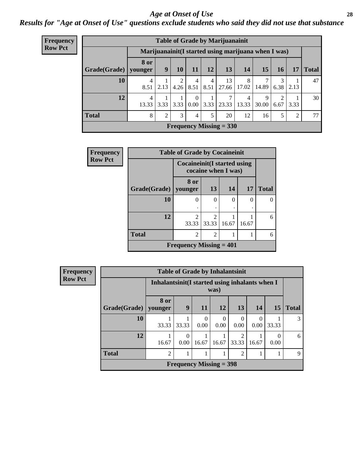#### *Age at Onset of Use* **28**

*Results for "Age at Onset of Use" questions exclude students who said they did not use that substance*

| <b>Frequency</b> | <b>Table of Grade by Marijuanainit</b> |                         |                |           |                            |           |                                                      |            |            |           |      |                 |
|------------------|----------------------------------------|-------------------------|----------------|-----------|----------------------------|-----------|------------------------------------------------------|------------|------------|-----------|------|-----------------|
| <b>Row Pct</b>   |                                        |                         |                |           |                            |           | Marijuanainit (I started using marijuana when I was) |            |            |           |      |                 |
|                  | Grade(Grade)                           | 8 or<br>younger         | 9              | 10        | 11                         | 12        | 13                                                   | 14         | 15         | 16        | 17   | <b>Total</b>    |
|                  | 10                                     | $\overline{4}$<br>8.51  | 2.13           | 2<br>4.26 | 4<br>8.51                  | 4<br>8.51 | 13<br>27.66                                          | 8<br>17.02 | 7<br>14.89 | 3<br>6.38 | 2.13 | 47              |
|                  | 12                                     | $\overline{4}$<br>13.33 | 3.33           | 3.33      | $\Omega$<br>$0.00^{\circ}$ | 3.33      | 7<br>23.33                                           | 4<br>13.33 | Q<br>30.00 | 2<br>6.67 | 3.33 | 30 <sup>1</sup> |
|                  | <b>Total</b>                           | 8                       | $\overline{2}$ | 3         | $\overline{4}$             | 5         | 20                                                   | 12         | 16         | 5         | 2    | 77              |
|                  | Frequency Missing $= 330$              |                         |                |           |                            |           |                                                      |            |            |           |      |                 |

| Frequency      | <b>Table of Grade by Cocaineinit</b> |                                             |                         |           |           |              |  |  |  |  |
|----------------|--------------------------------------|---------------------------------------------|-------------------------|-----------|-----------|--------------|--|--|--|--|
| <b>Row Pct</b> |                                      | <b>Cocaineinit</b> (I started using         | cocaine when I was)     |           |           |              |  |  |  |  |
|                | Grade(Grade)                         | 8 or<br>younger                             | 13                      | <b>14</b> | <b>17</b> | <b>Total</b> |  |  |  |  |
|                | 10                                   | 0                                           | $\theta$                | 0         | 0         | $\left($     |  |  |  |  |
|                | 12                                   | $\mathcal{D}_{\mathcal{A}}$<br>33.33        | $\mathfrak{D}$<br>33.33 | 16.67     | 16.67     | 6            |  |  |  |  |
|                | <b>Total</b>                         | $\overline{2}$                              | $\overline{2}$          |           |           | 6            |  |  |  |  |
|                |                                      | <b>Frequency Missing <math>= 401</math></b> |                         |           |           |              |  |  |  |  |

**Frequency Row Pct**

| <b>Table of Grade by Inhalantsinit</b> |                |                                                         |                  |                  |                         |       |           |              |  |
|----------------------------------------|----------------|---------------------------------------------------------|------------------|------------------|-------------------------|-------|-----------|--------------|--|
|                                        |                | Inhalantsinit (I started using inhalants when I<br>was) |                  |                  |                         |       |           |              |  |
| Grade(Grade)   younger                 | 8 or           | 9                                                       | <b>11</b>        | <b>12</b>        | 13                      | 14    | <b>15</b> | <b>Total</b> |  |
| 10                                     | 33.33          | 33.33                                                   | $\Omega$<br>0.00 | $\theta$<br>0.00 | $\Omega$<br>0.00        | 0.00  | 33.33     |              |  |
| 12                                     | 16.67          | 0.00                                                    | 16.67            | 16.67            | $\overline{2}$<br>33.33 | 16.67 | 0.00      | 6            |  |
| <b>Total</b>                           | $\overline{2}$ |                                                         |                  |                  | $\mathfrak{D}$          |       |           | 9            |  |
| Frequency Missing $=$ 398              |                |                                                         |                  |                  |                         |       |           |              |  |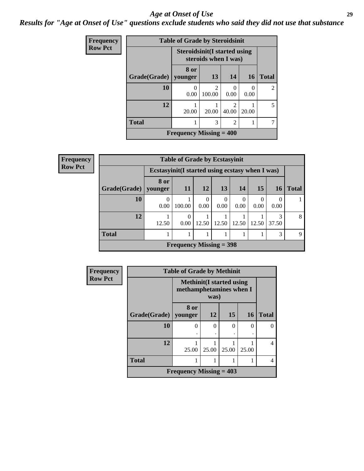#### *Age at Onset of Use* **29**

*Results for "Age at Onset of Use" questions exclude students who said they did not use that substance*

| Frequency      |              | <b>Table of Grade by Steroidsinit</b> |                          |                |           |                |
|----------------|--------------|---------------------------------------|--------------------------|----------------|-----------|----------------|
| <b>Row Pct</b> |              | <b>Steroidsinit (I started using</b>  | steroids when I was)     |                |           |                |
|                | Grade(Grade) | 8 or<br>vounger                       | 13                       | 14             | <b>16</b> | <b>Total</b>   |
|                | 10           | $\Omega$<br>0.00                      | $\mathfrak{D}$<br>100.00 | 0.00           | 0<br>0.00 | $\overline{c}$ |
|                | 12           | 20.00                                 | 20.00                    | 40.00          | 20.00     | 5              |
|                | <b>Total</b> |                                       | 3                        | $\overline{2}$ |           |                |
|                |              | Frequency Missing $=$ 400             |                          |                |           |                |

| <b>Frequency</b> | <b>Table of Grade by Ecstasyinit</b> |                                                  |                            |                  |                  |                  |                 |            |              |
|------------------|--------------------------------------|--------------------------------------------------|----------------------------|------------------|------------------|------------------|-----------------|------------|--------------|
| <b>Row Pct</b>   |                                      | Ecstasyinit (I started using ecstasy when I was) |                            |                  |                  |                  |                 |            |              |
|                  | Grade(Grade)   younger               | 8 or                                             | <b>11</b>                  | 12               | 13               | 14               | 15 <sup>1</sup> | 16         | <b>Total</b> |
|                  | 10                                   | $\Omega$<br>0.00                                 | 100.00                     | $\Omega$<br>0.00 | $\Omega$<br>0.00 | $\theta$<br>0.00 | 0.00            | 0.00       |              |
|                  | 12                                   | 12.50                                            | $\Omega$<br>$0.00^{\circ}$ | 12.50            | 12.50            | 12.50            | 12.50           | 3<br>37.50 | 8            |
|                  | <b>Total</b>                         |                                                  |                            |                  |                  |                  |                 | 3          | $\mathbf Q$  |
|                  |                                      |                                                  | Frequency Missing $=$ 398  |                  |                  |                  |                 |            |              |

| Frequency      | <b>Table of Grade by Methinit</b> |                                                             |          |          |           |              |  |  |  |
|----------------|-----------------------------------|-------------------------------------------------------------|----------|----------|-----------|--------------|--|--|--|
| <b>Row Pct</b> |                                   | <b>Methinit</b> (I started using<br>methamphetamines when I | was)     |          |           |              |  |  |  |
|                | Grade(Grade)   younger            | 8 or                                                        | 12       | 15       | <b>16</b> | <b>Total</b> |  |  |  |
|                | 10                                | 0                                                           | $\Omega$ | $\Omega$ | 0         |              |  |  |  |
|                | 12                                | 25.00                                                       | 25.00    | 25.00    | 25.00     | 4            |  |  |  |
|                | <b>Total</b>                      |                                                             |          |          |           | 4            |  |  |  |
|                |                                   | Frequency Missing $= 403$                                   |          |          |           |              |  |  |  |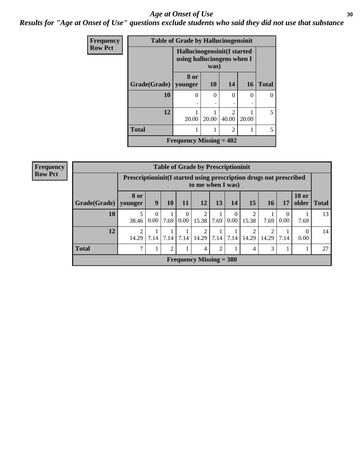#### Age at Onset of Use **30**

*Results for "Age at Onset of Use" questions exclude students who said they did not use that substance*

| Frequency      |              | <b>Table of Grade by Hallucinogensinit</b>                |           |                                      |        |              |
|----------------|--------------|-----------------------------------------------------------|-----------|--------------------------------------|--------|--------------|
| <b>Row Pct</b> |              | Hallucinogensinit(I started<br>using hallucinogens when I | was)      |                                      |        |              |
|                | Grade(Grade) | 8 or<br>younger                                           | <b>10</b> | 14                                   | 16     | <b>Total</b> |
|                | 10           | 0                                                         | 0         | $\Omega$                             | $\cup$ |              |
|                | 12           | 20.00                                                     | 20.00     | $\mathcal{D}_{\mathcal{L}}$<br>40.00 | 20.00  | 5            |
|                | <b>Total</b> |                                                           | 1         | 2                                    |        |              |
|                |              | Frequency Missing $= 402$                                 |           |                                      |        |              |

| Frequency      | <b>Table of Grade by Prescriptioninit</b> |                                                                     |                        |                |                            |                           |                |                        |            |           |           |                       |              |
|----------------|-------------------------------------------|---------------------------------------------------------------------|------------------------|----------------|----------------------------|---------------------------|----------------|------------------------|------------|-----------|-----------|-----------------------|--------------|
| <b>Row Pct</b> |                                           | Prescriptioninit (I started using prescription drugs not prescribed |                        |                |                            | to me when I was)         |                |                        |            |           |           |                       |              |
|                | Grade(Grade)   younger                    | <b>8 or</b>                                                         | 9                      | 10             | 11                         | 12                        | 13             | 14                     | 15         | <b>16</b> | 17        | <b>18 or</b><br>older | <b>Total</b> |
|                | 10                                        | 38.46                                                               | 0<br>0.00 <sub>l</sub> | 7.69           | $\overline{0}$<br>$0.00\,$ | 15.38                     | 7.69           | $\overline{0}$<br>0.00 | 2<br>15.38 | 7.69      | 0<br>0.00 | 7.69                  | 13           |
|                | 12                                        | 2<br>14.29                                                          | 7.14                   | 7.14           | 7.14                       | 14.29                     | 7.14           | 7.14                   | ∍<br>14.29 | 14.29     | 7.14      | $\Omega$<br>0.00      | 14           |
|                | <b>Total</b>                              | $\mathcal{I}$                                                       |                        | $\mathfrak{D}$ |                            | 4                         | $\overline{2}$ |                        | 4          | 3         |           |                       | 27           |
|                |                                           |                                                                     |                        |                |                            | Frequency Missing $=$ 380 |                |                        |            |           |           |                       |              |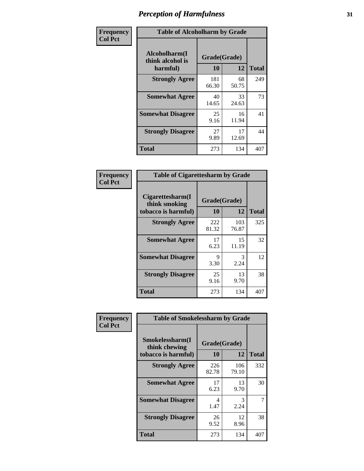| Frequency      | <b>Table of Alcoholharm by Grade</b>          |                    |             |              |
|----------------|-----------------------------------------------|--------------------|-------------|--------------|
| <b>Col Pct</b> | Alcoholharm(I<br>think alcohol is<br>harmful) | Grade(Grade)<br>10 | 12          | <b>Total</b> |
|                | <b>Strongly Agree</b>                         | 181<br>66.30       | 68<br>50.75 | 249          |
|                | <b>Somewhat Agree</b>                         | 40<br>14.65        | 33<br>24.63 | 73           |
|                | <b>Somewhat Disagree</b>                      | 25<br>9.16         | 16<br>11.94 | 41           |
|                | <b>Strongly Disagree</b>                      | 27<br>9.89         | 17<br>12.69 | 44           |
|                | <b>Total</b>                                  | 273                | 134         | 407          |

| <b>Table of Cigarettesharm by Grade</b>                  |                    |              |              |  |  |  |  |  |
|----------------------------------------------------------|--------------------|--------------|--------------|--|--|--|--|--|
| Cigarettesharm(I<br>think smoking<br>tobacco is harmful) | Grade(Grade)<br>10 | 12           | <b>Total</b> |  |  |  |  |  |
| <b>Strongly Agree</b>                                    | 222<br>81.32       | 103<br>76.87 | 325          |  |  |  |  |  |
| <b>Somewhat Agree</b>                                    | 17<br>6.23         | 15<br>11.19  | 32           |  |  |  |  |  |
| <b>Somewhat Disagree</b>                                 | 9<br>3.30          | 3<br>2.24    | 12           |  |  |  |  |  |
| <b>Strongly Disagree</b>                                 | 25<br>9.16         | 13<br>9.70   | 38           |  |  |  |  |  |
| <b>Total</b>                                             | 273                | 134          | 407          |  |  |  |  |  |

| Frequency      | <b>Table of Smokelessharm by Grade</b>                  |                    |              |              |
|----------------|---------------------------------------------------------|--------------------|--------------|--------------|
| <b>Col Pct</b> | Smokelessharm(I<br>think chewing<br>tobacco is harmful) | Grade(Grade)<br>10 | 12           | <b>Total</b> |
|                | <b>Strongly Agree</b>                                   | 226<br>82.78       | 106<br>79.10 | 332          |
|                | <b>Somewhat Agree</b>                                   | 17<br>6.23         | 13<br>9.70   | 30           |
|                | <b>Somewhat Disagree</b>                                | 4<br>1.47          | 3<br>2.24    | 7            |
|                | <b>Strongly Disagree</b>                                | 26<br>9.52         | 12<br>8.96   | 38           |
|                | <b>Total</b>                                            | 273                | 134          | 407          |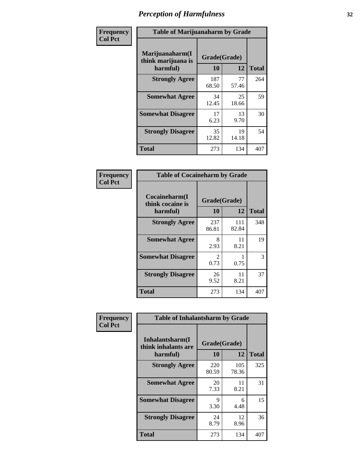| Frequency      |                                                   | <b>Table of Marijuanaharm by Grade</b> |             |              |  |  |  |  |  |
|----------------|---------------------------------------------------|----------------------------------------|-------------|--------------|--|--|--|--|--|
| <b>Col Pct</b> | Marijuanaharm(I<br>think marijuana is<br>harmful) | Grade(Grade)<br>10                     | 12          | <b>Total</b> |  |  |  |  |  |
|                | <b>Strongly Agree</b>                             | 187<br>68.50                           | 77<br>57.46 | 264          |  |  |  |  |  |
|                | <b>Somewhat Agree</b>                             | 34<br>12.45                            | 25<br>18.66 | 59           |  |  |  |  |  |
|                | <b>Somewhat Disagree</b>                          | 17<br>6.23                             | 13<br>9.70  | 30           |  |  |  |  |  |
|                | <b>Strongly Disagree</b>                          | 35<br>12.82                            | 19<br>14.18 | 54           |  |  |  |  |  |
|                | <b>Total</b>                                      | 273                                    | 134         | 407          |  |  |  |  |  |

| <b>Table of Cocaineharm by Grade</b>          |                        |              |              |  |  |
|-----------------------------------------------|------------------------|--------------|--------------|--|--|
| Cocaineharm(I<br>think cocaine is<br>harmful) | Grade(Grade)<br>10     | 12           | <b>Total</b> |  |  |
| <b>Strongly Agree</b>                         | 237<br>86.81           | 111<br>82.84 | 348          |  |  |
| <b>Somewhat Agree</b>                         | 8<br>2.93              | 11<br>8.21   | 19           |  |  |
| <b>Somewhat Disagree</b>                      | $\mathfrak{D}$<br>0.73 | 0.75         | 3            |  |  |
| <b>Strongly Disagree</b>                      | 26<br>9.52             | 11<br>8.21   | 37           |  |  |
| <b>Total</b>                                  | 273                    | 134          | 407          |  |  |

| Frequency      | <b>Table of Inhalantsharm by Grade</b>             |                    |              |              |
|----------------|----------------------------------------------------|--------------------|--------------|--------------|
| <b>Col Pct</b> | Inhalantsharm(I<br>think inhalants are<br>harmful) | Grade(Grade)<br>10 | 12           | <b>Total</b> |
|                | <b>Strongly Agree</b>                              | 220<br>80.59       | 105<br>78.36 | 325          |
|                | <b>Somewhat Agree</b>                              | 20<br>7.33         | 11<br>8.21   | 31           |
|                | <b>Somewhat Disagree</b>                           | 9<br>3.30          | 6<br>4.48    | 15           |
|                | <b>Strongly Disagree</b>                           | 24<br>8.79         | 12<br>8.96   | 36           |
|                | <b>Total</b>                                       | 273                | 134          | 407          |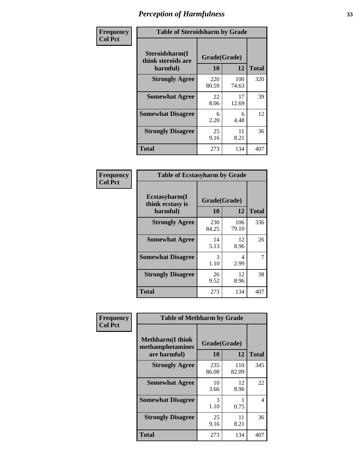| Frequency      | <b>Table of Steroidsharm by Grade</b>            |                    |              |              |
|----------------|--------------------------------------------------|--------------------|--------------|--------------|
| <b>Col Pct</b> | Steroidsharm(I<br>think steroids are<br>harmful) | Grade(Grade)<br>10 | 12           | <b>Total</b> |
|                | <b>Strongly Agree</b>                            | 220<br>80.59       | 100<br>74.63 | 320          |
|                | <b>Somewhat Agree</b>                            | 22<br>8.06         | 17<br>12.69  | 39           |
|                | <b>Somewhat Disagree</b>                         | 6<br>2.20          | 6<br>4.48    | 12           |
|                | <b>Strongly Disagree</b>                         | 25<br>9.16         | 11<br>8.21   | 36           |
|                | <b>Total</b>                                     | 273                | 134          | 407          |

| <b>Table of Ecstasyharm by Grade</b>          |                    |              |     |  |  |
|-----------------------------------------------|--------------------|--------------|-----|--|--|
| Ecstasyharm(I<br>think ecstasy is<br>harmful) | Grade(Grade)<br>10 | <b>Total</b> |     |  |  |
| <b>Strongly Agree</b>                         | 230<br>84.25       | 106<br>79.10 | 336 |  |  |
| <b>Somewhat Agree</b>                         | 14<br>5.13         | 12<br>8.96   | 26  |  |  |
| <b>Somewhat Disagree</b>                      | 3<br>1.10          | 4<br>2.99    | 7   |  |  |
| <b>Strongly Disagree</b>                      | 26<br>9.52         | 12<br>8.96   | 38  |  |  |
| <b>Total</b>                                  | 273                | 134          | 407 |  |  |

| Frequency      | <b>Table of Methharm by Grade</b>                            |                    |              |                |
|----------------|--------------------------------------------------------------|--------------------|--------------|----------------|
| <b>Col Pct</b> | <b>Methharm</b> (I think<br>methamphetamines<br>are harmful) | Grade(Grade)<br>10 | 12           | <b>Total</b>   |
|                | <b>Strongly Agree</b>                                        | 235<br>86.08       | 110<br>82.09 | 345            |
|                | <b>Somewhat Agree</b>                                        | 10<br>3.66         | 12<br>8.96   | 22             |
|                | <b>Somewhat Disagree</b>                                     | 3<br>1.10          | 0.75         | $\overline{4}$ |
|                | <b>Strongly Disagree</b>                                     | 25<br>9.16         | 11<br>8.21   | 36             |
|                | <b>Total</b>                                                 | 273                | 134          | 407            |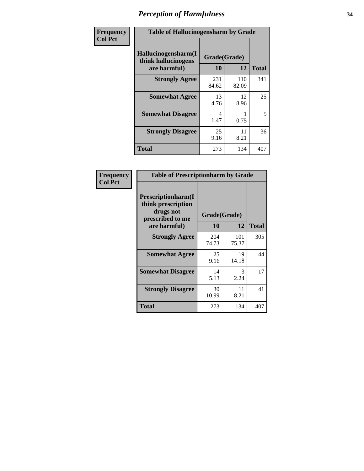| Frequency | <b>Table of Hallucinogensharm by Grade</b>                 |                    |              |              |
|-----------|------------------------------------------------------------|--------------------|--------------|--------------|
| Col Pct   | Hallucinogensharm(I<br>think hallucinogens<br>are harmful) | Grade(Grade)<br>10 | 12           | <b>Total</b> |
|           | <b>Strongly Agree</b>                                      | 231<br>84.62       | 110<br>82.09 | 341          |
|           | <b>Somewhat Agree</b>                                      | 13<br>4.76         | 12<br>8.96   | 25           |
|           | <b>Somewhat Disagree</b>                                   | 4<br>1.47          | 0.75         | 5            |
|           | <b>Strongly Disagree</b>                                   | 25<br>9.16         | 11<br>8.21   | 36           |
|           | <b>Total</b>                                               | 273                | 134          | 407          |

| <b>Table of Prescriptionharm by Grade</b>                                         |              |              |              |  |
|-----------------------------------------------------------------------------------|--------------|--------------|--------------|--|
| <b>Prescriptionharm</b> (I<br>think prescription<br>drugs not<br>prescribed to me | Grade(Grade) |              |              |  |
| are harmful)                                                                      | 10           | 12           | <b>Total</b> |  |
| <b>Strongly Agree</b>                                                             | 204<br>74.73 | 101<br>75.37 | 305          |  |
| <b>Somewhat Agree</b>                                                             | 25<br>9.16   | 19<br>14.18  | 44           |  |
| <b>Somewhat Disagree</b>                                                          | 14<br>5.13   | 3<br>2.24    | 17           |  |
| <b>Strongly Disagree</b>                                                          | 30<br>10.99  | 11<br>8.21   | 41           |  |
| <b>Total</b>                                                                      | 273          | 134          | 407          |  |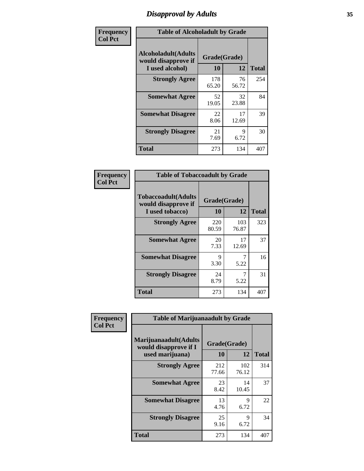# *Disapproval by Adults* **35**

| Frequency      | <b>Table of Alcoholadult by Grade</b>                                 |                    |             |              |
|----------------|-----------------------------------------------------------------------|--------------------|-------------|--------------|
| <b>Col Pct</b> | <b>Alcoholadult</b> (Adults<br>would disapprove if<br>I used alcohol) | Grade(Grade)<br>10 | 12          | <b>Total</b> |
|                | <b>Strongly Agree</b>                                                 | 178<br>65.20       | 76<br>56.72 | 254          |
|                | <b>Somewhat Agree</b>                                                 | 52<br>19.05        | 32<br>23.88 | 84           |
|                | <b>Somewhat Disagree</b>                                              | 22<br>8.06         | 17<br>12.69 | 39           |
|                | <b>Strongly Disagree</b>                                              | 21<br>7.69         | 9<br>6.72   | 30           |
|                | <b>Total</b>                                                          | 273                | 134         | 407          |

| <b>Table of Tobaccoadult by Grade</b>                                 |                    |              |              |  |  |
|-----------------------------------------------------------------------|--------------------|--------------|--------------|--|--|
| <b>Tobaccoadult</b> (Adults<br>would disapprove if<br>I used tobacco) | Grade(Grade)<br>10 | 12           | <b>Total</b> |  |  |
| <b>Strongly Agree</b>                                                 | 220<br>80.59       | 103<br>76.87 | 323          |  |  |
| <b>Somewhat Agree</b>                                                 | 20<br>7.33         | 17<br>12.69  | 37           |  |  |
| <b>Somewhat Disagree</b>                                              | 9<br>3.30          | 5.22         | 16           |  |  |
| <b>Strongly Disagree</b>                                              | 24<br>8.79         | 5.22         | 31           |  |  |
| <b>Total</b>                                                          | 273                | 134          | 407          |  |  |

| Frequency<br><b>Col Pct</b> | <b>Table of Marijuanaadult by Grade</b>                           |                    |              |              |  |
|-----------------------------|-------------------------------------------------------------------|--------------------|--------------|--------------|--|
|                             | Marijuanaadult(Adults<br>would disapprove if I<br>used marijuana) | Grade(Grade)<br>10 | 12           | <b>Total</b> |  |
|                             | <b>Strongly Agree</b>                                             | 212<br>77.66       | 102<br>76.12 | 314          |  |
|                             | <b>Somewhat Agree</b>                                             | 23<br>8.42         | 14<br>10.45  | 37           |  |
|                             | <b>Somewhat Disagree</b>                                          | 13<br>4.76         | 9<br>6.72    | 22           |  |
|                             | <b>Strongly Disagree</b>                                          | 25<br>9.16         | 9<br>6.72    | 34           |  |
|                             | <b>Total</b>                                                      | 273                | 134          | 407          |  |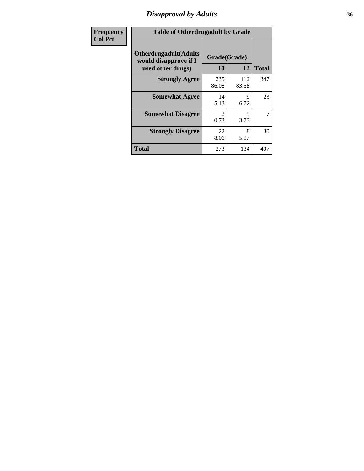# *Disapproval by Adults* **36**

| Frequency      | <b>Table of Otherdrugadult by Grade</b>                                     |                                     |              |              |
|----------------|-----------------------------------------------------------------------------|-------------------------------------|--------------|--------------|
| <b>Col Pct</b> | <b>Otherdrugadult</b> (Adults<br>would disapprove if I<br>used other drugs) | Grade(Grade)<br>10                  | 12           | <b>Total</b> |
|                | <b>Strongly Agree</b>                                                       | 235<br>86.08                        | 112<br>83.58 | 347          |
|                | <b>Somewhat Agree</b>                                                       | 14<br>5.13                          | 9<br>6.72    | 23           |
|                | <b>Somewhat Disagree</b>                                                    | $\mathcal{D}_{\mathcal{L}}$<br>0.73 | 5<br>3.73    | 7            |
|                | <b>Strongly Disagree</b>                                                    | 22<br>8.06                          | 8<br>5.97    | 30           |
|                | <b>Total</b>                                                                | 273                                 | 134          | 407          |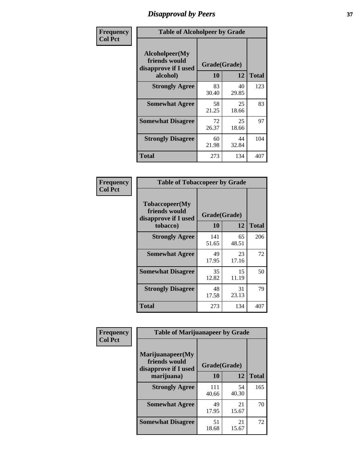# *Disapproval by Peers* **37**

| Frequency      | <b>Table of Alcoholpeer by Grade</b>                    |              |             |              |  |
|----------------|---------------------------------------------------------|--------------|-------------|--------------|--|
| <b>Col Pct</b> | Alcoholpeer(My<br>friends would<br>disapprove if I used | Grade(Grade) |             |              |  |
|                | alcohol)                                                | 10           | 12          | <b>Total</b> |  |
|                | <b>Strongly Agree</b>                                   | 83<br>30.40  | 40<br>29.85 | 123          |  |
|                | <b>Somewhat Agree</b>                                   | 58<br>21.25  | 25<br>18.66 | 83           |  |
|                | <b>Somewhat Disagree</b>                                | 72<br>26.37  | 25<br>18.66 | 97           |  |
|                | <b>Strongly Disagree</b>                                | 60<br>21.98  | 44<br>32.84 | 104          |  |
|                | Total                                                   | 273          | 134         | 407          |  |

| Frequency      | <b>Table of Tobaccopeer by Grade</b>                                |                           |             |              |
|----------------|---------------------------------------------------------------------|---------------------------|-------------|--------------|
| <b>Col Pct</b> | Tobaccopeer(My<br>friends would<br>disapprove if I used<br>tobacco) | Grade(Grade)<br><b>10</b> | 12          | <b>Total</b> |
|                | <b>Strongly Agree</b>                                               | 141<br>51.65              | 65<br>48.51 | 206          |
|                | <b>Somewhat Agree</b>                                               | 49<br>17.95               | 23<br>17.16 | 72           |
|                | <b>Somewhat Disagree</b>                                            | 35<br>12.82               | 15<br>11.19 | 50           |
|                | <b>Strongly Disagree</b>                                            | 48<br>17.58               | 31<br>23.13 | 79           |
|                | Total                                                               | 273                       | 134         | 407          |

| Frequency<br><b>Col Pct</b> | <b>Table of Marijuanapeer by Grade</b>                    |              |             |              |
|-----------------------------|-----------------------------------------------------------|--------------|-------------|--------------|
|                             | Marijuanapeer(My<br>friends would<br>disapprove if I used | Grade(Grade) |             |              |
|                             | marijuana)                                                | 10           | 12          | <b>Total</b> |
|                             | <b>Strongly Agree</b>                                     | 111<br>40.66 | 54<br>40.30 | 165          |
|                             | <b>Somewhat Agree</b>                                     | 49<br>17.95  | 21<br>15.67 | 70           |
|                             | <b>Somewhat Disagree</b>                                  | 51<br>18.68  | 21<br>15.67 | 72           |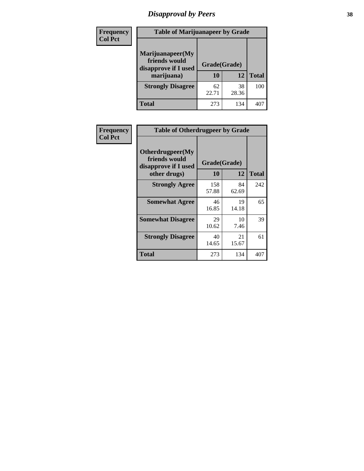# *Disapproval by Peers* **38**

| <b>Frequency</b> | <b>Table of Marijuanapeer by Grade</b>                                  |                           |             |              |  |
|------------------|-------------------------------------------------------------------------|---------------------------|-------------|--------------|--|
| <b>Col Pct</b>   | Marijuanapeer(My<br>friends would<br>disapprove if I used<br>marijuana) | Grade(Grade)<br><b>10</b> | 12          | <b>Total</b> |  |
|                  | <b>Strongly Disagree</b>                                                | 62<br>22.71               | 38<br>28.36 | 100          |  |
|                  | <b>Total</b>                                                            | 273                       | 134         | 407          |  |

| <b>Frequency</b> | <b>Table of Otherdrugpeer by Grade</b>                                    |                           |             |              |
|------------------|---------------------------------------------------------------------------|---------------------------|-------------|--------------|
| <b>Col Pct</b>   | Otherdrugpeer(My<br>friends would<br>disapprove if I used<br>other drugs) | Grade(Grade)<br><b>10</b> | 12          | <b>Total</b> |
|                  | <b>Strongly Agree</b>                                                     | 158                       | 84          | 242          |
|                  |                                                                           | 57.88                     | 62.69       |              |
|                  | <b>Somewhat Agree</b>                                                     | 46<br>16.85               | 19<br>14.18 | 65           |
|                  | <b>Somewhat Disagree</b>                                                  | 29<br>10.62               | 10<br>7.46  | 39           |
|                  | <b>Strongly Disagree</b>                                                  | 40<br>14.65               | 21<br>15.67 | 61           |
|                  | <b>Total</b>                                                              | 273                       | 134         | 407          |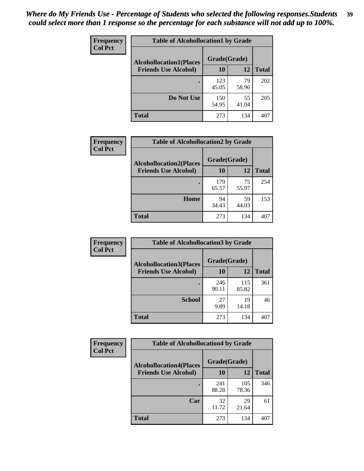| Frequency<br><b>Col Pct</b> | <b>Table of Alcohollocation1 by Grade</b> |              |             |              |
|-----------------------------|-------------------------------------------|--------------|-------------|--------------|
|                             | <b>Alcohollocation1(Places</b>            | Grade(Grade) |             |              |
|                             | <b>Friends Use Alcohol)</b>               | 10           | 12          | <b>Total</b> |
|                             |                                           | 123<br>45.05 | 79<br>58.96 | 202          |
|                             | Do Not Use                                | 150<br>54.95 | 55<br>41.04 | 205          |
|                             | <b>Total</b>                              | 273          | 134         | 407          |

| Frequency      | <b>Table of Alcohollocation2 by Grade</b>                     |                    |             |              |
|----------------|---------------------------------------------------------------|--------------------|-------------|--------------|
| <b>Col Pct</b> | <b>Alcohollocation2(Places</b><br><b>Friends Use Alcohol)</b> | Grade(Grade)<br>10 | <b>12</b>   | <b>Total</b> |
|                |                                                               | 179<br>65.57       | 75<br>55.97 | 254          |
|                | Home                                                          | 94<br>34.43        | 59<br>44.03 | 153          |
|                | <b>Total</b>                                                  | 273                | 134         | 407          |

| Frequency<br><b>Col Pct</b> | <b>Table of Alcohollocation 3 by Grade</b>                    |                    |              |              |
|-----------------------------|---------------------------------------------------------------|--------------------|--------------|--------------|
|                             | <b>Alcohollocation3(Places</b><br><b>Friends Use Alcohol)</b> | Grade(Grade)<br>10 | 12           | <b>Total</b> |
|                             |                                                               | 246<br>90.11       | 115<br>85.82 | 361          |
|                             | <b>School</b>                                                 | 27<br>9.89         | 19<br>14.18  | 46           |
|                             | <b>Total</b>                                                  | 273                | 134          | 407          |

| Frequency      | <b>Table of Alcohollocation4 by Grade</b> |              |              |              |  |
|----------------|-------------------------------------------|--------------|--------------|--------------|--|
| <b>Col Pct</b> | <b>Alcohollocation4(Places</b>            | Grade(Grade) |              |              |  |
|                | <b>Friends Use Alcohol)</b>               | 10           | 12           | <b>Total</b> |  |
|                |                                           | 241<br>88.28 | 105<br>78.36 | 346          |  |
|                | Car                                       | 32<br>11.72  | 29<br>21.64  | 61           |  |
|                | <b>Total</b>                              | 273          | 134          | 407          |  |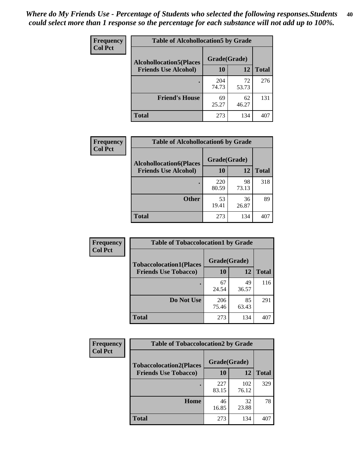| Frequency<br><b>Col Pct</b> | <b>Table of Alcohollocation5 by Grade</b> |              |             |              |
|-----------------------------|-------------------------------------------|--------------|-------------|--------------|
|                             | <b>Alcohollocation5(Places</b>            | Grade(Grade) |             |              |
|                             | <b>Friends Use Alcohol)</b>               | 10           | 12          | <b>Total</b> |
|                             |                                           | 204<br>74.73 | 72<br>53.73 | 276          |
|                             | <b>Friend's House</b>                     | 69<br>25.27  | 62<br>46.27 | 131          |
|                             | <b>Total</b>                              | 273          | 134         | 407          |

| <b>Frequency</b> | <b>Table of Alcohollocation6 by Grade</b> |              |             |              |
|------------------|-------------------------------------------|--------------|-------------|--------------|
| <b>Col Pct</b>   | <b>Alcohollocation6(Places</b>            | Grade(Grade) |             |              |
|                  | <b>Friends Use Alcohol)</b>               | 10           | 12          | <b>Total</b> |
|                  |                                           | 220<br>80.59 | 98<br>73.13 | 318          |
|                  | <b>Other</b>                              | 53<br>19.41  | 36<br>26.87 | 89           |
|                  | <b>Total</b>                              | 273          | 134         | 407          |

| Frequency      | <b>Table of Tobaccolocation1 by Grade</b> |              |             |              |
|----------------|-------------------------------------------|--------------|-------------|--------------|
| <b>Col Pct</b> | <b>Tobaccolocation1(Places</b>            | Grade(Grade) |             |              |
|                | <b>Friends Use Tobacco)</b>               | 10           | <b>12</b>   | <b>Total</b> |
|                |                                           | 67<br>24.54  | 49<br>36.57 | 116          |
|                | <b>Do Not Use</b>                         | 206<br>75.46 | 85<br>63.43 | 291          |
|                | <b>Total</b>                              | 273          | 134         | 407          |

| <b>Frequency</b> | <b>Table of Tobaccolocation2 by Grade</b> |              |              |              |  |
|------------------|-------------------------------------------|--------------|--------------|--------------|--|
| <b>Col Pct</b>   | <b>Tobaccolocation2(Places</b>            | Grade(Grade) |              |              |  |
|                  | <b>Friends Use Tobacco)</b>               | 10           | 12           | <b>Total</b> |  |
|                  |                                           | 227<br>83.15 | 102<br>76.12 | 329          |  |
|                  | Home                                      | 46<br>16.85  | 32<br>23.88  | 78           |  |
|                  | <b>Total</b>                              | 273          | 134          | 407          |  |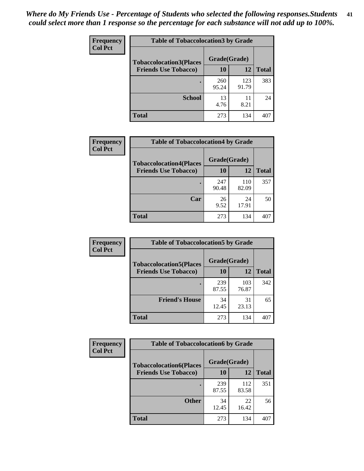| Frequency      | <b>Table of Tobaccolocation 3 by Grade</b> |              |              |              |
|----------------|--------------------------------------------|--------------|--------------|--------------|
| <b>Col Pct</b> | <b>Tobaccolocation3(Places</b>             | Grade(Grade) |              |              |
|                | <b>Friends Use Tobacco)</b>                | 10           | 12           | <b>Total</b> |
|                |                                            | 260<br>95.24 | 123<br>91.79 | 383          |
|                | <b>School</b>                              | 13<br>4.76   | 11<br>8.21   | 24           |
|                | <b>Total</b>                               | 273          | 134          | 407          |

| Frequency      | <b>Table of Tobaccolocation4 by Grade</b> |              |              |              |
|----------------|-------------------------------------------|--------------|--------------|--------------|
| <b>Col Pct</b> | <b>Tobaccolocation4(Places</b>            | Grade(Grade) |              |              |
|                | <b>Friends Use Tobacco)</b>               | 10           | 12           | <b>Total</b> |
|                |                                           | 247<br>90.48 | 110<br>82.09 | 357          |
|                | Car                                       | 26<br>9.52   | 24<br>17.91  | 50           |
|                | <b>Total</b>                              | 273          | 134          | 407          |

| Frequency      | <b>Table of Tobaccolocation5 by Grade</b> |              |              |              |
|----------------|-------------------------------------------|--------------|--------------|--------------|
| <b>Col Pct</b> | <b>Tobaccolocation5(Places</b>            | Grade(Grade) |              |              |
|                | <b>Friends Use Tobacco)</b>               | 10           | <b>12</b>    | <b>Total</b> |
|                |                                           | 239<br>87.55 | 103<br>76.87 | 342          |
|                | <b>Friend's House</b>                     | 34<br>12.45  | 31<br>23.13  | 65           |
|                | <b>Total</b>                              | 273          | 134          | 407          |

| <b>Frequency</b> | <b>Table of Tobaccolocation6 by Grade</b> |              |              |              |
|------------------|-------------------------------------------|--------------|--------------|--------------|
| <b>Col Pct</b>   | <b>Tobaccolocation6(Places</b>            | Grade(Grade) |              |              |
|                  | <b>Friends Use Tobacco)</b>               | 10           | 12           | <b>Total</b> |
|                  |                                           | 239<br>87.55 | 112<br>83.58 | 351          |
|                  | <b>Other</b>                              | 34<br>12.45  | 22<br>16.42  | 56           |
|                  | <b>Total</b>                              | 273          | 134          | 407          |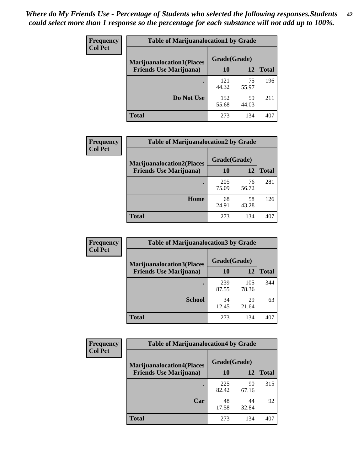| <b>Frequency</b> | <b>Table of Marijuanalocation1 by Grade</b> |              |             |              |
|------------------|---------------------------------------------|--------------|-------------|--------------|
| <b>Col Pct</b>   | <b>Marijuanalocation1(Places</b>            | Grade(Grade) |             |              |
|                  | <b>Friends Use Marijuana</b> )              | 10           | 12          | <b>Total</b> |
|                  |                                             | 121<br>44.32 | 75<br>55.97 | 196          |
|                  | Do Not Use                                  | 152<br>55.68 | 59<br>44.03 | 211          |
|                  | Total                                       | 273          | 134         | 407          |

| <b>Frequency</b> | <b>Table of Marijuanalocation2 by Grade</b>                        |                    |             |              |
|------------------|--------------------------------------------------------------------|--------------------|-------------|--------------|
| <b>Col Pct</b>   | <b>Marijuanalocation2(Places</b><br><b>Friends Use Marijuana</b> ) | Grade(Grade)<br>10 | 12          | <b>Total</b> |
|                  |                                                                    | 205<br>75.09       | 76<br>56.72 | 281          |
|                  | Home                                                               | 68<br>24.91        | 58<br>43.28 | 126          |
|                  | <b>Total</b>                                                       | 273                | 134         | 407          |

| Frequency<br><b>Col Pct</b> | <b>Table of Marijuanalocation3 by Grade</b> |              |              |       |
|-----------------------------|---------------------------------------------|--------------|--------------|-------|
|                             | <b>Marijuanalocation3</b> (Places           | Grade(Grade) |              |       |
|                             | <b>Friends Use Marijuana</b> )              | 10           | 12           | Total |
|                             |                                             | 239<br>87.55 | 105<br>78.36 | 344   |
|                             | <b>School</b>                               | 34<br>12.45  | 29<br>21.64  | 63    |
|                             | <b>Total</b>                                | 273          | 134          | 407   |

| <b>Frequency</b> | <b>Table of Marijuanalocation4 by Grade</b> |              |             |              |  |
|------------------|---------------------------------------------|--------------|-------------|--------------|--|
| <b>Col Pct</b>   | <b>Marijuanalocation4(Places</b>            | Grade(Grade) |             |              |  |
|                  | <b>Friends Use Marijuana</b> )              | <b>10</b>    | 12          | <b>Total</b> |  |
|                  |                                             | 225<br>82.42 | 90<br>67.16 | 315          |  |
|                  | Car                                         | 48<br>17.58  | 44<br>32.84 | 92           |  |
|                  | <b>Total</b>                                | 273          | 134         | 407          |  |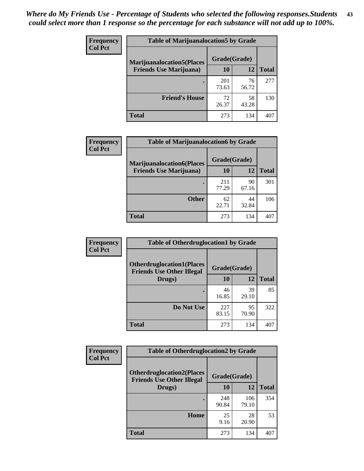| <b>Frequency</b> | <b>Table of Marijuanalocation5 by Grade</b> |              |             |              |
|------------------|---------------------------------------------|--------------|-------------|--------------|
| <b>Col Pct</b>   | <b>Marijuanalocation5(Places)</b>           | Grade(Grade) |             |              |
|                  | <b>Friends Use Marijuana</b> )              | 10           | 12          | <b>Total</b> |
|                  |                                             | 201<br>73.63 | 76<br>56.72 | 277          |
|                  | <b>Friend's House</b>                       | 72<br>26.37  | 58<br>43.28 | 130          |
|                  | <b>Total</b>                                | 273          | 134         | 407          |

| <b>Frequency</b> | <b>Table of Marijuanalocation6 by Grade</b>                        |                    |             |              |
|------------------|--------------------------------------------------------------------|--------------------|-------------|--------------|
| <b>Col Pct</b>   | <b>Marijuanalocation6(Places</b><br><b>Friends Use Marijuana</b> ) | Grade(Grade)<br>10 | 12          | <b>Total</b> |
|                  |                                                                    | 211<br>77.29       | 90<br>67.16 | 301          |
|                  | <b>Other</b>                                                       | 62<br>22.71        | 44<br>32.84 | 106          |
|                  | <b>Total</b>                                                       | 273                | 134         | 407          |

| <b>Frequency</b> | <b>Table of Otherdruglocation1 by Grade</b>                          |              |             |              |
|------------------|----------------------------------------------------------------------|--------------|-------------|--------------|
| <b>Col Pct</b>   | <b>Otherdruglocation1(Places</b><br><b>Friends Use Other Illegal</b> | Grade(Grade) |             |              |
|                  | Drugs)                                                               | 10           | 12          | <b>Total</b> |
|                  |                                                                      | 46<br>16.85  | 39<br>29.10 | 85           |
|                  | Do Not Use                                                           | 227<br>83.15 | 95<br>70.90 | 322          |
|                  | <b>Total</b>                                                         | 273          | 134         | 407          |

| <b>Frequency</b> | <b>Table of Otherdruglocation2 by Grade</b>                          |              |              |              |
|------------------|----------------------------------------------------------------------|--------------|--------------|--------------|
| <b>Col Pct</b>   | <b>Otherdruglocation2(Places</b><br><b>Friends Use Other Illegal</b> | Grade(Grade) |              |              |
|                  | Drugs)                                                               | 10           | 12           | <b>Total</b> |
|                  |                                                                      | 248<br>90.84 | 106<br>79.10 | 354          |
|                  | Home                                                                 | 25<br>9.16   | 28<br>20.90  | 53           |
|                  | <b>Total</b>                                                         | 273          | 134          | 407          |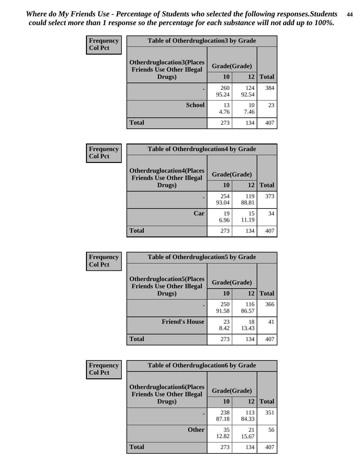| <b>Frequency</b> | <b>Table of Otherdruglocation 3 by Grade</b>                          |              |              |              |
|------------------|-----------------------------------------------------------------------|--------------|--------------|--------------|
| <b>Col Pct</b>   | <b>Otherdruglocation3(Places)</b><br><b>Friends Use Other Illegal</b> | Grade(Grade) |              |              |
|                  | Drugs)                                                                | 10           | 12           | <b>Total</b> |
|                  | ٠                                                                     | 260<br>95.24 | 124<br>92.54 | 384          |
|                  | <b>School</b>                                                         | 13<br>4.76   | 10<br>7.46   | 23           |
|                  | <b>Total</b>                                                          | 273          | 134          | 407          |

| Frequency      | <b>Table of Otherdruglocation4 by Grade</b>                          |              |              |              |
|----------------|----------------------------------------------------------------------|--------------|--------------|--------------|
| <b>Col Pct</b> | <b>Otherdruglocation4(Places</b><br><b>Friends Use Other Illegal</b> | Grade(Grade) |              |              |
|                | Drugs)                                                               | 10           | 12           | <b>Total</b> |
|                |                                                                      | 254<br>93.04 | 119<br>88.81 | 373          |
|                | Car                                                                  | 19<br>6.96   | 15<br>11.19  | 34           |
|                | <b>Total</b>                                                         | 273          | 134          | 407          |

| Frequency      | <b>Table of Otherdruglocation5 by Grade</b>                          |              |              |              |
|----------------|----------------------------------------------------------------------|--------------|--------------|--------------|
| <b>Col Pct</b> | <b>Otherdruglocation5(Places</b><br><b>Friends Use Other Illegal</b> | Grade(Grade) |              |              |
|                | Drugs)                                                               | 10           | 12           | <b>Total</b> |
|                |                                                                      | 250<br>91.58 | 116<br>86.57 | 366          |
|                | <b>Friend's House</b>                                                | 23<br>8.42   | 18<br>13.43  | 41           |
|                | <b>Total</b>                                                         | 273          | 134          | 407          |

| <b>Frequency</b> | <b>Table of Otherdruglocation6 by Grade</b>                           |              |              |              |
|------------------|-----------------------------------------------------------------------|--------------|--------------|--------------|
| <b>Col Pct</b>   | <b>Otherdruglocation6(Places)</b><br><b>Friends Use Other Illegal</b> | Grade(Grade) |              |              |
|                  | Drugs)                                                                | 10           | 12           | <b>Total</b> |
|                  |                                                                       | 238<br>87.18 | 113<br>84.33 | 351          |
|                  | <b>Other</b>                                                          | 35<br>12.82  | 21<br>15.67  | 56           |
|                  | Total                                                                 | 273          | 134          | 407          |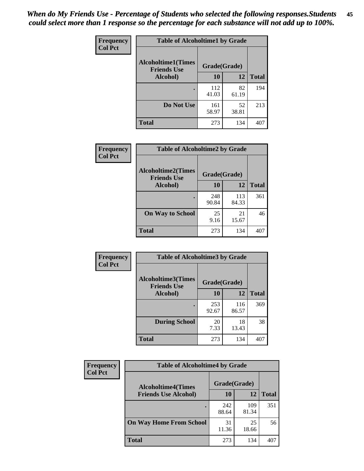| Frequency      | <b>Table of Alcoholtime1 by Grade</b>           |              |             |              |
|----------------|-------------------------------------------------|--------------|-------------|--------------|
| <b>Col Pct</b> | <b>Alcoholtime1(Times</b><br><b>Friends Use</b> | Grade(Grade) |             |              |
|                | Alcohol)                                        | 10           | 12          | <b>Total</b> |
|                |                                                 | 112<br>41.03 | 82<br>61.19 | 194          |
|                | Do Not Use                                      | 161<br>58.97 | 52<br>38.81 | 213          |
|                | <b>Total</b>                                    | 273          | 134         | 407          |

| Frequency      | <b>Table of Alcoholtime2 by Grade</b>                           |              |              |              |
|----------------|-----------------------------------------------------------------|--------------|--------------|--------------|
| <b>Col Pct</b> | <b>Alcoholtime2(Times</b><br>Grade(Grade)<br><b>Friends Use</b> |              |              |              |
|                | Alcohol)                                                        | 10           | 12           | <b>Total</b> |
|                |                                                                 | 248<br>90.84 | 113<br>84.33 | 361          |
|                | <b>On Way to School</b>                                         | 25<br>9.16   | 21<br>15.67  | 46           |
|                | <b>Total</b>                                                    | 273          | 134          | 407          |

| Frequency      | <b>Table of Alcoholtime3 by Grade</b>           |              |              |              |  |
|----------------|-------------------------------------------------|--------------|--------------|--------------|--|
| <b>Col Pct</b> | <b>Alcoholtime3(Times</b><br><b>Friends Use</b> | Grade(Grade) |              |              |  |
|                | Alcohol)                                        | 10           | 12           | <b>Total</b> |  |
|                |                                                 | 253<br>92.67 | 116<br>86.57 | 369          |  |
|                | <b>During School</b>                            | 20<br>7.33   | 18<br>13.43  | 38           |  |
|                | Total                                           | 273          | 134          | 407          |  |

| <b>Frequency</b> | <b>Table of Alcoholtime4 by Grade</b> |              |              |              |  |
|------------------|---------------------------------------|--------------|--------------|--------------|--|
| <b>Col Pct</b>   | <b>Alcoholtime4(Times</b>             | Grade(Grade) |              |              |  |
|                  | <b>Friends Use Alcohol)</b>           | 10           | 12           | <b>Total</b> |  |
|                  | ٠                                     | 242<br>88.64 | 109<br>81.34 | 351          |  |
|                  | <b>On Way Home From School</b>        | 31<br>11.36  | 25<br>18.66  | 56           |  |
|                  | <b>Total</b>                          | 273          | 134          | 407          |  |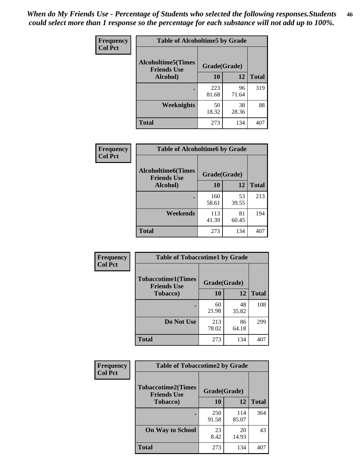*When do My Friends Use - Percentage of Students who selected the following responses.Students could select more than 1 response so the percentage for each substance will not add up to 100%.* **46**

| Frequency      | <b>Table of Alcoholtime5 by Grade</b>           |              |             |              |
|----------------|-------------------------------------------------|--------------|-------------|--------------|
| <b>Col Pct</b> | <b>Alcoholtime5(Times</b><br><b>Friends Use</b> | Grade(Grade) |             |              |
|                | <b>Alcohol</b> )                                | 10           | 12          | <b>Total</b> |
|                |                                                 | 223<br>81.68 | 96<br>71.64 | 319          |
|                | Weeknights                                      | 50<br>18.32  | 38<br>28.36 | 88           |
|                | <b>Total</b>                                    | 273          | 134         | 407          |

| <b>Frequency</b> | <b>Table of Alcoholtime6 by Grade</b>           |              |             |              |
|------------------|-------------------------------------------------|--------------|-------------|--------------|
| <b>Col Pct</b>   | <b>Alcoholtime6(Times</b><br><b>Friends Use</b> | Grade(Grade) |             |              |
|                  | Alcohol)                                        | 10           | 12          | <b>Total</b> |
|                  |                                                 | 160<br>58.61 | 53<br>39.55 | 213          |
|                  | Weekends                                        | 113<br>41.39 | 81<br>60.45 | 194          |
|                  | <b>Total</b>                                    | 273          | 134         | 407          |

| Frequency      | <b>Table of Tobaccotime1 by Grade</b>           |              |             |              |
|----------------|-------------------------------------------------|--------------|-------------|--------------|
| <b>Col Pct</b> | <b>Tobaccotime1(Times</b><br><b>Friends Use</b> | Grade(Grade) |             |              |
|                | <b>Tobacco</b> )                                | 10           | 12          | <b>Total</b> |
|                | ٠                                               | 60<br>21.98  | 48<br>35.82 | 108          |
|                | Do Not Use                                      | 213<br>78.02 | 86<br>64.18 | 299          |
|                | <b>Total</b>                                    | 273          | 134         | 407          |

| <b>Frequency</b> | <b>Table of Tobaccotime2 by Grade</b>           |              |              |              |  |
|------------------|-------------------------------------------------|--------------|--------------|--------------|--|
| <b>Col Pct</b>   | <b>Tobaccotime2(Times</b><br><b>Friends Use</b> | Grade(Grade) |              |              |  |
|                  | <b>Tobacco</b> )                                | <b>10</b>    | 12           | <b>Total</b> |  |
|                  |                                                 | 250<br>91.58 | 114<br>85.07 | 364          |  |
|                  | <b>On Way to School</b>                         | 23<br>8.42   | 20<br>14.93  | 43           |  |
|                  | <b>Total</b>                                    | 273          | 134          | 407          |  |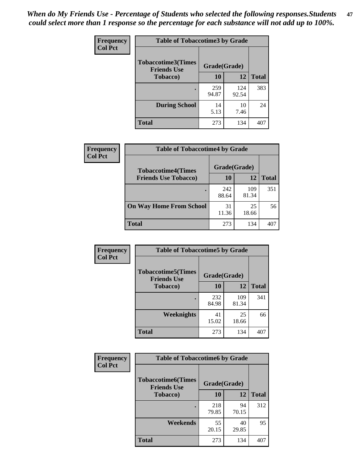*When do My Friends Use - Percentage of Students who selected the following responses.Students could select more than 1 response so the percentage for each substance will not add up to 100%.* **47**

| <b>Frequency</b> | <b>Table of Tobaccotime3 by Grade</b>           |              |              |              |  |
|------------------|-------------------------------------------------|--------------|--------------|--------------|--|
| <b>Col Pct</b>   | <b>Tobaccotime3(Times</b><br><b>Friends Use</b> |              | Grade(Grade) |              |  |
|                  | <b>Tobacco</b> )                                | 10           | 12           | <b>Total</b> |  |
|                  |                                                 | 259<br>94.87 | 124<br>92.54 | 383          |  |
|                  | <b>During School</b>                            | 14<br>5.13   | 10<br>7.46   | 24           |  |
|                  | <b>Total</b>                                    | 273          | 134          | 407          |  |

| Frequency<br><b>Col Pct</b> | <b>Table of Tobaccotime4 by Grade</b> |              |              |              |
|-----------------------------|---------------------------------------|--------------|--------------|--------------|
|                             | <b>Tobaccotime4(Times</b>             | Grade(Grade) |              |              |
|                             | <b>Friends Use Tobacco)</b>           | 10           | 12           | <b>Total</b> |
|                             |                                       | 242<br>88.64 | 109<br>81.34 | 351          |
|                             | <b>On Way Home From School</b>        | 31<br>11.36  | 25<br>18.66  | 56           |
|                             | Total                                 | 273          | 134          | 407          |

| Frequency      | <b>Table of Tobaccotime5 by Grade</b>            |              |              |              |
|----------------|--------------------------------------------------|--------------|--------------|--------------|
| <b>Col Pct</b> | <b>Tobaccotime5</b> (Times<br><b>Friends Use</b> | Grade(Grade) |              |              |
|                | <b>Tobacco</b> )                                 | 10           | 12           | <b>Total</b> |
|                |                                                  | 232<br>84.98 | 109<br>81.34 | 341          |
|                | Weeknights                                       | 41<br>15.02  | 25<br>18.66  | 66           |
|                | <b>Total</b>                                     | 273          | 134          | 407          |

| <b>Frequency</b> | <b>Table of Tobaccotime6 by Grade</b>           |              |             |              |  |
|------------------|-------------------------------------------------|--------------|-------------|--------------|--|
| <b>Col Pct</b>   | <b>Tobaccotime6(Times</b><br><b>Friends Use</b> | Grade(Grade) |             |              |  |
|                  | <b>Tobacco</b> )                                | 10           | 12          | <b>Total</b> |  |
|                  |                                                 | 218<br>79.85 | 94<br>70.15 | 312          |  |
|                  | Weekends                                        | 55<br>20.15  | 40<br>29.85 | 95           |  |
|                  | <b>Total</b>                                    | 273          | 134         | 407          |  |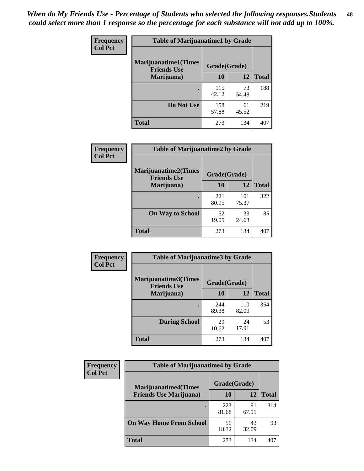| Frequency      | <b>Table of Marijuanatime1 by Grade</b>           |              |             |              |  |
|----------------|---------------------------------------------------|--------------|-------------|--------------|--|
| <b>Col Pct</b> | <b>Marijuanatime1(Times</b><br><b>Friends Use</b> | Grade(Grade) |             |              |  |
|                | Marijuana)                                        | 10           | 12          | <b>Total</b> |  |
|                |                                                   | 115<br>42.12 | 73<br>54.48 | 188          |  |
|                | Do Not Use                                        | 158<br>57.88 | 61<br>45.52 | 219          |  |
|                | <b>Total</b>                                      | 273          | 134         | 407          |  |

| Frequency      | <b>Table of Marijuanatime2 by Grade</b>           |              |              |              |
|----------------|---------------------------------------------------|--------------|--------------|--------------|
| <b>Col Pct</b> | <b>Marijuanatime2(Times</b><br><b>Friends Use</b> | Grade(Grade) |              |              |
|                | Marijuana)                                        | 10           | 12           | <b>Total</b> |
|                |                                                   | 221<br>80.95 | 101<br>75.37 | 322          |
|                | <b>On Way to School</b>                           | 52<br>19.05  | 33<br>24.63  | 85           |
|                | <b>Total</b>                                      | 273          | 134          | 407          |

| Frequency      | <b>Table of Marijuanatime3 by Grade</b>    |              |              |              |
|----------------|--------------------------------------------|--------------|--------------|--------------|
| <b>Col Pct</b> | Marijuanatime3(Times<br><b>Friends Use</b> | Grade(Grade) |              |              |
|                | Marijuana)                                 | 10           | 12           | <b>Total</b> |
|                |                                            | 244<br>89.38 | 110<br>82.09 | 354          |
|                | <b>During School</b>                       | 29<br>10.62  | 24<br>17.91  | 53           |
|                | <b>Total</b>                               | 273          | 134          | 407          |

| <b>Frequency</b> | <b>Table of Marijuanatime4 by Grade</b> |              |             |              |
|------------------|-----------------------------------------|--------------|-------------|--------------|
| <b>Col Pct</b>   | <b>Marijuanatime4(Times</b>             | Grade(Grade) |             |              |
|                  | <b>Friends Use Marijuana</b> )          | 10           | 12          | <b>Total</b> |
|                  |                                         | 223<br>81.68 | 91<br>67.91 | 314          |
|                  | <b>On Way Home From School</b>          | 50<br>18.32  | 43<br>32.09 | 93           |
|                  | <b>Total</b>                            | 273          | 134         |              |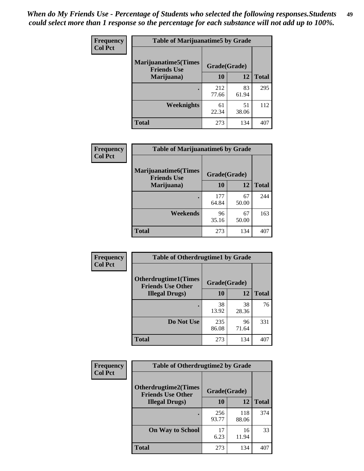| Frequency      | <b>Table of Marijuanatime5 by Grade</b>            |              |             |              |  |
|----------------|----------------------------------------------------|--------------|-------------|--------------|--|
| <b>Col Pct</b> | <b>Marijuanatime5</b> (Times<br><b>Friends Use</b> | Grade(Grade) |             |              |  |
|                | Marijuana)                                         | 10           | 12          | <b>Total</b> |  |
|                |                                                    | 212<br>77.66 | 83<br>61.94 | 295          |  |
|                | Weeknights                                         | 61<br>22.34  | 51<br>38.06 | 112          |  |
|                | <b>Total</b>                                       | 273          | 134         | 407          |  |

| Frequency      | <b>Table of Marijuanatime6 by Grade</b>            |              |             |              |
|----------------|----------------------------------------------------|--------------|-------------|--------------|
| <b>Col Pct</b> | <b>Marijuanatime6</b> (Times<br><b>Friends Use</b> | Grade(Grade) |             |              |
|                | Marijuana)                                         | 10           | 12          | <b>Total</b> |
|                |                                                    | 177<br>64.84 | 67<br>50.00 | 244          |
|                | Weekends                                           | 96<br>35.16  | 67<br>50.00 | 163          |
|                | <b>Total</b>                                       | 273          | 134         | 407          |

| <b>Frequency</b> | <b>Table of Otherdrugtime1 by Grade</b>                  |              |             |              |  |
|------------------|----------------------------------------------------------|--------------|-------------|--------------|--|
| <b>Col Pct</b>   | <b>Otherdrugtime1</b> (Times<br><b>Friends Use Other</b> | Grade(Grade) |             |              |  |
|                  | <b>Illegal Drugs</b> )                                   | 10           | 12          | <b>Total</b> |  |
|                  |                                                          | 38<br>13.92  | 38<br>28.36 | 76           |  |
|                  | Do Not Use                                               | 235<br>86.08 | 96<br>71.64 | 331          |  |
|                  | <b>Total</b>                                             | 273          | 134         | 407          |  |

| Frequency      | <b>Table of Otherdrugtime2 by Grade</b>                 |              |              |              |  |  |  |
|----------------|---------------------------------------------------------|--------------|--------------|--------------|--|--|--|
| <b>Col Pct</b> | <b>Otherdrugtime2(Times</b><br><b>Friends Use Other</b> | Grade(Grade) |              |              |  |  |  |
|                | <b>Illegal Drugs</b> )                                  | 10           | 12           | <b>Total</b> |  |  |  |
|                |                                                         | 256<br>93.77 | 118<br>88.06 | 374          |  |  |  |
|                | <b>On Way to School</b>                                 | 17<br>6.23   | 16<br>11.94  | 33           |  |  |  |
|                | Total                                                   | 273          | 134          | 407          |  |  |  |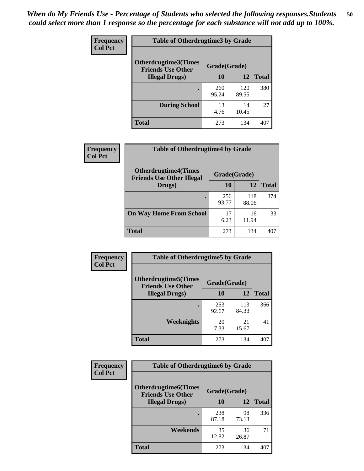| <b>Frequency</b> | <b>Table of Otherdrugtime3 by Grade</b>                 |              |              |              |  |  |  |
|------------------|---------------------------------------------------------|--------------|--------------|--------------|--|--|--|
| <b>Col Pct</b>   | <b>Otherdrugtime3(Times</b><br><b>Friends Use Other</b> | Grade(Grade) |              |              |  |  |  |
|                  | <b>Illegal Drugs</b> )                                  | 10           | 12           | <b>Total</b> |  |  |  |
|                  |                                                         | 260<br>95.24 | 120<br>89.55 | 380          |  |  |  |
|                  | <b>During School</b>                                    | 13<br>4.76   | 14<br>10.45  | 27           |  |  |  |
|                  | Total                                                   | 273          | 134          | 407          |  |  |  |

| Frequency      | <b>Table of Otherdrugtime4 by Grade</b>                         |              |              |              |  |  |  |
|----------------|-----------------------------------------------------------------|--------------|--------------|--------------|--|--|--|
| <b>Col Pct</b> | <b>Otherdrugtime4(Times</b><br><b>Friends Use Other Illegal</b> | Grade(Grade) |              |              |  |  |  |
|                | Drugs)                                                          | 10           | 12           | <b>Total</b> |  |  |  |
|                | $\bullet$                                                       | 256<br>93.77 | 118<br>88.06 | 374          |  |  |  |
|                | <b>On Way Home From School</b>                                  | 17<br>6.23   | 16<br>11.94  | 33           |  |  |  |
|                | <b>Total</b>                                                    | 273          | 134          | 407          |  |  |  |

| <b>Frequency</b> | <b>Table of Otherdrugtime5 by Grade</b>                  |              |              |              |  |  |  |
|------------------|----------------------------------------------------------|--------------|--------------|--------------|--|--|--|
| <b>Col Pct</b>   | <b>Otherdrugtime5</b> (Times<br><b>Friends Use Other</b> | Grade(Grade) |              |              |  |  |  |
|                  | <b>Illegal Drugs</b> )                                   | 10           | 12           | <b>Total</b> |  |  |  |
|                  |                                                          | 253<br>92.67 | 113<br>84.33 | 366          |  |  |  |
|                  | Weeknights                                               | 20<br>7.33   | 21<br>15.67  | 41           |  |  |  |
|                  | <b>Total</b>                                             | 273          | 134          | 407          |  |  |  |

| <b>Frequency</b><br><b>Col Pct</b> | <b>Table of Otherdrugtime6 by Grade</b>                 |              |             |              |  |  |  |
|------------------------------------|---------------------------------------------------------|--------------|-------------|--------------|--|--|--|
|                                    | <b>Otherdrugtime6(Times</b><br><b>Friends Use Other</b> | Grade(Grade) |             |              |  |  |  |
|                                    | <b>Illegal Drugs</b> )                                  | 10           | 12          | <b>Total</b> |  |  |  |
|                                    |                                                         | 238<br>87.18 | 98<br>73.13 | 336          |  |  |  |
|                                    | Weekends                                                | 35<br>12.82  | 36<br>26.87 | 71           |  |  |  |
|                                    | <b>Total</b>                                            | 273          | 134         | 407          |  |  |  |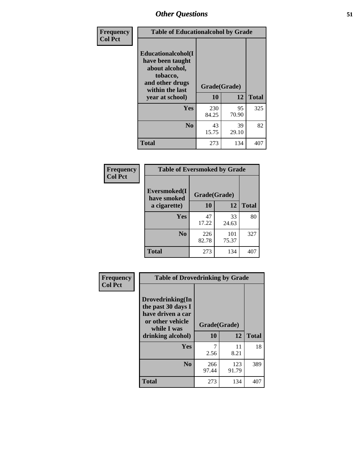| Frequency      | <b>Table of Educationalcohol by Grade</b>                                                                  |              |             |              |  |  |
|----------------|------------------------------------------------------------------------------------------------------------|--------------|-------------|--------------|--|--|
| <b>Col Pct</b> | Educationalcohol(I<br>have been taught<br>about alcohol,<br>tobacco,<br>and other drugs<br>within the last | Grade(Grade) |             |              |  |  |
|                | year at school)                                                                                            | 10           | 12          | <b>Total</b> |  |  |
|                | <b>Yes</b>                                                                                                 | 230<br>84.25 | 95<br>70.90 | 325          |  |  |
|                | N <sub>0</sub>                                                                                             | 43<br>15.75  | 39<br>29.10 | 82           |  |  |
|                | <b>Total</b>                                                                                               | 273          | 134         | 407          |  |  |

| Frequency      | <b>Table of Eversmoked by Grade</b> |              |              |              |  |  |  |
|----------------|-------------------------------------|--------------|--------------|--------------|--|--|--|
| <b>Col Pct</b> | Eversmoked(I<br>have smoked         | Grade(Grade) |              |              |  |  |  |
|                | a cigarette)                        | 10           | 12           | <b>Total</b> |  |  |  |
|                | <b>Yes</b>                          | 47<br>17.22  | 33<br>24.63  | 80           |  |  |  |
|                | N <sub>0</sub>                      | 226<br>82.78 | 101<br>75.37 | 327          |  |  |  |
|                | <b>Total</b>                        | 273          | 134          | 407          |  |  |  |

| Frequency      | <b>Table of Drovedrinking by Grade</b>                                                                              |                    |              |     |  |  |  |
|----------------|---------------------------------------------------------------------------------------------------------------------|--------------------|--------------|-----|--|--|--|
| <b>Col Pct</b> | Drovedrinking(In<br>the past 30 days I<br>have driven a car<br>or other vehicle<br>while I was<br>drinking alcohol) | Grade(Grade)<br>10 | <b>Total</b> |     |  |  |  |
|                |                                                                                                                     |                    | 12           |     |  |  |  |
|                | Yes                                                                                                                 | 7                  | 11           | 18  |  |  |  |
|                |                                                                                                                     | 2.56               | 8.21         |     |  |  |  |
|                | N <sub>0</sub>                                                                                                      | 266<br>97.44       | 123<br>91.79 | 389 |  |  |  |
|                | <b>Total</b>                                                                                                        | 273                | 134          | 407 |  |  |  |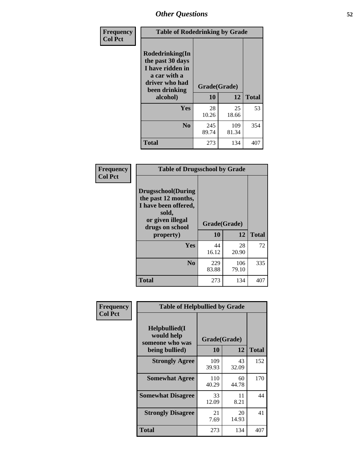| Frequency<br><b>Col Pct</b> | <b>Table of Rodedrinking by Grade</b>                                                                      |              |              |              |  |  |
|-----------------------------|------------------------------------------------------------------------------------------------------------|--------------|--------------|--------------|--|--|
|                             | Rodedrinking(In<br>the past 30 days<br>I have ridden in<br>a car with a<br>driver who had<br>been drinking | Grade(Grade) |              |              |  |  |
|                             | alcohol)                                                                                                   | 10           | 12           | <b>Total</b> |  |  |
|                             | Yes                                                                                                        | 28<br>10.26  | 25<br>18.66  | 53           |  |  |
|                             | N <sub>0</sub>                                                                                             | 245<br>89.74 | 109<br>81.34 | 354          |  |  |
|                             | <b>Total</b>                                                                                               | 273          | 134          | 407          |  |  |

#### **Frequency Col Pct**

| <b>Table of Drugsschool by Grade</b>                                                                                      |              |              |              |  |  |  |
|---------------------------------------------------------------------------------------------------------------------------|--------------|--------------|--------------|--|--|--|
| <b>Drugsschool</b> (During<br>the past 12 months,<br>I have been offered,<br>sold,<br>or given illegal<br>drugs on school | Grade(Grade) |              |              |  |  |  |
| property)                                                                                                                 | 10           | 12           | <b>Total</b> |  |  |  |
| Yes                                                                                                                       | 44<br>16.12  | 28<br>20.90  | 72           |  |  |  |
| N <sub>0</sub>                                                                                                            | 229<br>83.88 | 106<br>79.10 | 335          |  |  |  |
| <b>Total</b>                                                                                                              | 273          | 134          |              |  |  |  |

| Frequency      | <b>Table of Helpbullied by Grade</b>                 |                    |             |              |  |  |  |
|----------------|------------------------------------------------------|--------------------|-------------|--------------|--|--|--|
| <b>Col Pct</b> | $Helpb$ ullied $(I$<br>would help<br>someone who was | Grade(Grade)<br>10 |             |              |  |  |  |
|                | being bullied)                                       |                    | 12          | <b>Total</b> |  |  |  |
|                | <b>Strongly Agree</b>                                | 109<br>39.93       | 43<br>32.09 | 152          |  |  |  |
|                | <b>Somewhat Agree</b>                                | 110<br>40.29       | 60<br>44.78 | 170          |  |  |  |
|                | <b>Somewhat Disagree</b>                             | 33<br>12.09        | 11<br>8.21  | 44           |  |  |  |
|                | <b>Strongly Disagree</b>                             | 21<br>7.69         | 20<br>14.93 | 41           |  |  |  |
|                | <b>Total</b>                                         | 273                | 134         | 407          |  |  |  |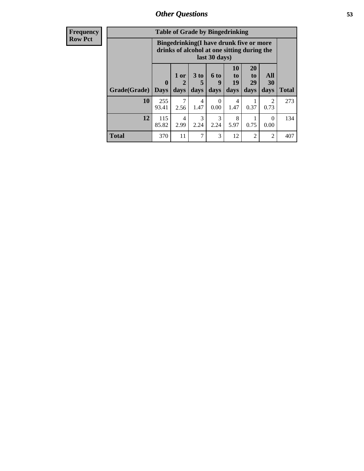| <b>Frequency</b> | <b>Table of Grade by Bingedrinking</b> |                                                                                                         |                                |                   |                             |                               |                               |                   |              |
|------------------|----------------------------------------|---------------------------------------------------------------------------------------------------------|--------------------------------|-------------------|-----------------------------|-------------------------------|-------------------------------|-------------------|--------------|
| <b>Row Pct</b>   |                                        | Bingedrinking(I have drunk five or more<br>drinks of alcohol at one sitting during the<br>last 30 days) |                                |                   |                             |                               |                               |                   |              |
|                  | Grade(Grade)                           | $\mathbf{0}$<br><b>Days</b>                                                                             | 1 or<br>$\overline{2}$<br>days | 3 to<br>5<br>days | $6 \text{ to}$<br>9<br>days | <b>10</b><br>to<br>19<br>days | <b>20</b><br>to<br>29<br>days | All<br>30<br>days | <b>Total</b> |
|                  | 10                                     | 255<br>93.41                                                                                            | 7<br>2.56                      | 4<br>1.47         | $\theta$<br>0.00            | 4<br>1.47                     | 0.37                          | 2<br>0.73         | 273          |
|                  | 12                                     | 115<br>85.82                                                                                            | 4<br>2.99                      | 3<br>2.24         | 3<br>2.24                   | 8<br>5.97                     | 0.75                          | 0<br>0.00         | 134          |
|                  |                                        |                                                                                                         |                                |                   |                             |                               |                               |                   |              |

**Total** 370 11 7 3 12 2 2 407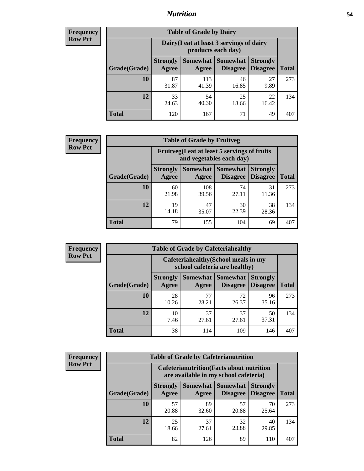## *Nutrition* **54**

| <b>Frequency</b> |
|------------------|
| <b>Row Pct</b>   |

| <b>Table of Grade by Dairy</b> |                          |                                                                 |             |             |     |  |  |  |
|--------------------------------|--------------------------|-----------------------------------------------------------------|-------------|-------------|-----|--|--|--|
|                                |                          | Dairy (I eat at least 3 servings of dairy<br>products each day) |             |             |     |  |  |  |
| Grade(Grade)                   | <b>Strongly</b><br>Agree | <b>Strongly</b><br><b>Disagree</b><br>Disagree                  | Total       |             |     |  |  |  |
| 10                             | 87<br>31.87              | 113<br>41.39                                                    | 46<br>16.85 | 27<br>9.89  | 273 |  |  |  |
| 12                             | 33<br>24.63              | 54<br>40.30                                                     | 25<br>18.66 | 22<br>16.42 | 134 |  |  |  |
| <b>Total</b>                   | 120                      | 167                                                             | 71          | 49          | 407 |  |  |  |

| <b>Frequency</b> |  |
|------------------|--|
| <b>Row Pct</b>   |  |

| <b>Table of Grade by Fruitveg</b> |                                                                          |              |                            |                                             |              |  |  |  |
|-----------------------------------|--------------------------------------------------------------------------|--------------|----------------------------|---------------------------------------------|--------------|--|--|--|
|                                   | Fruitveg(I eat at least 5 servings of fruits<br>and vegetables each day) |              |                            |                                             |              |  |  |  |
| Grade(Grade)                      | <b>Strongly</b><br>Agree                                                 | Agree        | <b>Somewhat   Somewhat</b> | <b>Strongly</b><br><b>Disagree</b> Disagree | <b>Total</b> |  |  |  |
| 10                                | 60<br>21.98                                                              | 108<br>39.56 | 74<br>27.11                | 31<br>11.36                                 | 273          |  |  |  |
| 12                                | 19<br>14.18                                                              | 47<br>35.07  | 30<br>22.39                | 38<br>28.36                                 | 134          |  |  |  |
| <b>Total</b>                      | 79                                                                       | 155          | 104                        | 69                                          | 407          |  |  |  |

| <b>Frequency</b> | <b>Table of Grade by Cafeteriahealthy</b> |                                                                       |                            |                 |                                    |              |  |
|------------------|-------------------------------------------|-----------------------------------------------------------------------|----------------------------|-----------------|------------------------------------|--------------|--|
| <b>Row Pct</b>   |                                           | Cafeteriahealthy (School meals in my<br>school cafeteria are healthy) |                            |                 |                                    |              |  |
|                  | Grade(Grade)                              | <b>Strongly</b><br>Agree                                              | Somewhat Somewhat<br>Agree | <b>Disagree</b> | <b>Strongly</b><br><b>Disagree</b> | <b>Total</b> |  |
|                  | 10                                        | 28<br>10.26                                                           | 77<br>28.21                | 72<br>26.37     | 96<br>35.16                        | 273          |  |
|                  | 12                                        | 10<br>7.46                                                            | 37<br>27.61                | 37<br>27.61     | 50<br>37.31                        | 134          |  |
|                  | Total                                     | 38                                                                    | 114                        | 109             | 146                                | 407          |  |

| <b>Frequency</b> |
|------------------|
| <b>Row Pct</b>   |

| <b>Table of Grade by Cafeterianutrition</b>                                               |                          |             |                                      |                                    |              |  |  |
|-------------------------------------------------------------------------------------------|--------------------------|-------------|--------------------------------------|------------------------------------|--------------|--|--|
| <b>Cafeterianutrition</b> (Facts about nutrition<br>are available in my school cafeteria) |                          |             |                                      |                                    |              |  |  |
| Grade(Grade)                                                                              | <b>Strongly</b><br>Agree | Agree       | Somewhat Somewhat<br><b>Disagree</b> | <b>Strongly</b><br><b>Disagree</b> | <b>Total</b> |  |  |
| 10                                                                                        | 57<br>20.88              | 89<br>32.60 | 57<br>20.88                          | 70<br>25.64                        | 273          |  |  |
| 12                                                                                        | 25<br>18.66              | 37<br>27.61 | 32<br>23.88                          | 40<br>29.85                        | 134          |  |  |
| Total                                                                                     | 82                       | 126         | 89                                   | 110                                | 407          |  |  |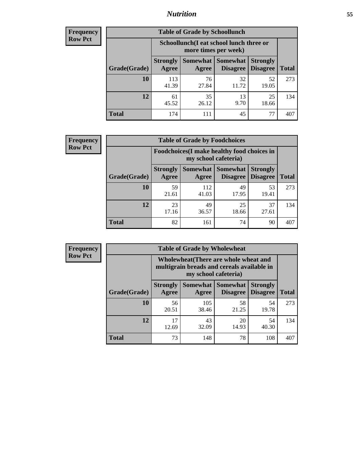## *Nutrition* **55**

| <b>Frequency</b> |
|------------------|
| <b>Row Pct</b>   |

| <b>Table of Grade by Schoollunch</b> |                          |                                                                                        |             |             |     |  |  |  |
|--------------------------------------|--------------------------|----------------------------------------------------------------------------------------|-------------|-------------|-----|--|--|--|
|                                      |                          | Schoollunch(I eat school lunch three or<br>more times per week)                        |             |             |     |  |  |  |
| Grade(Grade)                         | <b>Strongly</b><br>Agree | Somewhat<br><b>Somewhat</b><br><b>Strongly</b><br><b>Disagree</b><br>Disagree<br>Agree |             |             |     |  |  |  |
| 10                                   | 113<br>41.39             | 76<br>27.84                                                                            | 32<br>11.72 | 52<br>19.05 | 273 |  |  |  |
| 12                                   | 61<br>45.52              | 35<br>26.12                                                                            | 13<br>9.70  | 25<br>18.66 | 134 |  |  |  |
| <b>Total</b>                         | 174                      | 111                                                                                    | 45          | 77          | 407 |  |  |  |

| <b>Frequency</b> |  |
|------------------|--|
| <b>Row Pct</b>   |  |

| <b>Table of Grade by Foodchoices</b>                                |                          |              |                                      |                                    |              |  |  |
|---------------------------------------------------------------------|--------------------------|--------------|--------------------------------------|------------------------------------|--------------|--|--|
| Foodchoices (I make healthy food choices in<br>my school cafeteria) |                          |              |                                      |                                    |              |  |  |
| Grade(Grade)                                                        | <b>Strongly</b><br>Agree | Agree        | Somewhat Somewhat<br><b>Disagree</b> | <b>Strongly</b><br><b>Disagree</b> | <b>Total</b> |  |  |
| 10                                                                  | 59<br>21.61              | 112<br>41.03 | 49<br>17.95                          | 53<br>19.41                        | 273          |  |  |
| 12                                                                  | 23<br>17.16              | 49<br>36.57  | 25<br>18.66                          | 37<br>27.61                        | 134          |  |  |
| <b>Total</b>                                                        | 82                       | 161          | 74                                   | 90                                 | 407          |  |  |

| <b>Frequency</b> | <b>Table of Grade by Wholewheat</b> |                                                                                                                    |              |                                        |                                    |              |  |  |  |
|------------------|-------------------------------------|--------------------------------------------------------------------------------------------------------------------|--------------|----------------------------------------|------------------------------------|--------------|--|--|--|
| <b>Row Pct</b>   |                                     | <b>Wholewheat</b> (There are whole wheat and<br>multigrain breads and cereals available in<br>my school cafeteria) |              |                                        |                                    |              |  |  |  |
|                  | Grade(Grade)                        | <b>Strongly</b><br>Agree                                                                                           | Agree        | <b>Somewhat   Somewhat</b><br>Disagree | <b>Strongly</b><br><b>Disagree</b> | <b>Total</b> |  |  |  |
|                  | 10                                  | 56<br>20.51                                                                                                        | 105<br>38.46 | 58<br>21.25                            | 54<br>19.78                        | 273          |  |  |  |
|                  | 12                                  | 17<br>12.69                                                                                                        | 43<br>32.09  | 20<br>14.93                            | 54<br>40.30                        | 134          |  |  |  |
|                  | <b>Total</b>                        | 73                                                                                                                 | 148          | 78                                     | 108                                | 407          |  |  |  |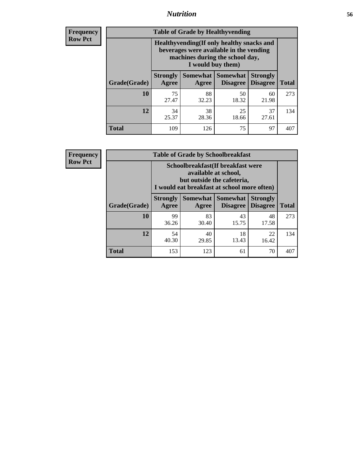## *Nutrition* **56**

**Frequency Row Pct**

| <b>Table of Grade by Healthyvending</b> |                                                                                                                                               |                          |                                    |                                    |              |  |
|-----------------------------------------|-----------------------------------------------------------------------------------------------------------------------------------------------|--------------------------|------------------------------------|------------------------------------|--------------|--|
|                                         | Healthyvending (If only healthy snacks and<br>beverages were available in the vending<br>machines during the school day,<br>I would buy them) |                          |                                    |                                    |              |  |
| Grade(Grade)                            | <b>Strongly</b><br>Agree                                                                                                                      | <b>Somewhat</b><br>Agree | <b>Somewhat</b><br><b>Disagree</b> | <b>Strongly</b><br><b>Disagree</b> | <b>Total</b> |  |
| 10                                      | 75<br>27.47                                                                                                                                   | 88<br>32.23              | 50<br>18.32                        | 60<br>21.98                        | 273          |  |
| 12                                      | 34<br>25.37                                                                                                                                   | 38<br>28.36              | 25<br>18.66                        | 37<br>27.61                        | 134          |  |
| Total                                   | 109                                                                                                                                           | 126                      | 75                                 | 97                                 | 407          |  |

**Frequency Row Pct**

| <b>Table of Grade by Schoolbreakfast</b> |                                                                                                                                             |             |             |             |     |  |
|------------------------------------------|---------------------------------------------------------------------------------------------------------------------------------------------|-------------|-------------|-------------|-----|--|
|                                          | Schoolbreakfast(If breakfast were<br>available at school,<br>but outside the cafeteria,<br>I would eat breakfast at school more often)      |             |             |             |     |  |
| Grade(Grade)                             | Somewhat  <br><b>Somewhat</b><br><b>Strongly</b><br><b>Strongly</b><br><b>Disagree</b><br><b>Total</b><br><b>Disagree</b><br>Agree<br>Agree |             |             |             |     |  |
| 10                                       | 99<br>36.26                                                                                                                                 | 83<br>30.40 | 43<br>15.75 | 48<br>17.58 | 273 |  |
| 12                                       | 54<br>40.30                                                                                                                                 | 40<br>29.85 | 18<br>13.43 | 22<br>16.42 | 134 |  |
| <b>Total</b>                             | 153                                                                                                                                         | 123         | 61          | 70          | 407 |  |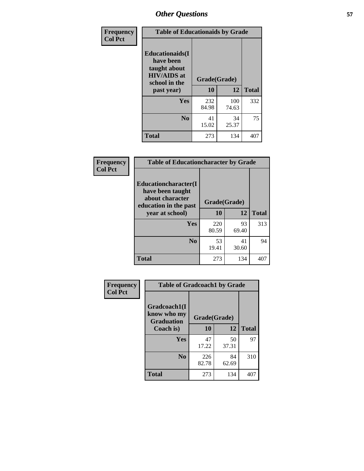| Frequency<br><b>Col Pct</b> | <b>Table of Educationaids by Grade</b>                                                                    |                    |              |              |
|-----------------------------|-----------------------------------------------------------------------------------------------------------|--------------------|--------------|--------------|
|                             | <b>Educationaids</b> (I<br>have been<br>taught about<br><b>HIV/AIDS</b> at<br>school in the<br>past year) | Grade(Grade)<br>10 | 12           | <b>Total</b> |
|                             | Yes                                                                                                       | 232<br>84.98       | 100<br>74.63 | 332          |
|                             | N <sub>0</sub>                                                                                            | 41<br>15.02        | 34<br>25.37  | 75           |
|                             | <b>Total</b>                                                                                              | 273                | 134          | 407          |

| <b>Frequency</b> | <b>Table of Educationcharacter by Grade</b>                                          |              |             |              |
|------------------|--------------------------------------------------------------------------------------|--------------|-------------|--------------|
| <b>Col Pct</b>   | Educationcharacter(I<br>have been taught<br>about character<br>education in the past | Grade(Grade) |             |              |
|                  | year at school)                                                                      | 10           | 12          | <b>Total</b> |
|                  | <b>Yes</b>                                                                           | 220<br>80.59 | 93<br>69.40 | 313          |
|                  | N <sub>0</sub>                                                                       | 53<br>19.41  | 41<br>30.60 | 94           |
|                  | <b>Total</b>                                                                         | 273          | 134         | 407          |

| Frequency      | <b>Table of Gradcoach1 by Grade</b>              |              |             |              |
|----------------|--------------------------------------------------|--------------|-------------|--------------|
| <b>Col Pct</b> | Gradcoach1(I<br>know who my<br><b>Graduation</b> | Grade(Grade) |             |              |
|                | Coach is)                                        | 10           | 12          | <b>Total</b> |
|                | Yes                                              | 47<br>17.22  | 50<br>37.31 | 97           |
|                | N <sub>0</sub>                                   | 226<br>82.78 | 84<br>62.69 | 310          |
|                | <b>Total</b>                                     | 273          | 134         | 407          |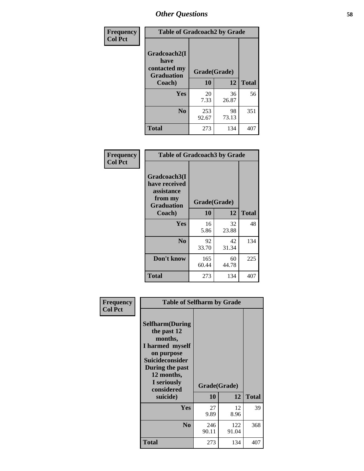| Frequency      | <b>Table of Gradcoach2 by Grade</b> |              |             |              |
|----------------|-------------------------------------|--------------|-------------|--------------|
| <b>Col Pct</b> | Gradcoach2(I<br>have                |              |             |              |
|                | contacted my<br><b>Graduation</b>   | Grade(Grade) |             |              |
|                | Coach)                              | 10           | 12          | <b>Total</b> |
|                | Yes                                 | 20<br>7.33   | 36<br>26.87 | 56           |
|                | N <sub>0</sub>                      | 253<br>92.67 | 98<br>73.13 | 351          |
|                | <b>Total</b>                        | 273          | 134         | 407          |

| Frequency<br><b>Col Pct</b> | <b>Table of Gradcoach3 by Grade</b>                                         |              |             |              |
|-----------------------------|-----------------------------------------------------------------------------|--------------|-------------|--------------|
|                             | Gradcoach3(I<br>have received<br>assistance<br>from my<br><b>Graduation</b> | Grade(Grade) |             |              |
|                             | Coach)                                                                      | 10           | 12          | <b>Total</b> |
|                             | Yes                                                                         | 16<br>5.86   | 32<br>23.88 | 48           |
|                             | N <sub>0</sub>                                                              | 92<br>33.70  | 42<br>31.34 | 134          |
|                             | Don't know                                                                  | 165<br>60.44 | 60<br>44.78 | 225          |
|                             | <b>Total</b>                                                                | 273          | 134         | 407          |

| Frequency      | <b>Table of Selfharm by Grade</b>                                                                                                                                                      |                    |              |              |
|----------------|----------------------------------------------------------------------------------------------------------------------------------------------------------------------------------------|--------------------|--------------|--------------|
| <b>Col Pct</b> | <b>Selfharm</b> (During<br>the past 12<br>months,<br>I harmed myself<br>on purpose<br><b>Suicideconsider</b><br>During the past<br>12 months,<br>I seriously<br>considered<br>suicide) | Grade(Grade)<br>10 | 12           | <b>Total</b> |
|                | <b>Yes</b>                                                                                                                                                                             | 27<br>9.89         | 12<br>8.96   | 39           |
|                | N <sub>0</sub>                                                                                                                                                                         | 246<br>90.11       | 122<br>91.04 | 368          |
|                | Total                                                                                                                                                                                  | 273                | 134          | 407          |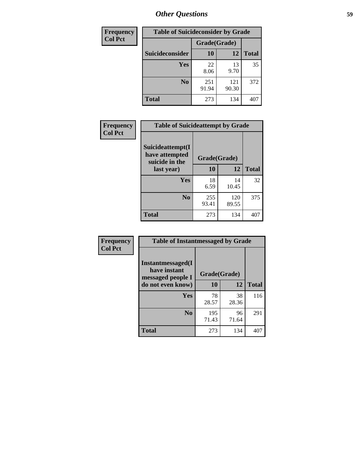| <b>Frequency</b> | <b>Table of Suicideconsider by Grade</b> |              |              |              |
|------------------|------------------------------------------|--------------|--------------|--------------|
| <b>Col Pct</b>   |                                          | Grade(Grade) |              |              |
|                  | <b>Suicideconsider</b>                   | 10           | 12           | <b>Total</b> |
|                  | <b>Yes</b>                               | 22<br>8.06   | 13<br>9.70   | 35           |
|                  | N <sub>0</sub>                           | 251<br>91.94 | 121<br>90.30 | 372          |
|                  | <b>Total</b>                             | 273          | 134          | 407          |

| Frequency<br><b>Col Pct</b> | <b>Table of Suicideattempt by Grade</b>              |              |              |              |
|-----------------------------|------------------------------------------------------|--------------|--------------|--------------|
|                             | Suicideattempt(I<br>have attempted<br>suicide in the | Grade(Grade) |              |              |
|                             | last year)                                           | 10           | 12           | <b>Total</b> |
|                             | Yes                                                  | 18<br>6.59   | 14<br>10.45  | 32           |
|                             | $\bf No$                                             | 255<br>93.41 | 120<br>89.55 | 375          |
|                             | <b>Total</b>                                         | 273          | 134          | 407          |

| Frequency      | <b>Table of Instantmessaged by Grade</b>               |              |             |              |
|----------------|--------------------------------------------------------|--------------|-------------|--------------|
| <b>Col Pct</b> | Instantmessaged(I<br>have instant<br>messaged people I | Grade(Grade) |             |              |
|                | do not even know)                                      | 10           | 12          | <b>Total</b> |
|                | Yes                                                    | 78<br>28.57  | 38<br>28.36 | 116          |
|                | N <sub>0</sub>                                         | 195<br>71.43 | 96<br>71.64 | 291          |
|                | <b>Total</b>                                           | 273          | 134         | 407          |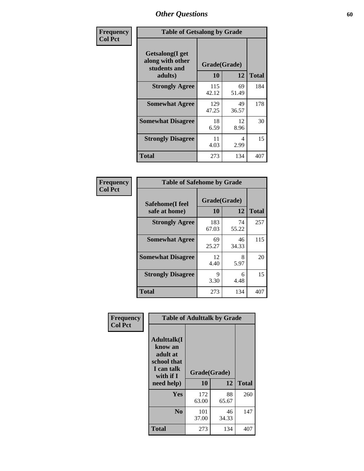| Frequency      | <b>Table of Getsalong by Grade</b>                  |              |             |              |
|----------------|-----------------------------------------------------|--------------|-------------|--------------|
| <b>Col Pct</b> | Getsalong(I get<br>along with other<br>students and | Grade(Grade) |             |              |
|                | adults)                                             | 10           | 12          | <b>Total</b> |
|                | <b>Strongly Agree</b>                               | 115<br>42.12 | 69<br>51.49 | 184          |
|                | <b>Somewhat Agree</b>                               | 129<br>47.25 | 49<br>36.57 | 178          |
|                | <b>Somewhat Disagree</b>                            | 18<br>6.59   | 12<br>8.96  | 30           |
|                | <b>Strongly Disagree</b>                            | 11<br>4.03   | 4<br>2.99   | 15           |
|                | <b>Total</b>                                        | 273          | 134         | 407          |

| Frequency      | <b>Table of Safehome by Grade</b> |              |             |              |
|----------------|-----------------------------------|--------------|-------------|--------------|
| <b>Col Pct</b> | Safehome(I feel                   | Grade(Grade) |             |              |
|                | safe at home)                     | 10           | 12          | <b>Total</b> |
|                | <b>Strongly Agree</b>             | 183<br>67.03 | 74<br>55.22 | 257          |
|                | <b>Somewhat Agree</b>             | 69<br>25.27  | 46<br>34.33 | 115          |
|                | <b>Somewhat Disagree</b>          | 12<br>4.40   | 8<br>5.97   | 20           |
|                | <b>Strongly Disagree</b>          | 9<br>3.30    | 6<br>4.48   | 15           |
|                | <b>Total</b>                      | 273          | 134         | 407          |

| Frequency<br><b>Col Pct</b> |                                                                                                   | <b>Table of Adulttalk by Grade</b> |             |              |  |  |  |
|-----------------------------|---------------------------------------------------------------------------------------------------|------------------------------------|-------------|--------------|--|--|--|
|                             | <b>Adulttalk(I</b><br>know an<br>adult at<br>school that<br>I can talk<br>with if I<br>need help) | Grade(Grade)<br>10                 | 12          | <b>Total</b> |  |  |  |
|                             |                                                                                                   |                                    |             |              |  |  |  |
|                             | Yes                                                                                               | 172<br>63.00                       | 88<br>65.67 | 260          |  |  |  |
|                             | N <sub>0</sub>                                                                                    | 101<br>37.00                       | 46<br>34.33 | 147          |  |  |  |
|                             | <b>Total</b>                                                                                      | 273                                | 134         | 407          |  |  |  |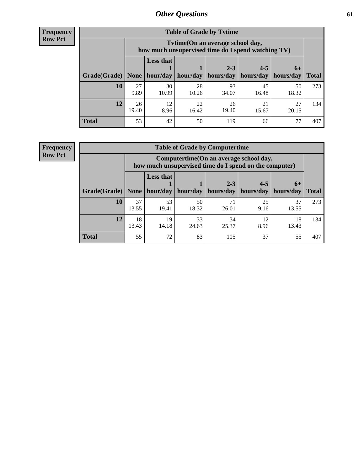**Frequency Row Pct**

| <b>Table of Grade by Tvtime</b> |             |                                                                                         |             |                                                |             |             |              |  |  |  |
|---------------------------------|-------------|-----------------------------------------------------------------------------------------|-------------|------------------------------------------------|-------------|-------------|--------------|--|--|--|
|                                 |             | Tytime (On an average school day,<br>how much unsupervised time do I spend watching TV) |             |                                                |             |             |              |  |  |  |
| Grade(Grade)   None             |             | <b>Less that</b><br>hour/day                                                            | hour/day    | $2 - 3$<br>  hours/day   hours/day   hours/day | $4 - 5$     | $6+$        | <b>Total</b> |  |  |  |
| 10                              | 27<br>9.89  | 30<br>10.99                                                                             | 28<br>10.26 | 93<br>34.07                                    | 45<br>16.48 | 50<br>18.32 | 273          |  |  |  |
| 12                              | 26<br>19.40 | 12<br>8.96                                                                              | 22<br>16.42 | 26<br>19.40                                    | 21<br>15.67 | 27<br>20.15 | 134          |  |  |  |
| <b>Total</b>                    | 53          | 42                                                                                      | 50          | 119                                            | 66          | 77          | 407          |  |  |  |

**Frequency Row Pct**

| <b>Table of Grade by Computertime</b> |             |                                                                                                                               |             |             |            |             |     |  |  |
|---------------------------------------|-------------|-------------------------------------------------------------------------------------------------------------------------------|-------------|-------------|------------|-------------|-----|--|--|
|                                       |             | Computertime (On an average school day,<br>how much unsupervised time do I spend on the computer)                             |             |             |            |             |     |  |  |
| Grade(Grade)                          | None        | <b>Less that</b><br>$4 - 5$<br>$2 - 3$<br>$6+$<br>hour/day<br>hours/day<br>hour/day<br>hours/day<br>hours/day<br><b>Total</b> |             |             |            |             |     |  |  |
| 10                                    | 37<br>13.55 | 53<br>19.41                                                                                                                   | 50<br>18.32 | 71<br>26.01 | 25<br>9.16 | 37<br>13.55 | 273 |  |  |
| 12                                    | 18<br>13.43 | 19<br>14.18                                                                                                                   | 33<br>24.63 | 34<br>25.37 | 12<br>8.96 | 18<br>13.43 | 134 |  |  |
| <b>Total</b>                          | 55          | 72                                                                                                                            | 83          | 105         | 37         | 55          | 407 |  |  |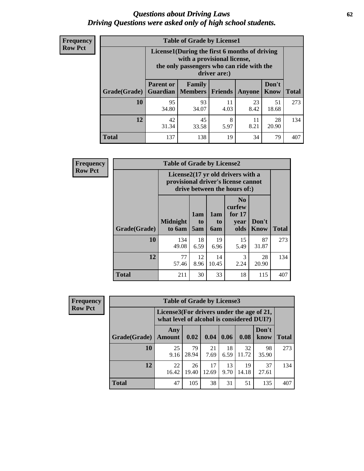#### *Questions about Driving Laws* **62** *Driving Questions were asked only of high school students.*

| <b>Frequency</b> |
|------------------|
| <b>Row Pct</b>   |

| <b>Table of Grade by License1</b> |                                                                      |                                                                                                                                           |                |               |               |              |  |  |  |
|-----------------------------------|----------------------------------------------------------------------|-------------------------------------------------------------------------------------------------------------------------------------------|----------------|---------------|---------------|--------------|--|--|--|
|                                   |                                                                      | License1(During the first 6 months of driving<br>with a provisional license,<br>the only passengers who can ride with the<br>driver are:) |                |               |               |              |  |  |  |
| Grade(Grade)                      | <b>Parent or</b><br><b>Guardian</b>                                  | Family<br><b>Members</b>                                                                                                                  | <b>Friends</b> | <b>Anyone</b> | Don't<br>Know | <b>Total</b> |  |  |  |
| 10                                | 95<br>34.80                                                          | 93<br>34.07                                                                                                                               | 11<br>4.03     | 23<br>8.42    | 51<br>18.68   | 273          |  |  |  |
| 12                                | 42<br>8<br>28<br>45<br>11<br>8.21<br>31.34<br>20.90<br>33.58<br>5.97 |                                                                                                                                           |                |               |               |              |  |  |  |
| <b>Total</b>                      | 137                                                                  | 138                                                                                                                                       | 19             | 34            | 79            | 407          |  |  |  |

| Frequency      |              | <b>Table of Grade by License2</b>                                                                        |                              |                         |                                                      |                      |              |  |  |
|----------------|--------------|----------------------------------------------------------------------------------------------------------|------------------------------|-------------------------|------------------------------------------------------|----------------------|--------------|--|--|
| <b>Row Pct</b> |              | License2(17 yr old drivers with a<br>provisional driver's license cannot<br>drive between the hours of:) |                              |                         |                                                      |                      |              |  |  |
|                | Grade(Grade) | <b>Midnight</b><br>to 6am                                                                                | 1am<br>t <sub>0</sub><br>5am | 1am<br>to<br><b>6am</b> | N <sub>0</sub><br>curfew<br>for $17$<br>vear<br>olds | Don't<br><b>Know</b> | <b>Total</b> |  |  |
|                | 10           | 134<br>49.08                                                                                             | 18<br>6.59                   | 19<br>6.96              | 15<br>5.49                                           | 87<br>31.87          | 273          |  |  |
|                | 12           | 77<br>57.46                                                                                              | 12<br>8.96                   | 14<br>10.45             | 3<br>2.24                                            | 28<br>20.90          | 134          |  |  |
|                | <b>Total</b> | 211                                                                                                      | 30                           | 33                      | 18                                                   | 115                  | 407          |  |  |

| Frequency      |              | <b>Table of Grade by License3</b>                                                      |             |             |            |             |               |              |
|----------------|--------------|----------------------------------------------------------------------------------------|-------------|-------------|------------|-------------|---------------|--------------|
| <b>Row Pct</b> |              | License3(For drivers under the age of 21,<br>what level of alcohol is considered DUI?) |             |             |            |             |               |              |
|                | Grade(Grade) | Any<br><b>Amount</b>                                                                   | 0.02        | 0.04        | 0.06       | 0.08        | Don't<br>know | <b>Total</b> |
|                | 10           | 25<br>9.16                                                                             | 79<br>28.94 | 21<br>7.69  | 18<br>6.59 | 32<br>11.72 | 98<br>35.90   | 273          |
|                | 12           | 22<br>16.42                                                                            | 26<br>19.40 | 17<br>12.69 | 13<br>9.70 | 19<br>14.18 | 37<br>27.61   | 134          |
|                | <b>Total</b> | 47                                                                                     | 105         | 38          | 31         | 51          | 135           | 407          |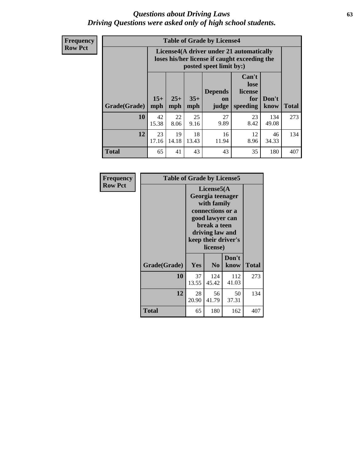#### *Questions about Driving Laws* **63** *Driving Questions were asked only of high school students.*

**Frequency Row Pct**

| <b>Table of Grade by License4</b> |             |                                                                                                                                                                                                                                                                                       |             |             |            |              |     |  |
|-----------------------------------|-------------|---------------------------------------------------------------------------------------------------------------------------------------------------------------------------------------------------------------------------------------------------------------------------------------|-------------|-------------|------------|--------------|-----|--|
|                                   |             | License4(A driver under 21 automatically<br>loses his/her license if caught exceeding the<br>posted speet limit by:)<br>Can't<br>lose<br>license<br><b>Depends</b><br>$15+$<br>$25+$<br>$35+$<br>Don't<br>for<br><b>on</b><br>speeding<br><b>Total</b><br>mph<br>mph<br>know<br>judge |             |             |            |              |     |  |
| Grade(Grade)                      | mph         |                                                                                                                                                                                                                                                                                       |             |             |            |              |     |  |
| 10                                | 42<br>15.38 | 22<br>8.06                                                                                                                                                                                                                                                                            | 25<br>9.16  | 27<br>9.89  | 23<br>8.42 | 134<br>49.08 | 273 |  |
| 12                                | 23<br>17.16 | 19<br>14.18                                                                                                                                                                                                                                                                           | 18<br>13.43 | 16<br>11.94 | 12<br>8.96 | 46<br>34.33  | 134 |  |
| <b>Total</b>                      | 65          | 41                                                                                                                                                                                                                                                                                    | 43          | 43          | 35         | 180          | 407 |  |

| Frequency      | <b>Table of Grade by License5</b> |             |                                                                                                                                      |                     |       |
|----------------|-----------------------------------|-------------|--------------------------------------------------------------------------------------------------------------------------------------|---------------------|-------|
| <b>Row Pct</b> |                                   |             | License5(A)<br>Georgia teenager<br>with family<br>connections or a<br>good lawyer can<br>break a teen<br>driving law and<br>license) | keep their driver's |       |
|                | Grade(Grade)                      | <b>Yes</b>  | N <sub>0</sub>                                                                                                                       | Don't<br>know       | Total |
|                | 10                                | 37<br>13.55 | 124<br>45.42                                                                                                                         | 112<br>41.03        | 273   |
|                | 12                                | 28<br>20.90 | 56<br>41.79                                                                                                                          | 50<br>37.31         | 134   |
|                | <b>Total</b>                      | 65          | 180                                                                                                                                  | 162                 | 407   |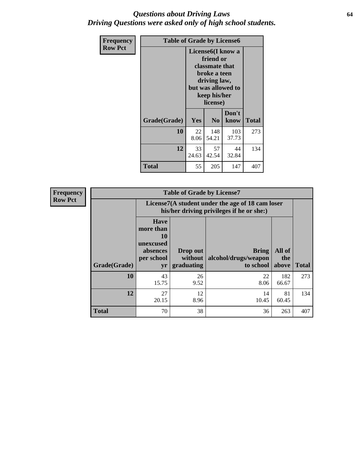### *Questions about Driving Laws* **64** *Driving Questions were asked only of high school students.*

| <b>Frequency</b> | <b>Table of Grade by License6</b> |             |                                                                                                                           |                    |              |  |  |
|------------------|-----------------------------------|-------------|---------------------------------------------------------------------------------------------------------------------------|--------------------|--------------|--|--|
| <b>Row Pct</b>   |                                   |             | License <sub>6</sub> (I know a<br>friend or<br>classmate that<br>broke a teen<br>driving law,<br>keep his/her<br>license) | but was allowed to |              |  |  |
|                  | Grade(Grade)                      | <b>Yes</b>  | N <sub>0</sub>                                                                                                            | Don't<br>know      | <b>Total</b> |  |  |
|                  | 10                                | 22<br>8.06  | 148<br>54.21                                                                                                              | 103<br>37.73       | 273          |  |  |
|                  | 12                                | 33<br>24.63 | 57<br>42.54                                                                                                               | 44<br>32.84        | 134          |  |  |
|                  | <b>Total</b>                      | 55          | 205                                                                                                                       | 147                | 407          |  |  |

| <b>Frequency</b> |              |                                                                             | <b>Table of Grade by License7</b>                                                             |                                                   |                        |              |  |  |  |
|------------------|--------------|-----------------------------------------------------------------------------|-----------------------------------------------------------------------------------------------|---------------------------------------------------|------------------------|--------------|--|--|--|
| <b>Row Pct</b>   |              |                                                                             | License7(A student under the age of 18 cam loser<br>his/her driving privileges if he or she:) |                                                   |                        |              |  |  |  |
|                  | Grade(Grade) | <b>Have</b><br>more than<br>10<br>unexcused<br>absences<br>per school<br>yr | Drop out<br>without  <br>graduating                                                           | <b>Bring</b><br>alcohol/drugs/weapon<br>to school | All of<br>the<br>above | <b>Total</b> |  |  |  |
|                  | 10           | 43<br>15.75                                                                 | 26<br>9.52                                                                                    | 22<br>8.06                                        | 182<br>66.67           | 273          |  |  |  |
|                  | 12           | 27<br>20.15                                                                 | 12<br>8.96                                                                                    | 14<br>10.45                                       | 81<br>60.45            | 134          |  |  |  |
|                  | <b>Total</b> | 70                                                                          | 38                                                                                            | 36                                                | 263                    | 407          |  |  |  |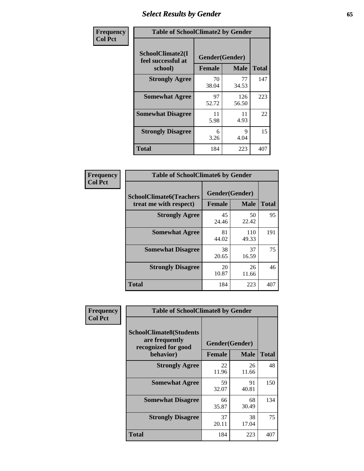# *Select Results by Gender* **65**

| Frequency      | <b>Table of SchoolClimate2 by Gender</b>          |                                 |              |              |
|----------------|---------------------------------------------------|---------------------------------|--------------|--------------|
| <b>Col Pct</b> | SchoolClimate2(I<br>feel successful at<br>school) | Gender(Gender)<br><b>Female</b> | <b>Male</b>  | <b>Total</b> |
|                | <b>Strongly Agree</b>                             | 70<br>38.04                     | 77<br>34.53  | 147          |
|                | <b>Somewhat Agree</b>                             | 97<br>52.72                     | 126<br>56.50 | 223          |
|                | <b>Somewhat Disagree</b>                          | 11<br>5.98                      | 11<br>4.93   | 22           |
|                | <b>Strongly Disagree</b>                          | 6<br>3.26                       | 9<br>4.04    | 15           |
|                | <b>Total</b>                                      | 184                             | 223          | 407          |

| <b>Frequency</b> | <b>Table of SchoolClimate6 by Gender</b>                 |                          |              |     |  |
|------------------|----------------------------------------------------------|--------------------------|--------------|-----|--|
| <b>Col Pct</b>   | <b>SchoolClimate6(Teachers</b><br>treat me with respect) | Gender(Gender)<br>Female | <b>Total</b> |     |  |
|                  |                                                          |                          | <b>Male</b>  |     |  |
|                  | <b>Strongly Agree</b>                                    | 45<br>24.46              | 50<br>22.42  | 95  |  |
|                  | <b>Somewhat Agree</b>                                    | 81<br>44.02              | 110<br>49.33 | 191 |  |
|                  | <b>Somewhat Disagree</b>                                 | 38<br>20.65              | 37<br>16.59  | 75  |  |
|                  | <b>Strongly Disagree</b>                                 | 20<br>10.87              | 26<br>11.66  | 46  |  |
|                  | <b>Total</b>                                             | 184                      | 223          | 407 |  |

| <b>Frequency</b> | <b>Table of SchoolClimate8 by Gender</b>                                             |               |                               |              |
|------------------|--------------------------------------------------------------------------------------|---------------|-------------------------------|--------------|
| <b>Col Pct</b>   | <b>SchoolClimate8(Students</b><br>are frequently<br>recognized for good<br>behavior) | <b>Female</b> | Gender(Gender)<br><b>Male</b> | <b>Total</b> |
|                  |                                                                                      |               |                               |              |
|                  | <b>Strongly Agree</b>                                                                | 22<br>11.96   | 26<br>11.66                   | 48           |
|                  | <b>Somewhat Agree</b>                                                                | 59<br>32.07   | 91<br>40.81                   | 150          |
|                  | <b>Somewhat Disagree</b>                                                             | 66<br>35.87   | 68<br>30.49                   | 134          |
|                  | <b>Strongly Disagree</b>                                                             | 37<br>20.11   | 38<br>17.04                   | 75           |
|                  | Total                                                                                | 184           | 223                           | 407          |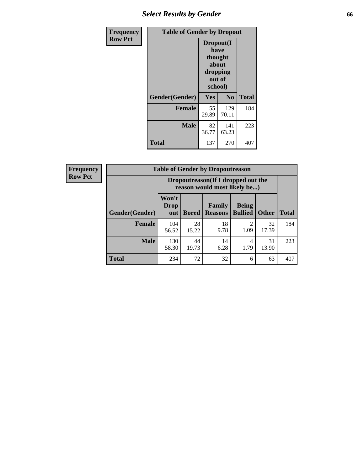# *Select Results by Gender* **66**

| <b>Frequency</b> | <b>Table of Gender by Dropout</b> |                                                                        |              |              |
|------------------|-----------------------------------|------------------------------------------------------------------------|--------------|--------------|
| <b>Row Pct</b>   |                                   | Dropout(I<br>have<br>thought<br>about<br>dropping<br>out of<br>school) |              |              |
|                  | Gender(Gender)                    | Yes                                                                    | No           | <b>Total</b> |
|                  | <b>Female</b>                     | 55<br>29.89                                                            | 129<br>70.11 | 184          |
|                  | <b>Male</b>                       | 82<br>36.77                                                            | 141<br>63.23 | 223          |
|                  | <b>Total</b>                      | 137                                                                    | 270          | 407          |

| <b>Frequency</b> |                        |                                                                     | <b>Table of Gender by Dropoutreason</b> |                          |                                |              |              |
|------------------|------------------------|---------------------------------------------------------------------|-----------------------------------------|--------------------------|--------------------------------|--------------|--------------|
| <b>Row Pct</b>   |                        | Dropoutreason (If I dropped out the<br>reason would most likely be) |                                         |                          |                                |              |              |
|                  | <b>Gender</b> (Gender) | Won't<br><b>Drop</b><br>out                                         | <b>Bored</b>                            | Family<br><b>Reasons</b> | <b>Being</b><br><b>Bullied</b> | <b>Other</b> | <b>Total</b> |
|                  | <b>Female</b>          | 104<br>56.52                                                        | 28<br>15.22                             | 18<br>9.78               | ↑<br>1.09                      | 32<br>17.39  | 184          |
|                  | <b>Male</b>            | 130<br>58.30                                                        | 44<br>19.73                             | 14<br>6.28               | 4<br>1.79                      | 31<br>13.90  | 223          |
|                  | <b>Total</b>           | 234                                                                 | 72                                      | 32                       | 6                              | 63           | 407          |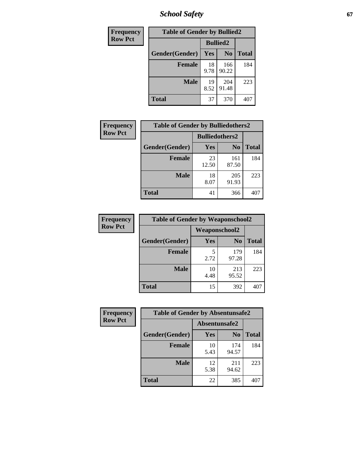*School Safety* **67**

| Frequency      | <b>Table of Gender by Bullied2</b> |                 |                |              |
|----------------|------------------------------------|-----------------|----------------|--------------|
| <b>Row Pct</b> |                                    | <b>Bullied2</b> |                |              |
|                | Gender(Gender)                     | <b>Yes</b>      | N <sub>0</sub> | <b>Total</b> |
|                | <b>Female</b>                      | 18<br>9.78      | 166<br>90.22   | 184          |
|                | <b>Male</b>                        | 19<br>8.52      | 204<br>91.48   | 223          |
|                | <b>Total</b>                       | 37              | 370            | 407          |

| Frequency      | <b>Table of Gender by Bulliedothers2</b> |                       |                |              |
|----------------|------------------------------------------|-----------------------|----------------|--------------|
| <b>Row Pct</b> |                                          | <b>Bulliedothers2</b> |                |              |
|                | Gender(Gender)                           | Yes                   | N <sub>0</sub> | <b>Total</b> |
|                | <b>Female</b>                            | 23<br>12.50           | 161<br>87.50   | 184          |
|                | <b>Male</b>                              | 18<br>8.07            | 205<br>91.93   | 223          |
|                | <b>Total</b>                             | 41                    | 366            | 407          |

| <b>Frequency</b> | <b>Table of Gender by Weaponschool2</b> |               |                |              |
|------------------|-----------------------------------------|---------------|----------------|--------------|
| <b>Row Pct</b>   |                                         | Weaponschool2 |                |              |
|                  | Gender(Gender)                          | Yes           | N <sub>0</sub> | <b>Total</b> |
|                  | <b>Female</b>                           | 5<br>2.72     | 179<br>97.28   | 184          |
|                  | <b>Male</b>                             | 10<br>4.48    | 213<br>95.52   | 223          |
|                  | <b>Total</b>                            | 15            | 392            |              |

| Frequency      | <b>Table of Gender by Absentunsafe2</b> |               |                |              |  |
|----------------|-----------------------------------------|---------------|----------------|--------------|--|
| <b>Row Pct</b> |                                         | Absentunsafe2 |                |              |  |
|                | Gender(Gender)                          | <b>Yes</b>    | N <sub>0</sub> | <b>Total</b> |  |
|                | <b>Female</b>                           | 10<br>5.43    | 174<br>94.57   | 184          |  |
|                | <b>Male</b>                             | 12<br>5.38    | 211<br>94.62   | 223          |  |
|                | <b>Total</b>                            | 22            | 385            | 407          |  |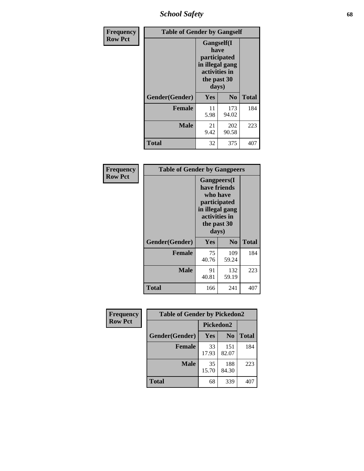*School Safety* **68**

| Frequency      | <b>Table of Gender by Gangself</b> |                                                                                                        |              |              |
|----------------|------------------------------------|--------------------------------------------------------------------------------------------------------|--------------|--------------|
| <b>Row Pct</b> |                                    | <b>Gangself</b> (I<br>have<br>participated<br>in illegal gang<br>activities in<br>the past 30<br>days) |              |              |
|                | Gender(Gender)                     | Yes                                                                                                    | $\bf No$     | <b>Total</b> |
|                | <b>Female</b>                      | 11<br>5.98                                                                                             | 173<br>94.02 | 184          |
|                | <b>Male</b>                        | 21<br>9.42                                                                                             | 202<br>90.58 | 223          |
|                | <b>Total</b>                       | 32                                                                                                     | 375          | 407          |

| <b>Frequency</b> | <b>Table of Gender by Gangpeers</b> |                                                                                                                             |                |              |
|------------------|-------------------------------------|-----------------------------------------------------------------------------------------------------------------------------|----------------|--------------|
| <b>Row Pct</b>   |                                     | <b>Gangpeers</b> (I<br>have friends<br>who have<br>participated<br>in illegal gang<br>activities in<br>the past 30<br>days) |                |              |
|                  | Gender(Gender)                      | Yes                                                                                                                         | N <sub>0</sub> | <b>Total</b> |
|                  | <b>Female</b>                       | 75<br>40.76                                                                                                                 | 109<br>59.24   | 184          |
|                  | <b>Male</b>                         | 91<br>40.81                                                                                                                 | 132<br>59.19   | 223          |
|                  | <b>Total</b>                        | 166                                                                                                                         | 241            | 407          |

| Frequency      | <b>Table of Gender by Pickedon2</b> |             |                |              |
|----------------|-------------------------------------|-------------|----------------|--------------|
| <b>Row Pct</b> |                                     | Pickedon2   |                |              |
|                | Gender(Gender)                      | <b>Yes</b>  | N <sub>0</sub> | <b>Total</b> |
|                | <b>Female</b>                       | 33<br>17.93 | 151<br>82.07   | 184          |
|                | <b>Male</b>                         | 35<br>15.70 | 188<br>84.30   | 223          |
|                | <b>Total</b>                        | 68          | 339            | 407          |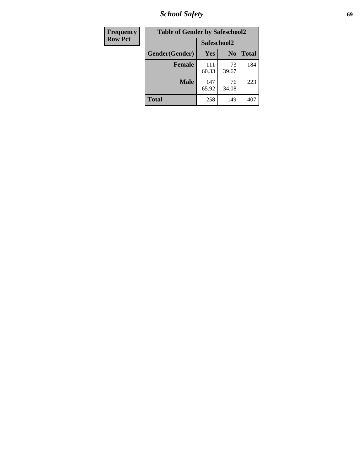*School Safety* **69**

| Frequency      | <b>Table of Gender by Safeschool2</b> |              |                |              |  |
|----------------|---------------------------------------|--------------|----------------|--------------|--|
| <b>Row Pct</b> |                                       | Safeschool2  |                |              |  |
|                | Gender(Gender)                        | <b>Yes</b>   | N <sub>0</sub> | <b>Total</b> |  |
|                | <b>Female</b>                         | 111<br>60.33 | 73<br>39.67    | 184          |  |
|                | <b>Male</b>                           | 147<br>65.92 | 76<br>34.08    | 223          |  |
|                | <b>Total</b>                          | 258          | 149            | 407          |  |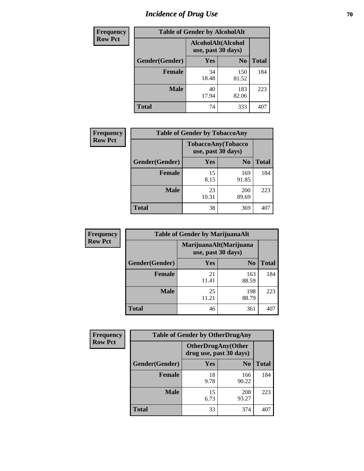# *Incidence of Drug Use* **70**

| <b>Frequency</b> | <b>Table of Gender by AlcoholAlt</b> |                                          |                |              |  |
|------------------|--------------------------------------|------------------------------------------|----------------|--------------|--|
| <b>Row Pct</b>   |                                      | AlcoholAlt(Alcohol<br>use, past 30 days) |                |              |  |
|                  | Gender(Gender)                       | Yes                                      | N <sub>0</sub> | <b>Total</b> |  |
|                  | <b>Female</b>                        | 34<br>18.48                              | 150<br>81.52   | 184          |  |
|                  | <b>Male</b>                          | 40<br>17.94                              | 183<br>82.06   | 223          |  |
|                  | <b>Total</b>                         | 74                                       | 333            | 407          |  |

| Frequency      | <b>Table of Gender by TobaccoAny</b> |                                          |                     |              |  |
|----------------|--------------------------------------|------------------------------------------|---------------------|--------------|--|
| <b>Row Pct</b> |                                      | TobaccoAny(Tobacco<br>use, past 30 days) |                     |              |  |
|                | Gender(Gender)                       | Yes                                      | N <sub>0</sub>      | <b>Total</b> |  |
|                | <b>Female</b>                        | 15<br>8.15                               | 169<br>91.85        | 184          |  |
|                | <b>Male</b>                          | 23<br>10.31                              | <b>200</b><br>89.69 | 223          |  |
|                | Total                                | 38                                       | 369                 |              |  |

| <b>Frequency</b> | <b>Table of Gender by MarijuanaAlt</b> |                                              |                |              |
|------------------|----------------------------------------|----------------------------------------------|----------------|--------------|
| <b>Row Pct</b>   |                                        | MarijuanaAlt(Marijuana<br>use, past 30 days) |                |              |
|                  | Gender(Gender)                         | <b>Yes</b>                                   | N <sub>0</sub> | <b>Total</b> |
|                  | <b>Female</b>                          | 21<br>11.41                                  | 163<br>88.59   | 184          |
|                  | <b>Male</b>                            | 25<br>11.21                                  | 198<br>88.79   | 223          |
|                  | <b>Total</b>                           | 46                                           | 361            | 407          |

| <b>Frequency</b> | <b>Table of Gender by OtherDrugAny</b> |                                                      |                |              |
|------------------|----------------------------------------|------------------------------------------------------|----------------|--------------|
| <b>Row Pct</b>   |                                        | <b>OtherDrugAny(Other</b><br>drug use, past 30 days) |                |              |
|                  | Gender(Gender)                         | <b>Yes</b>                                           | N <sub>0</sub> | <b>Total</b> |
|                  | <b>Female</b>                          | 18<br>9.78                                           | 166<br>90.22   | 184          |
|                  | <b>Male</b>                            | 15<br>6.73                                           | 208<br>93.27   | 223          |
|                  | <b>Total</b>                           | 33                                                   | 374            | 407          |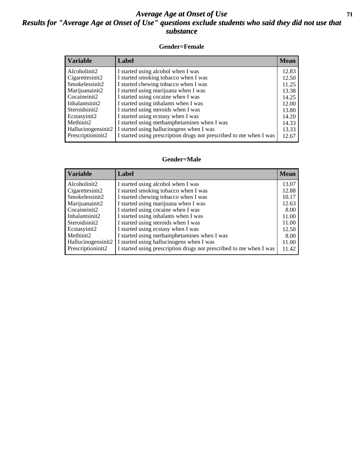### *Average Age at Onset of Use* **71** *Results for "Average Age at Onset of Use" questions exclude students who said they did not use that substance*

#### **Gender=Female**

| <b>Variable</b>    | Label                                                              | <b>Mean</b> |
|--------------------|--------------------------------------------------------------------|-------------|
| Alcoholinit2       | I started using alcohol when I was                                 | 12.83       |
| Cigarettesinit2    | I started smoking tobacco when I was                               | 12.50       |
| Smokelessinit2     | I started chewing tobacco when I was                               | 11.25       |
| Marijuanainit2     | I started using marijuana when I was                               | 13.38       |
| Cocaineinit2       | I started using cocaine when I was                                 | 14.25       |
| Inhalantsinit2     | I started using inhalants when I was                               | 12.00       |
| Steroidsinit2      | I started using steroids when I was                                | 13.80       |
| Ecstasyinit2       | I started using ecstasy when I was                                 | 14.20       |
| Methinit2          | I started using methamphetamines when I was                        | 14.33       |
| Hallucinogensinit2 | I started using hallucinogens when I was                           | 13.33       |
| Prescriptioninit2  | I started using prescription drugs not prescribed to me when I was | 12.67       |

#### **Gender=Male**

| <b>Variable</b>                 | Label                                                              | <b>Mean</b> |
|---------------------------------|--------------------------------------------------------------------|-------------|
| Alcoholinit2                    | I started using alcohol when I was                                 | 13.07       |
| Cigarettesinit2                 | I started smoking tobacco when I was                               | 12.88       |
| Smokelessinit2                  | I started chewing tobacco when I was                               | 10.17       |
| Marijuanainit2                  | I started using marijuana when I was                               | 12.63       |
| Cocaineinit2                    | I started using cocaine when I was                                 | 8.00        |
| Inhalantsinit2                  | I started using inhalants when I was                               | 11.00       |
| Steroidsinit2                   | I started using steroids when I was                                | 11.00       |
| Ecstasyinit2                    | I started using ecstasy when I was                                 | 12.50       |
| Methinit2                       | I started using methamphetamines when I was                        | 8.00        |
| Hallucinogensinit2              | I started using hallucinogens when I was                           | 11.00       |
| Prescription in it <sub>2</sub> | I started using prescription drugs not prescribed to me when I was | 11.42       |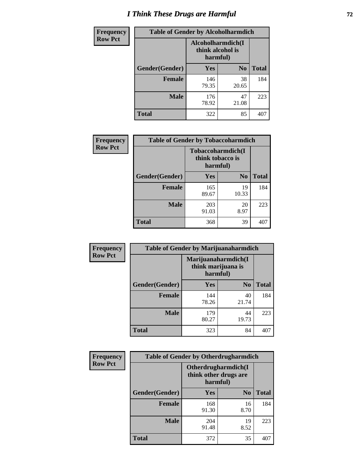# *I Think These Drugs are Harmful* **72**

| <b>Frequency</b> | <b>Table of Gender by Alcoholharmdich</b> |                  |                               |              |
|------------------|-------------------------------------------|------------------|-------------------------------|--------------|
| <b>Row Pct</b>   |                                           | think alcohol is | Alcoholharmdich(I<br>harmful) |              |
|                  | Gender(Gender)                            | Yes              | N <sub>0</sub>                | <b>Total</b> |
|                  | <b>Female</b>                             | 146<br>79.35     | 38<br>20.65                   | 184          |
|                  | <b>Male</b>                               | 176<br>78.92     | 47<br>21.08                   | 223          |
|                  | Total                                     | 322              | 85                            | 407          |

| Frequency      | <b>Table of Gender by Tobaccoharmdich</b> |                              |                   |              |  |
|----------------|-------------------------------------------|------------------------------|-------------------|--------------|--|
| <b>Row Pct</b> |                                           | think tobacco is<br>harmful) | Tobaccoharmdich(I |              |  |
|                | Gender(Gender)                            | Yes                          | $\bf N_0$         | <b>Total</b> |  |
|                | <b>Female</b>                             | 165<br>89.67                 | 19<br>10.33       | 184          |  |
|                | <b>Male</b>                               | 203<br>91.03                 | 20<br>8.97        | 223          |  |
|                | <b>Total</b>                              | 368                          | 39                |              |  |

| Frequency      | <b>Table of Gender by Marijuanaharmdich</b> |                                                       |                |              |  |
|----------------|---------------------------------------------|-------------------------------------------------------|----------------|--------------|--|
| <b>Row Pct</b> |                                             | Marijuanaharmdich(I<br>think marijuana is<br>harmful) |                |              |  |
|                | Gender(Gender)                              | <b>Yes</b>                                            | N <sub>0</sub> | <b>Total</b> |  |
|                | <b>Female</b>                               | 144<br>78.26                                          | 40<br>21.74    | 184          |  |
|                | <b>Male</b>                                 | 179<br>80.27                                          | 44<br>19.73    | 223          |  |
|                | <b>Total</b>                                | 323                                                   | 84             | 407          |  |

| Frequency      | <b>Table of Gender by Otherdrugharmdich</b> |                                                          |                |              |  |
|----------------|---------------------------------------------|----------------------------------------------------------|----------------|--------------|--|
| <b>Row Pct</b> |                                             | Otherdrugharmdich(I<br>think other drugs are<br>harmful) |                |              |  |
|                | Gender(Gender)                              | <b>Yes</b>                                               | N <sub>0</sub> | <b>Total</b> |  |
|                | <b>Female</b>                               | 168<br>91.30                                             | 16<br>8.70     | 184          |  |
|                | <b>Male</b>                                 | 204<br>91.48                                             | 19<br>8.52     | 223          |  |
|                | <b>Total</b>                                | 372                                                      | 35             | 407          |  |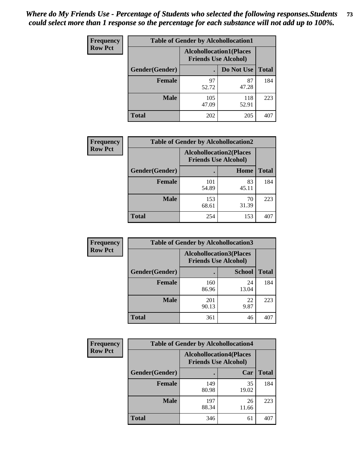| <b>Frequency</b> | <b>Table of Gender by Alcohollocation1</b> |                                                               |              |              |
|------------------|--------------------------------------------|---------------------------------------------------------------|--------------|--------------|
| <b>Row Pct</b>   |                                            | <b>Alcohollocation1(Places</b><br><b>Friends Use Alcohol)</b> |              |              |
|                  | <b>Gender</b> (Gender)                     |                                                               | Do Not Use   | <b>Total</b> |
|                  | <b>Female</b>                              | 97<br>52.72                                                   | 87<br>47.28  | 184          |
|                  | <b>Male</b>                                | 105<br>47.09                                                  | 118<br>52.91 | 223          |
|                  | <b>Total</b>                               | 202                                                           | 205          | 407          |

| <b>Frequency</b> | <b>Table of Gender by Alcohollocation2</b> |                                |                             |              |
|------------------|--------------------------------------------|--------------------------------|-----------------------------|--------------|
| <b>Row Pct</b>   |                                            | <b>Alcohollocation2(Places</b> | <b>Friends Use Alcohol)</b> |              |
|                  | Gender(Gender)                             |                                | Home                        | <b>Total</b> |
|                  | Female                                     | 101<br>54.89                   | 83<br>45.11                 | 184          |
|                  | <b>Male</b>                                | 153<br>68.61                   | 70<br>31.39                 | 223          |
|                  | <b>Total</b>                               | 254                            | 153                         | 407          |

| Frequency      | <b>Table of Gender by Alcohollocation3</b> |                                                               |               |              |
|----------------|--------------------------------------------|---------------------------------------------------------------|---------------|--------------|
| <b>Row Pct</b> |                                            | <b>Alcohollocation3(Places</b><br><b>Friends Use Alcohol)</b> |               |              |
|                | Gender(Gender)                             |                                                               | <b>School</b> | <b>Total</b> |
|                | <b>Female</b>                              | 160<br>86.96                                                  | 24<br>13.04   | 184          |
|                | <b>Male</b>                                | 201<br>90.13                                                  | 22<br>9.87    | 223          |
|                | <b>Total</b>                               | 361                                                           | 46            | 407          |

| Frequency      | <b>Table of Gender by Alcohollocation4</b> |                                                               |             |              |
|----------------|--------------------------------------------|---------------------------------------------------------------|-------------|--------------|
| <b>Row Pct</b> |                                            | <b>Alcohollocation4(Places</b><br><b>Friends Use Alcohol)</b> |             |              |
|                | Gender(Gender)                             |                                                               | Car         | <b>Total</b> |
|                | <b>Female</b>                              | 149<br>80.98                                                  | 35<br>19.02 | 184          |
|                | <b>Male</b>                                | 197<br>88.34                                                  | 26<br>11.66 | 223          |
|                | <b>Total</b>                               | 346                                                           | 61          | 407          |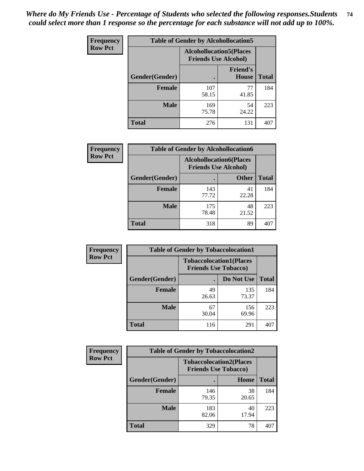| <b>Frequency</b> | <b>Table of Gender by Alcohollocation5</b> |                                                                |                          |              |
|------------------|--------------------------------------------|----------------------------------------------------------------|--------------------------|--------------|
| <b>Row Pct</b>   |                                            | <b>Alcohollocation5</b> (Places<br><b>Friends Use Alcohol)</b> |                          |              |
|                  | Gender(Gender)                             |                                                                | <b>Friend's</b><br>House | <b>Total</b> |
|                  | <b>Female</b>                              | 107<br>58.15                                                   | 77<br>41.85              | 184          |
|                  | <b>Male</b>                                | 169<br>75.78                                                   | 54<br>24.22              | 223          |
|                  | <b>Total</b>                               | 276                                                            | 131                      | 407          |

| Frequency      | <b>Table of Gender by Alcohollocation6</b> |                                                               |              |              |  |
|----------------|--------------------------------------------|---------------------------------------------------------------|--------------|--------------|--|
| <b>Row Pct</b> |                                            | <b>Alcohollocation6(Places</b><br><b>Friends Use Alcohol)</b> |              |              |  |
|                | <b>Gender</b> (Gender)                     |                                                               | <b>Other</b> | <b>Total</b> |  |
|                | <b>Female</b>                              | 143<br>77.72                                                  | 41<br>22.28  | 184          |  |
|                | <b>Male</b>                                | 175<br>78.48                                                  | 48<br>21.52  | 223          |  |
|                | <b>Total</b>                               | 318                                                           | 89           | $40^\circ$   |  |

| Frequency      | <b>Table of Gender by Tobaccolocation1</b> |                                                               |              |              |  |
|----------------|--------------------------------------------|---------------------------------------------------------------|--------------|--------------|--|
| <b>Row Pct</b> |                                            | <b>Tobaccolocation1(Places</b><br><b>Friends Use Tobacco)</b> |              |              |  |
|                | <b>Gender</b> (Gender)                     |                                                               | Do Not Use   | <b>Total</b> |  |
|                | Female                                     | 49<br>26.63                                                   | 135<br>73.37 | 184          |  |
|                | <b>Male</b>                                | 67<br>30.04                                                   | 156<br>69.96 | 223          |  |
|                | <b>Total</b>                               | 116                                                           | 291          | 407          |  |

| <b>Frequency</b> | <b>Table of Gender by Tobaccolocation2</b> |                                                               |             |              |
|------------------|--------------------------------------------|---------------------------------------------------------------|-------------|--------------|
| <b>Row Pct</b>   |                                            | <b>Tobaccolocation2(Places</b><br><b>Friends Use Tobacco)</b> |             |              |
|                  | Gender(Gender)                             |                                                               | Home        | <b>Total</b> |
|                  | Female                                     | 146<br>79.35                                                  | 38<br>20.65 | 184          |
|                  | <b>Male</b>                                | 183<br>82.06                                                  | 40<br>17.94 | 223          |
|                  | <b>Total</b>                               | 329                                                           | 78          | 407          |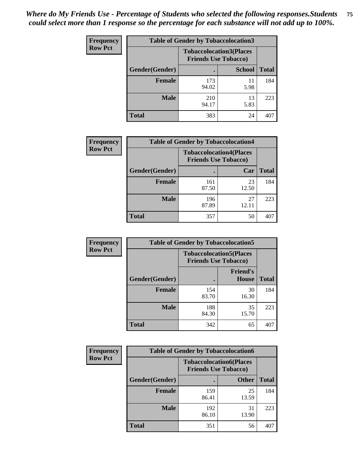| <b>Frequency</b> | <b>Table of Gender by Tobaccolocation3</b> |                             |                                |              |
|------------------|--------------------------------------------|-----------------------------|--------------------------------|--------------|
| <b>Row Pct</b>   |                                            | <b>Friends Use Tobacco)</b> | <b>Tobaccolocation3(Places</b> |              |
|                  | Gender(Gender)                             |                             | <b>School</b>                  | <b>Total</b> |
|                  | Female                                     | 173<br>94.02                | 11<br>5.98                     | 184          |
|                  | <b>Male</b>                                | 210<br>94.17                | 13<br>5.83                     | 223          |
|                  | <b>Total</b>                               | 383                         | 24                             | 407          |

| <b>Frequency</b> | <b>Table of Gender by Tobaccolocation4</b> |                             |                                |              |
|------------------|--------------------------------------------|-----------------------------|--------------------------------|--------------|
| <b>Row Pct</b>   |                                            | <b>Friends Use Tobacco)</b> | <b>Tobaccolocation4(Places</b> |              |
|                  | Gender(Gender)                             |                             | Car                            | <b>Total</b> |
|                  | <b>Female</b>                              | 161<br>87.50                | 23<br>12.50                    | 184          |
|                  | <b>Male</b>                                | 196<br>87.89                | 27<br>12.11                    | 223          |
|                  | <b>Total</b>                               | 357                         | 50                             | 407          |

| <b>Frequency</b> | <b>Table of Gender by Tobaccolocation5</b> |                                                               |                          |              |
|------------------|--------------------------------------------|---------------------------------------------------------------|--------------------------|--------------|
| <b>Row Pct</b>   |                                            | <b>Tobaccolocation5(Places</b><br><b>Friends Use Tobacco)</b> |                          |              |
|                  | Gender(Gender)                             |                                                               | <b>Friend's</b><br>House | <b>Total</b> |
|                  | <b>Female</b>                              | 154<br>83.70                                                  | 30<br>16.30              | 184          |
|                  | <b>Male</b>                                | 188<br>84.30                                                  | 35<br>15.70              | 223          |
|                  | <b>Total</b>                               | 342                                                           | 65                       | 407          |

| <b>Frequency</b> | <b>Table of Gender by Tobaccolocation6</b> |                                                               |              |              |
|------------------|--------------------------------------------|---------------------------------------------------------------|--------------|--------------|
| <b>Row Pct</b>   |                                            | <b>Tobaccolocation6(Places</b><br><b>Friends Use Tobacco)</b> |              |              |
|                  | Gender(Gender)                             |                                                               | <b>Other</b> | <b>Total</b> |
|                  | Female                                     | 159<br>86.41                                                  | 25<br>13.59  | 184          |
|                  | <b>Male</b>                                | 192<br>86.10                                                  | 31<br>13.90  | 223          |
|                  | <b>Total</b>                               | 351                                                           | 56           | 407          |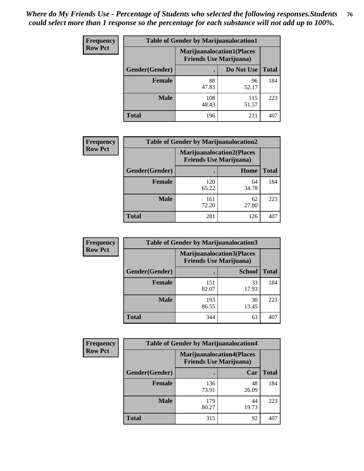| <b>Frequency</b> | <b>Table of Gender by Marijuanalocation1</b> |                                                                    |              |              |
|------------------|----------------------------------------------|--------------------------------------------------------------------|--------------|--------------|
| <b>Row Pct</b>   |                                              | <b>Marijuanalocation1(Places</b><br><b>Friends Use Marijuana</b> ) |              |              |
|                  | Gender(Gender)                               |                                                                    | Do Not Use   | <b>Total</b> |
|                  | <b>Female</b>                                | 88<br>47.83                                                        | 96<br>52.17  | 184          |
|                  | <b>Male</b>                                  | 108<br>48.43                                                       | 115<br>51.57 | 223          |
|                  | <b>Total</b>                                 | 196                                                                | 211          | 407          |

| <b>Frequency</b> | <b>Table of Gender by Marijuanalocation2</b> |                                                                    |             |              |
|------------------|----------------------------------------------|--------------------------------------------------------------------|-------------|--------------|
| <b>Row Pct</b>   |                                              | <b>Marijuanalocation2(Places</b><br><b>Friends Use Marijuana</b> ) |             |              |
|                  | Gender(Gender)                               |                                                                    | Home        | <b>Total</b> |
|                  | <b>Female</b>                                | 120<br>65.22                                                       | 64<br>34.78 | 184          |
|                  | <b>Male</b>                                  | 161<br>72.20                                                       | 62<br>27.80 | 223          |
|                  | <b>Total</b>                                 | 281                                                                | 126         | 407          |

| Frequency      | <b>Table of Gender by Marijuanalocation3</b> |              |                                                                    |              |
|----------------|----------------------------------------------|--------------|--------------------------------------------------------------------|--------------|
| <b>Row Pct</b> |                                              |              | <b>Marijuanalocation3(Places</b><br><b>Friends Use Marijuana</b> ) |              |
|                | Gender(Gender)                               |              | <b>School</b>                                                      | <b>Total</b> |
|                | Female                                       | 151<br>82.07 | 33<br>17.93                                                        | 184          |
|                | <b>Male</b>                                  | 193<br>86.55 | 30<br>13.45                                                        | 223          |
|                | <b>Total</b>                                 | 344          | 63                                                                 | 407          |

| Frequency      | <b>Table of Gender by Marijuanalocation4</b> |                                |                                  |              |
|----------------|----------------------------------------------|--------------------------------|----------------------------------|--------------|
| <b>Row Pct</b> |                                              | <b>Friends Use Marijuana</b> ) | <b>Marijuanalocation4(Places</b> |              |
|                | Gender(Gender)                               |                                | Car                              | <b>Total</b> |
|                | Female                                       | 136<br>73.91                   | 48<br>26.09                      | 184          |
|                | <b>Male</b>                                  | 179<br>80.27                   | 44<br>19.73                      | 223          |
|                | <b>Total</b>                                 | 315                            | 92                               |              |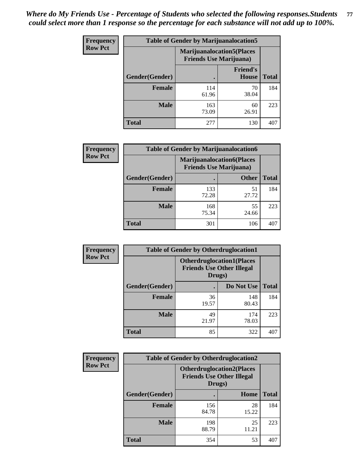| <b>Frequency</b> | <b>Table of Gender by Marijuanalocation5</b> |                                                                     |                                 |              |
|------------------|----------------------------------------------|---------------------------------------------------------------------|---------------------------------|--------------|
| <b>Row Pct</b>   |                                              | <b>Marijuanalocation5</b> (Places<br><b>Friends Use Marijuana</b> ) |                                 |              |
|                  | Gender(Gender)                               |                                                                     | <b>Friend's</b><br><b>House</b> | <b>Total</b> |
|                  | <b>Female</b>                                | 114<br>61.96                                                        | 70<br>38.04                     | 184          |
|                  | <b>Male</b>                                  | 163<br>73.09                                                        | 60<br>26.91                     | 223          |
|                  | <b>Total</b>                                 | 277                                                                 | 130                             | 407          |

| <b>Frequency</b> | <b>Table of Gender by Marijuanalocation6</b> |                                |                                   |              |
|------------------|----------------------------------------------|--------------------------------|-----------------------------------|--------------|
| <b>Row Pct</b>   |                                              | <b>Friends Use Marijuana</b> ) | <b>Marijuanalocation6(Places)</b> |              |
|                  | <b>Gender</b> (Gender)                       |                                | <b>Other</b>                      | <b>Total</b> |
|                  | <b>Female</b>                                | 133<br>72.28                   | 51<br>27.72                       | 184          |
|                  | <b>Male</b>                                  | 168<br>75.34                   | 55<br>24.66                       | 223          |
|                  | <b>Total</b>                                 | 301                            | 106                               | 407          |

| <b>Frequency</b> | <b>Table of Gender by Otherdruglocation1</b> |                                                                                |              |              |
|------------------|----------------------------------------------|--------------------------------------------------------------------------------|--------------|--------------|
| <b>Row Pct</b>   |                                              | <b>Otherdruglocation1(Places</b><br><b>Friends Use Other Illegal</b><br>Drugs) |              |              |
|                  | <b>Gender</b> (Gender)                       |                                                                                | Do Not Use   | <b>Total</b> |
|                  | <b>Female</b>                                | 36<br>19.57                                                                    | 148<br>80.43 | 184          |
|                  | <b>Male</b>                                  | 49<br>21.97                                                                    | 174<br>78.03 | 223          |
|                  | <b>Total</b>                                 | 85                                                                             | 322          | 407          |

| <b>Frequency</b> | <b>Table of Gender by Otherdruglocation2</b> |                                            |                                  |              |
|------------------|----------------------------------------------|--------------------------------------------|----------------------------------|--------------|
| <b>Row Pct</b>   |                                              | <b>Friends Use Other Illegal</b><br>Drugs) | <b>Otherdruglocation2(Places</b> |              |
|                  | Gender(Gender)                               |                                            | Home                             | <b>Total</b> |
|                  | Female                                       | 156<br>84.78                               | 28<br>15.22                      | 184          |
|                  | <b>Male</b>                                  | 198<br>88.79                               | 25<br>11.21                      | 223          |
|                  | <b>Total</b>                                 | 354                                        | 53                               | 407          |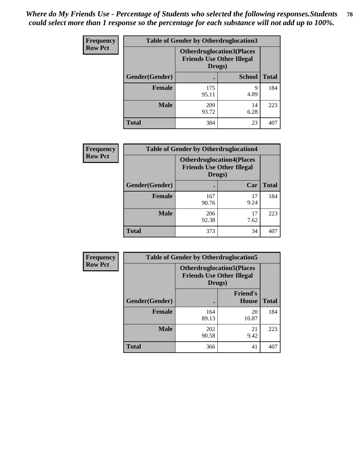| Frequency      | <b>Table of Gender by Otherdruglocation3</b> |                                                                                |               |              |
|----------------|----------------------------------------------|--------------------------------------------------------------------------------|---------------|--------------|
| <b>Row Pct</b> |                                              | <b>Otherdruglocation3(Places</b><br><b>Friends Use Other Illegal</b><br>Drugs) |               |              |
|                | Gender(Gender)                               |                                                                                | <b>School</b> | <b>Total</b> |
|                | <b>Female</b>                                | 175<br>95.11                                                                   | q<br>4.89     | 184          |
|                | <b>Male</b>                                  | 209<br>93.72                                                                   | 14<br>6.28    | 223          |
|                | <b>Total</b>                                 | 384                                                                            | 23            | 407          |

| Frequency      | <b>Table of Gender by Otherdruglocation4</b> |                                                                                |            |              |
|----------------|----------------------------------------------|--------------------------------------------------------------------------------|------------|--------------|
| <b>Row Pct</b> |                                              | <b>Otherdruglocation4(Places</b><br><b>Friends Use Other Illegal</b><br>Drugs) |            |              |
|                | Gender(Gender)                               |                                                                                | Car        | <b>Total</b> |
|                | <b>Female</b>                                | 167<br>90.76                                                                   | 17<br>9.24 | 184          |
|                | <b>Male</b>                                  | 206<br>92.38                                                                   | 17<br>7.62 | 223          |
|                | <b>Total</b>                                 | 373                                                                            | 34         | 407          |

| Frequency      | <b>Table of Gender by Otherdruglocation5</b> |              |                                                                      |              |
|----------------|----------------------------------------------|--------------|----------------------------------------------------------------------|--------------|
| <b>Row Pct</b> |                                              | Drugs)       | <b>Otherdruglocation5(Places</b><br><b>Friends Use Other Illegal</b> |              |
|                | Gender(Gender)                               |              | <b>Friend's</b><br><b>House</b>                                      | <b>Total</b> |
|                | Female                                       | 164<br>89.13 | 20<br>10.87                                                          | 184          |
|                | <b>Male</b>                                  | 202<br>90.58 | 21<br>9.42                                                           | 223          |
|                | <b>Total</b>                                 | 366          | 41                                                                   | 407          |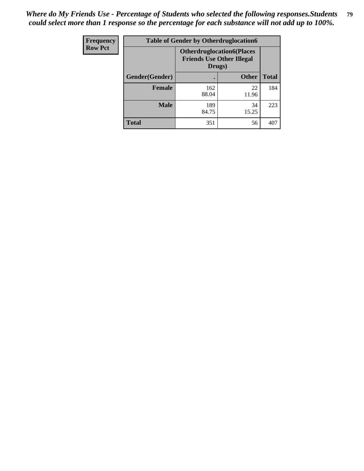| Frequency      | <b>Table of Gender by Otherdruglocation6</b> |                                            |                                  |              |
|----------------|----------------------------------------------|--------------------------------------------|----------------------------------|--------------|
| <b>Row Pct</b> |                                              | <b>Friends Use Other Illegal</b><br>Drugs) | <b>Otherdruglocation6(Places</b> |              |
|                | Gender(Gender)                               |                                            | <b>Other</b>                     | <b>Total</b> |
|                | <b>Female</b>                                | 162<br>88.04                               | 22<br>11.96                      | 184          |
|                | <b>Male</b>                                  | 189<br>84.75                               | 34<br>15.25                      | 223          |
|                | <b>Total</b>                                 | 351                                        | 56                               | 407          |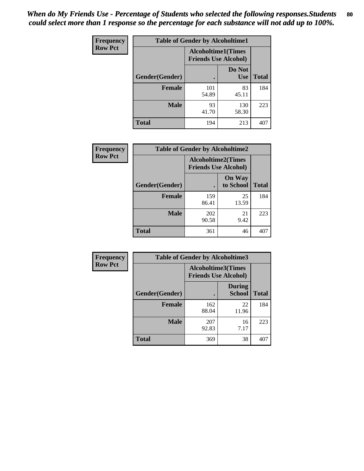| <b>Frequency</b> | <b>Table of Gender by Alcoholtime1</b> |                                                          |                      |              |
|------------------|----------------------------------------|----------------------------------------------------------|----------------------|--------------|
| <b>Row Pct</b>   |                                        | <b>Alcoholtime1(Times</b><br><b>Friends Use Alcohol)</b> |                      |              |
|                  | Gender(Gender)                         |                                                          | Do Not<br><b>Use</b> | <b>Total</b> |
|                  | <b>Female</b>                          | 101<br>54.89                                             | 83<br>45.11          | 184          |
|                  | <b>Male</b>                            | 93<br>41.70                                              | 130<br>58.30         | 223          |
|                  | <b>Total</b>                           | 194                                                      | 213                  | 407          |

| Frequency      | <b>Table of Gender by Alcoholtime2</b> |                                                          |                            |              |
|----------------|----------------------------------------|----------------------------------------------------------|----------------------------|--------------|
| <b>Row Pct</b> |                                        | <b>Alcoholtime2(Times</b><br><b>Friends Use Alcohol)</b> |                            |              |
|                | Gender(Gender)                         |                                                          | <b>On Way</b><br>to School | <b>Total</b> |
|                | <b>Female</b>                          | 159<br>86.41                                             | 25<br>13.59                | 184          |
|                | <b>Male</b>                            | 202<br>90.58                                             | 21<br>9.42                 | 223          |
|                | <b>Total</b>                           | 361                                                      | 46                         | 407          |

| <b>Frequency</b> | <b>Table of Gender by Alcoholtime3</b> |                                                          |                                |              |
|------------------|----------------------------------------|----------------------------------------------------------|--------------------------------|--------------|
| <b>Row Pct</b>   |                                        | <b>Alcoholtime3(Times</b><br><b>Friends Use Alcohol)</b> |                                |              |
|                  | Gender(Gender)                         |                                                          | <b>During</b><br><b>School</b> | <b>Total</b> |
|                  | Female                                 | 162<br>88.04                                             | 22<br>11.96                    | 184          |
|                  | <b>Male</b>                            | 207<br>92.83                                             | 16<br>7.17                     | 223          |
|                  | <b>Total</b>                           | 369                                                      | 38                             | 407          |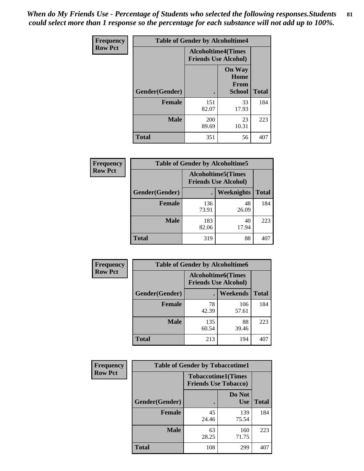*When do My Friends Use - Percentage of Students who selected the following responses.Students could select more than 1 response so the percentage for each substance will not add up to 100%.* **81**

| <b>Frequency</b> | <b>Table of Gender by Alcoholtime4</b> |                                                          |                                                |              |
|------------------|----------------------------------------|----------------------------------------------------------|------------------------------------------------|--------------|
| <b>Row Pct</b>   |                                        | <b>Alcoholtime4(Times</b><br><b>Friends Use Alcohol)</b> |                                                |              |
|                  | Gender(Gender)                         |                                                          | <b>On Way</b><br>Home<br>From<br><b>School</b> | <b>Total</b> |
|                  | <b>Female</b>                          | 151<br>82.07                                             | 33<br>17.93                                    | 184          |
|                  | <b>Male</b>                            | 200<br>89.69                                             | 23<br>10.31                                    | 223          |
|                  | <b>Total</b>                           | 351                                                      | 56                                             | 407          |

| <b>Frequency</b> | <b>Table of Gender by Alcoholtime5</b> |                                                           |             |              |
|------------------|----------------------------------------|-----------------------------------------------------------|-------------|--------------|
| <b>Row Pct</b>   |                                        | <b>Alcoholtime5</b> (Times<br><b>Friends Use Alcohol)</b> |             |              |
|                  | Gender(Gender)                         |                                                           | Weeknights  | <b>Total</b> |
|                  | <b>Female</b>                          | 136<br>73.91                                              | 48<br>26.09 | 184          |
|                  | <b>Male</b>                            | 183<br>82.06                                              | 40<br>17.94 | 223          |
|                  | <b>Total</b>                           | 319                                                       | 88          | 407          |

| <b>Frequency</b> | <b>Table of Gender by Alcoholtime6</b> |              |                                                          |              |
|------------------|----------------------------------------|--------------|----------------------------------------------------------|--------------|
| <b>Row Pct</b>   |                                        |              | <b>Alcoholtime6(Times</b><br><b>Friends Use Alcohol)</b> |              |
|                  | Gender(Gender)                         |              | Weekends                                                 | <b>Total</b> |
|                  | Female                                 | 78<br>42.39  | 106<br>57.61                                             | 184          |
|                  | <b>Male</b>                            | 135<br>60.54 | 88<br>39.46                                              | 223          |
|                  | <b>Total</b>                           | 213          | 194                                                      | 407          |

| Frequency      | <b>Table of Gender by Tobaccotime1</b> |                                                          |                      |              |
|----------------|----------------------------------------|----------------------------------------------------------|----------------------|--------------|
| <b>Row Pct</b> |                                        | <b>Tobaccotime1(Times</b><br><b>Friends Use Tobacco)</b> |                      |              |
|                | Gender(Gender)                         |                                                          | Do Not<br><b>Use</b> | <b>Total</b> |
|                | <b>Female</b>                          | 45<br>24.46                                              | 139<br>75.54         | 184          |
|                | <b>Male</b>                            | 63<br>28.25                                              | 160<br>71.75         | 223          |
|                | <b>Total</b>                           | 108                                                      | 299                  | 407          |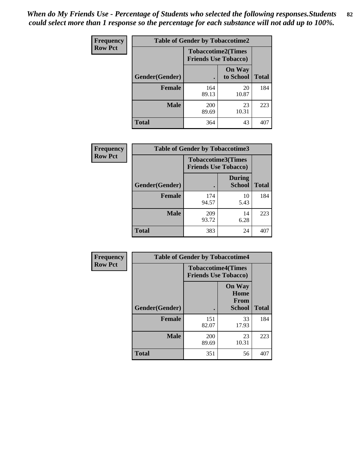| Frequency      | <b>Table of Gender by Tobaccotime2</b> |                                                          |                            |              |
|----------------|----------------------------------------|----------------------------------------------------------|----------------------------|--------------|
| <b>Row Pct</b> |                                        | <b>Tobaccotime2(Times</b><br><b>Friends Use Tobacco)</b> |                            |              |
|                | Gender(Gender)                         |                                                          | <b>On Way</b><br>to School | <b>Total</b> |
|                | <b>Female</b>                          | 164<br>89.13                                             | 20<br>10.87                | 184          |
|                | <b>Male</b>                            | 200<br>89.69                                             | 23<br>10.31                | 223          |
|                | <b>Total</b>                           | 364                                                      | 43                         | 407          |

| Frequency      | <b>Table of Gender by Tobaccotime3</b> |                                                          |                                |              |
|----------------|----------------------------------------|----------------------------------------------------------|--------------------------------|--------------|
| <b>Row Pct</b> |                                        | <b>Tobaccotime3(Times</b><br><b>Friends Use Tobacco)</b> |                                |              |
|                | Gender(Gender)                         |                                                          | <b>During</b><br><b>School</b> | <b>Total</b> |
|                | <b>Female</b>                          | 174<br>94.57                                             | 10<br>5.43                     | 184          |
|                | <b>Male</b>                            | 209<br>93.72                                             | 14<br>6.28                     | 223          |
|                | <b>Total</b>                           | 383                                                      | 24                             | 407          |

| Frequency      | <b>Table of Gender by Tobaccotime4</b> |                                                          |                                                       |              |
|----------------|----------------------------------------|----------------------------------------------------------|-------------------------------------------------------|--------------|
| <b>Row Pct</b> |                                        | <b>Tobaccotime4(Times</b><br><b>Friends Use Tobacco)</b> |                                                       |              |
|                | Gender(Gender)                         |                                                          | <b>On Way</b><br>Home<br><b>From</b><br><b>School</b> | <b>Total</b> |
|                | <b>Female</b>                          | 151<br>82.07                                             | 33<br>17.93                                           | 184          |
|                | <b>Male</b>                            | 200<br>89.69                                             | 23<br>10.31                                           | 223          |
|                | <b>Total</b>                           | 351                                                      | 56                                                    | 407          |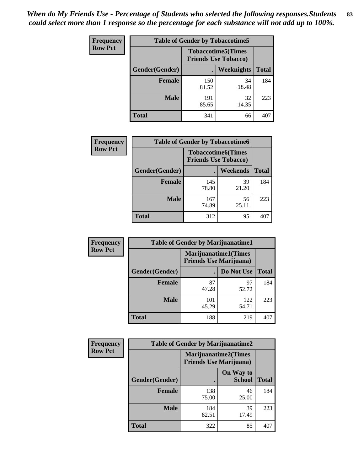| <b>Frequency</b> | <b>Table of Gender by Tobaccotime5</b> |              |                                                          |              |  |
|------------------|----------------------------------------|--------------|----------------------------------------------------------|--------------|--|
| <b>Row Pct</b>   |                                        |              | <b>Tobaccotime5(Times</b><br><b>Friends Use Tobacco)</b> |              |  |
|                  | <b>Gender</b> (Gender)                 |              | <b>Weeknights</b>                                        | <b>Total</b> |  |
|                  | <b>Female</b>                          | 150<br>81.52 | 34<br>18.48                                              | 184          |  |
|                  | <b>Male</b>                            | 191<br>85.65 | 32<br>14.35                                              | 223          |  |
|                  | <b>Total</b>                           | 341          | 66                                                       | 407          |  |

| Frequency      | <b>Table of Gender by Tobaccotime6</b> |                                                          |             |              |
|----------------|----------------------------------------|----------------------------------------------------------|-------------|--------------|
| <b>Row Pct</b> |                                        | <b>Tobaccotime6(Times</b><br><b>Friends Use Tobacco)</b> |             |              |
|                | Gender(Gender)                         |                                                          | Weekends    | <b>Total</b> |
|                | Female                                 | 145<br>78.80                                             | 39<br>21.20 | 184          |
|                | <b>Male</b>                            | 167<br>74.89                                             | 56<br>25.11 | 223          |
|                | <b>Total</b>                           | 312                                                      | 95          | 407          |

| Frequency      |                | <b>Table of Gender by Marijuanatime1</b> |                                                               |              |
|----------------|----------------|------------------------------------------|---------------------------------------------------------------|--------------|
| <b>Row Pct</b> |                |                                          | <b>Marijuanatime1(Times</b><br><b>Friends Use Marijuana</b> ) |              |
|                | Gender(Gender) |                                          | Do Not Use                                                    | <b>Total</b> |
|                | <b>Female</b>  | 87<br>47.28                              | 97<br>52.72                                                   | 184          |
|                | <b>Male</b>    | 101<br>45.29                             | 122<br>54.71                                                  | 223          |
|                | <b>Total</b>   | 188                                      | 219                                                           | 407          |

| <b>Frequency</b> | <b>Table of Gender by Marijuanatime2</b> |                                                               |                            |              |
|------------------|------------------------------------------|---------------------------------------------------------------|----------------------------|--------------|
| <b>Row Pct</b>   |                                          | <b>Marijuanatime2(Times</b><br><b>Friends Use Marijuana</b> ) |                            |              |
|                  | Gender(Gender)                           |                                                               | On Way to<br><b>School</b> | <b>Total</b> |
|                  | <b>Female</b>                            | 138<br>75.00                                                  | 46<br>25.00                | 184          |
|                  | <b>Male</b>                              | 184<br>82.51                                                  | 39<br>17.49                | 223          |
|                  | <b>Total</b>                             | 322                                                           | 85                         | 407          |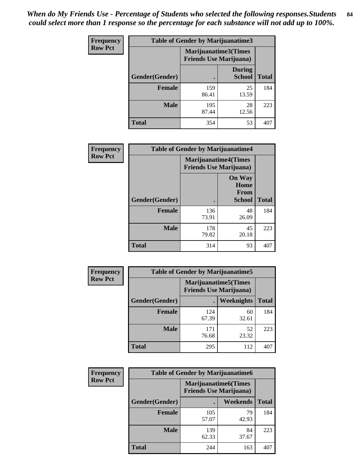| <b>Frequency</b> | <b>Table of Gender by Marijuanatime3</b> |                                                        |                         |              |
|------------------|------------------------------------------|--------------------------------------------------------|-------------------------|--------------|
| <b>Row Pct</b>   |                                          | Marijuanatime3(Times<br><b>Friends Use Marijuana</b> ) |                         |              |
|                  | <b>Gender</b> (Gender)                   |                                                        | During<br><b>School</b> | <b>Total</b> |
|                  | <b>Female</b>                            | 159<br>86.41                                           | 25<br>13.59             | 184          |
|                  | <b>Male</b>                              | 195<br>87.44                                           | 28<br>12.56             | 223          |
|                  | <b>Total</b>                             | 354                                                    | 53                      | 407          |

| Frequency      | <b>Table of Gender by Marijuanatime4</b> |                                |                                      |              |
|----------------|------------------------------------------|--------------------------------|--------------------------------------|--------------|
| <b>Row Pct</b> |                                          | <b>Friends Use Marijuana</b> ) | <b>Marijuanatime4</b> (Times         |              |
|                |                                          |                                | <b>On Way</b><br>Home<br><b>From</b> |              |
|                | <b>Gender</b> (Gender)                   |                                | <b>School</b>                        | <b>Total</b> |
|                | <b>Female</b>                            | 136<br>73.91                   | 48<br>26.09                          | 184          |
|                | <b>Male</b>                              | 178<br>79.82                   | 45<br>20.18                          | 223          |
|                | <b>Total</b>                             | 314                            | 93                                   | 407          |

| Frequency      | <b>Table of Gender by Marijuanatime5</b> |              |                                                                |              |  |
|----------------|------------------------------------------|--------------|----------------------------------------------------------------|--------------|--|
| <b>Row Pct</b> |                                          |              | <b>Marijuanatime5</b> (Times<br><b>Friends Use Marijuana</b> ) |              |  |
|                | Gender(Gender)                           |              | <b>Weeknights</b>                                              | <b>Total</b> |  |
|                | <b>Female</b>                            | 124<br>67.39 | 60<br>32.61                                                    | 184          |  |
|                | <b>Male</b>                              | 171<br>76.68 | 52<br>23.32                                                    | 223          |  |
|                | <b>Total</b>                             | 295          | 112                                                            | 407          |  |

| <b>Frequency</b> | <b>Table of Gender by Marijuanatime6</b> |                                                               |             |              |
|------------------|------------------------------------------|---------------------------------------------------------------|-------------|--------------|
| <b>Row Pct</b>   |                                          | <b>Marijuanatime6(Times</b><br><b>Friends Use Marijuana</b> ) |             |              |
|                  | Gender(Gender)                           |                                                               | Weekends    | <b>Total</b> |
|                  | <b>Female</b>                            | 105<br>57.07                                                  | 79<br>42.93 | 184          |
|                  | <b>Male</b>                              | 139<br>62.33                                                  | 84<br>37.67 | 223          |
|                  | <b>Total</b>                             | 244                                                           | 163         | 407          |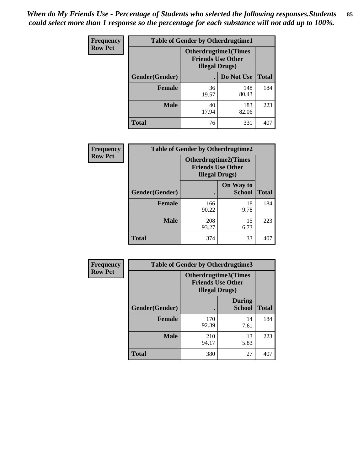| <b>Frequency</b> | <b>Table of Gender by Otherdrugtime1</b> |                                                                                    |              |              |
|------------------|------------------------------------------|------------------------------------------------------------------------------------|--------------|--------------|
| <b>Row Pct</b>   |                                          | <b>Otherdrugtime1</b> (Times<br><b>Friends Use Other</b><br><b>Illegal Drugs</b> ) |              |              |
|                  | Gender(Gender)                           |                                                                                    | Do Not Use   | <b>Total</b> |
|                  | <b>Female</b>                            | 36<br>19.57                                                                        | 148<br>80.43 | 184          |
|                  | <b>Male</b>                              | 40<br>17.94                                                                        | 183<br>82.06 | 223          |
|                  | <b>Total</b>                             | 76                                                                                 | 331          | 407          |

| Frequency      | <b>Table of Gender by Otherdrugtime2</b> |                                                                                   |                            |              |
|----------------|------------------------------------------|-----------------------------------------------------------------------------------|----------------------------|--------------|
| <b>Row Pct</b> |                                          | <b>Otherdrugtime2(Times</b><br><b>Friends Use Other</b><br><b>Illegal Drugs</b> ) |                            |              |
|                | <b>Gender</b> (Gender)                   |                                                                                   | On Way to<br><b>School</b> | <b>Total</b> |
|                | <b>Female</b>                            | 166<br>90.22                                                                      | 18<br>9.78                 | 184          |
|                | <b>Male</b>                              | 208<br>93.27                                                                      | 15<br>6.73                 | 223          |
|                | <b>Total</b>                             | 374                                                                               | 33                         | 407          |

| Frequency      | <b>Table of Gender by Otherdrugtime3</b> |                        |                                                         |              |  |
|----------------|------------------------------------------|------------------------|---------------------------------------------------------|--------------|--|
| <b>Row Pct</b> |                                          | <b>Illegal Drugs</b> ) | <b>Otherdrugtime3(Times</b><br><b>Friends Use Other</b> |              |  |
|                | Gender(Gender)                           |                        | <b>During</b><br><b>School</b>                          | <b>Total</b> |  |
|                | <b>Female</b>                            | 170<br>92.39           | 14<br>7.61                                              | 184          |  |
|                | <b>Male</b>                              | 210<br>94.17           | 13<br>5.83                                              | 223          |  |
|                | <b>Total</b>                             | 380                    | 27                                                      | 407          |  |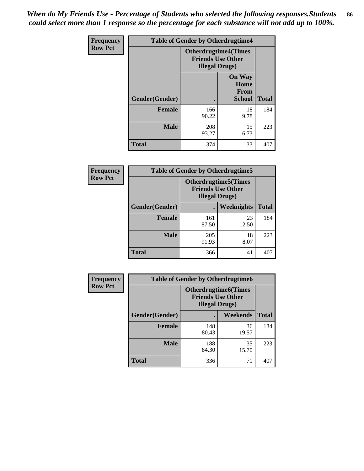*When do My Friends Use - Percentage of Students who selected the following responses.Students could select more than 1 response so the percentage for each substance will not add up to 100%.* **86**

| <b>Frequency</b> | <b>Table of Gender by Otherdrugtime4</b> |                                                    |                                                       |              |
|------------------|------------------------------------------|----------------------------------------------------|-------------------------------------------------------|--------------|
| <b>Row Pct</b>   |                                          | <b>Friends Use Other</b><br><b>Illegal Drugs</b> ) | <b>Otherdrugtime4(Times</b>                           |              |
|                  | Gender(Gender)                           |                                                    | <b>On Way</b><br>Home<br><b>From</b><br><b>School</b> | <b>Total</b> |
|                  | <b>Female</b>                            | 166<br>90.22                                       | 18<br>9.78                                            | 184          |
|                  | <b>Male</b>                              | 208<br>93.27                                       | 15<br>6.73                                            | 223          |
|                  | <b>Total</b>                             | 374                                                | 33                                                    | 407          |

| Frequency      | <b>Table of Gender by Otherdrugtime5</b> |                                                                                    |             |              |
|----------------|------------------------------------------|------------------------------------------------------------------------------------|-------------|--------------|
| <b>Row Pct</b> |                                          | <b>Otherdrugtime5</b> (Times<br><b>Friends Use Other</b><br><b>Illegal Drugs</b> ) |             |              |
|                | Gender(Gender)                           |                                                                                    | Weeknights  | <b>Total</b> |
|                | <b>Female</b>                            | 161<br>87.50                                                                       | 23<br>12.50 | 184          |
|                | <b>Male</b>                              | 205<br>91.93                                                                       | 18<br>8.07  | 223          |
|                | <b>Total</b>                             | 366                                                                                | 41          | 407          |

| <b>Frequency</b> | <b>Table of Gender by Otherdrugtime6</b> |                                                                                  |             |              |
|------------------|------------------------------------------|----------------------------------------------------------------------------------|-------------|--------------|
| <b>Row Pct</b>   |                                          | <b>Otherdrugtime6(Times</b><br><b>Friends Use Other</b><br><b>Illegal Drugs)</b> |             |              |
|                  | Gender(Gender)                           |                                                                                  | Weekends    | <b>Total</b> |
|                  | <b>Female</b>                            | 148<br>80.43                                                                     | 36<br>19.57 | 184          |
|                  | <b>Male</b>                              | 188<br>84.30                                                                     | 35<br>15.70 | 223          |
|                  | <b>Total</b>                             | 336                                                                              | 71          | 407          |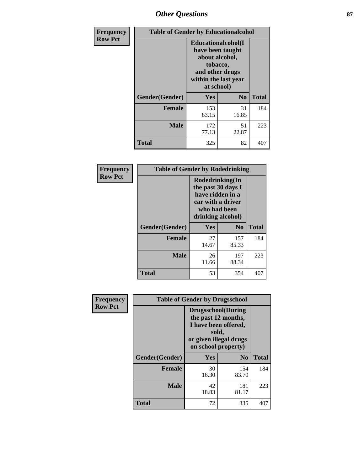# *Other Questions* **87**

| <b>Frequency</b> | <b>Table of Gender by Educationalcohol</b> |                                                                                                                                       |                |              |  |
|------------------|--------------------------------------------|---------------------------------------------------------------------------------------------------------------------------------------|----------------|--------------|--|
| <b>Row Pct</b>   |                                            | <b>Educationalcohol</b> (I<br>have been taught<br>about alcohol,<br>tobacco,<br>and other drugs<br>within the last year<br>at school) |                |              |  |
|                  | Gender(Gender)                             | <b>Yes</b>                                                                                                                            | N <sub>0</sub> | <b>Total</b> |  |
|                  | <b>Female</b>                              | 153<br>83.15                                                                                                                          | 31<br>16.85    | 184          |  |
|                  | <b>Male</b>                                | 172<br>77.13                                                                                                                          | 51<br>22.87    | 223          |  |
|                  | <b>Total</b>                               | 325                                                                                                                                   | 82             | 407          |  |

| Frequency      | <b>Table of Gender by Rodedrinking</b> |                                                                                                                     |                |              |  |
|----------------|----------------------------------------|---------------------------------------------------------------------------------------------------------------------|----------------|--------------|--|
| <b>Row Pct</b> |                                        | Rodedrinking(In<br>the past 30 days I<br>have ridden in a<br>car with a driver<br>who had been<br>drinking alcohol) |                |              |  |
|                | Gender(Gender)                         | Yes                                                                                                                 | N <sub>0</sub> | <b>Total</b> |  |
|                | <b>Female</b>                          | 27<br>14.67                                                                                                         | 157<br>85.33   | 184          |  |
|                | <b>Male</b>                            | 26<br>11.66                                                                                                         | 197<br>88.34   | 223          |  |
|                | <b>Total</b>                           | 53                                                                                                                  | 354            | 407          |  |

| Frequency      | <b>Table of Gender by Drugsschool</b> |                                                                                                                                     |                |              |  |
|----------------|---------------------------------------|-------------------------------------------------------------------------------------------------------------------------------------|----------------|--------------|--|
| <b>Row Pct</b> |                                       | <b>Drugsschool</b> (During<br>the past 12 months,<br>I have been offered,<br>sold,<br>or given illegal drugs<br>on school property) |                |              |  |
|                | Gender(Gender)                        | <b>Yes</b>                                                                                                                          | N <sub>0</sub> | <b>Total</b> |  |
|                | <b>Female</b>                         | 30<br>16.30                                                                                                                         | 154<br>83.70   | 184          |  |
|                | <b>Male</b>                           | 42<br>18.83                                                                                                                         | 181<br>81.17   | 223          |  |
|                | <b>Total</b>                          | 72                                                                                                                                  | 335            | 407          |  |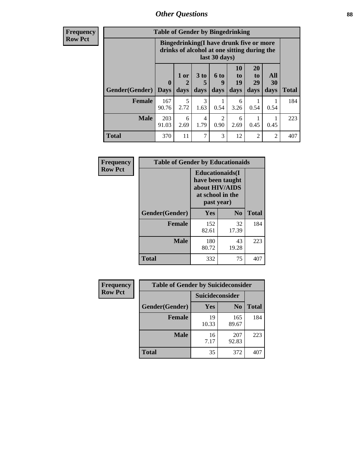# *Other Questions* **88**

**Frequency Row Pct**

| <b>Table of Gender by Bingedrinking</b> |                                                                                                         |              |                   |                       |                        |                               |                   |              |
|-----------------------------------------|---------------------------------------------------------------------------------------------------------|--------------|-------------------|-----------------------|------------------------|-------------------------------|-------------------|--------------|
|                                         | Bingedrinking(I have drunk five or more<br>drinks of alcohol at one sitting during the<br>last 30 days) |              |                   |                       |                        |                               |                   |              |
| <b>Gender</b> (Gender)                  | $\bf{0}$<br><b>Days</b>                                                                                 | 1 or<br>days | 3 to<br>5<br>days | 6 to<br>9<br>days     | 10<br>to<br>19<br>days | <b>20</b><br>to<br>29<br>days | All<br>30<br>days | <b>Total</b> |
| <b>Female</b>                           | 167                                                                                                     | 5            | 3                 |                       | 6                      |                               |                   | 184          |
|                                         | 90.76                                                                                                   | 2.72         | 1.63              | 0.54                  | 3.26                   | 0.54                          | 0.54              |              |
| <b>Male</b>                             | 203<br>91.03                                                                                            | 6<br>2.69    | 4<br>1.79         | $\mathcal{D}$<br>0.90 | 6<br>2.69              | 0.45                          | 0.45              | 223          |

| Frequency      | <b>Table of Gender by Educationaids</b> |                                                                                                 |             |              |  |
|----------------|-----------------------------------------|-------------------------------------------------------------------------------------------------|-------------|--------------|--|
| <b>Row Pct</b> |                                         | <b>Educationaids</b> (I<br>have been taught<br>about HIV/AIDS<br>at school in the<br>past year) |             |              |  |
|                | Gender(Gender)                          | Yes                                                                                             | $\bf N_0$   | <b>Total</b> |  |
|                | <b>Female</b>                           | 152<br>82.61                                                                                    | 32<br>17.39 | 184          |  |
|                | <b>Male</b>                             | 180<br>80.72                                                                                    | 43<br>19.28 | 223          |  |
|                | <b>Total</b>                            | 332                                                                                             | 75          | 407          |  |

| Frequency      | <b>Table of Gender by Suicideconsider</b> |                        |                |              |
|----------------|-------------------------------------------|------------------------|----------------|--------------|
| <b>Row Pct</b> |                                           | <b>Suicideconsider</b> |                |              |
|                | Gender(Gender)                            | Yes                    | N <sub>0</sub> | <b>Total</b> |
|                | <b>Female</b>                             | 19<br>10.33            | 165<br>89.67   | 184          |
|                | <b>Male</b>                               | 16<br>7.17             | 207<br>92.83   | 223          |
|                | <b>Total</b>                              | 35                     | 372            | 407          |